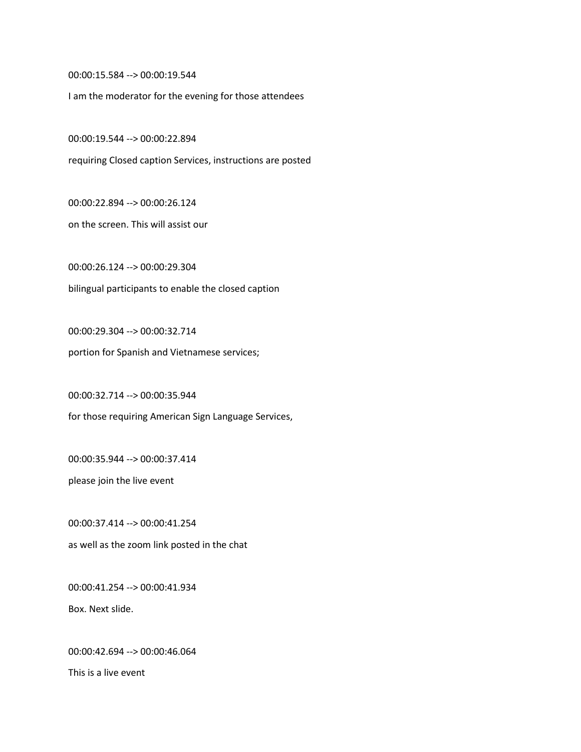00:00:15.584 --> 00:00:19.544

I am the moderator for the evening for those attendees

00:00:19.544 --> 00:00:22.894

requiring Closed caption Services, instructions are posted

00:00:22.894 --> 00:00:26.124

on the screen. This will assist our

00:00:26.124 --> 00:00:29.304 bilingual participants to enable the closed caption

00:00:29.304 --> 00:00:32.714 portion for Spanish and Vietnamese services;

00:00:32.714 --> 00:00:35.944

for those requiring American Sign Language Services,

00:00:35.944 --> 00:00:37.414

please join the live event

00:00:37.414 --> 00:00:41.254 as well as the zoom link posted in the chat

00:00:41.254 --> 00:00:41.934 Box. Next slide.

00:00:42.694 --> 00:00:46.064

This is a live event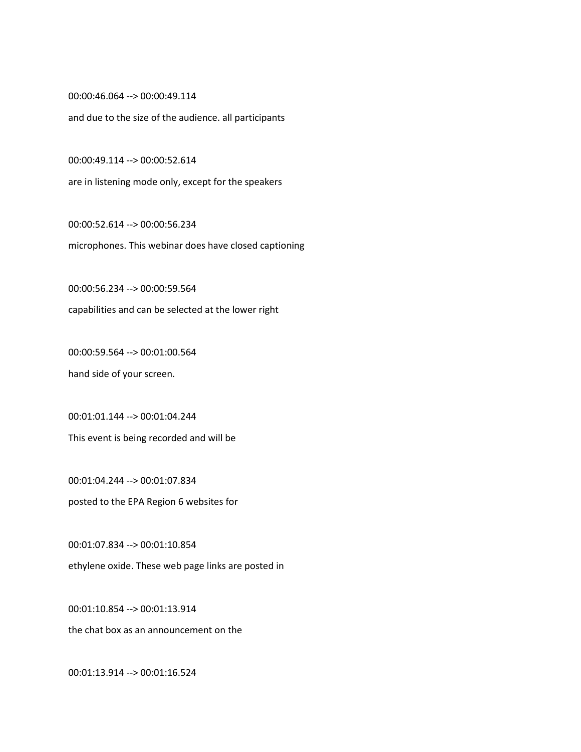00:00:46.064 --> 00:00:49.114

and due to the size of the audience. all participants

00:00:49.114 --> 00:00:52.614

are in listening mode only, except for the speakers

00:00:52.614 --> 00:00:56.234 microphones. This webinar does have closed captioning

00:00:56.234 --> 00:00:59.564 capabilities and can be selected at the lower right

00:00:59.564 --> 00:01:00.564 hand side of your screen.

00:01:01.144 --> 00:01:04.244 This event is being recorded and will be

00:01:04.244 --> 00:01:07.834 posted to the EPA Region 6 websites for

00:01:07.834 --> 00:01:10.854 ethylene oxide. These web page links are posted in

00:01:10.854 --> 00:01:13.914

the chat box as an announcement on the

00:01:13.914 --> 00:01:16.524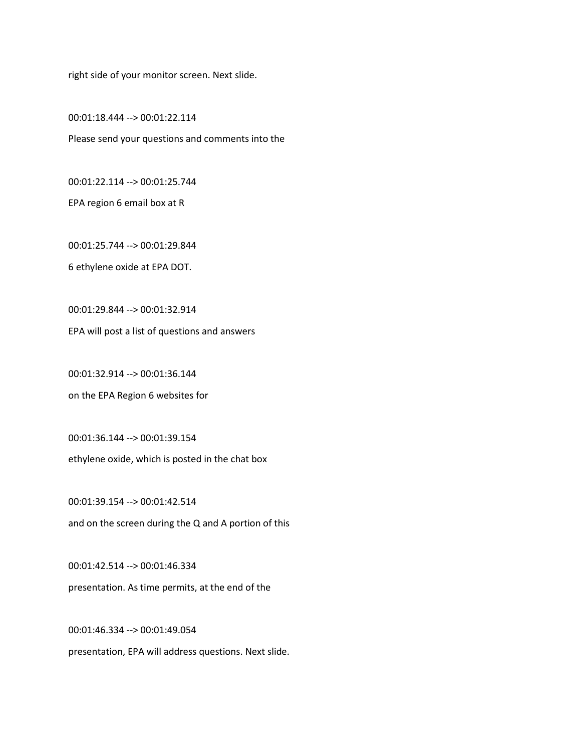right side of your monitor screen. Next slide.

00:01:18.444 --> 00:01:22.114 Please send your questions and comments into the

00:01:22.114 --> 00:01:25.744

EPA region 6 email box at R

00:01:25.744 --> 00:01:29.844

6 ethylene oxide at EPA DOT.

00:01:29.844 --> 00:01:32.914

EPA will post a list of questions and answers

00:01:32.914 --> 00:01:36.144

on the EPA Region 6 websites for

00:01:36.144 --> 00:01:39.154

ethylene oxide, which is posted in the chat box

00:01:39.154 --> 00:01:42.514 and on the screen during the Q and A portion of this

00:01:42.514 --> 00:01:46.334 presentation. As time permits, at the end of the

00:01:46.334 --> 00:01:49.054 presentation, EPA will address questions. Next slide.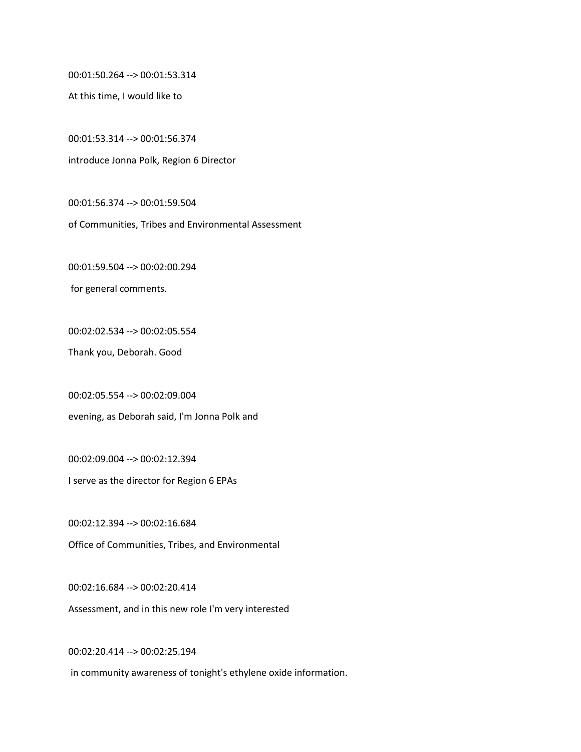00:01:50.264 --> 00:01:53.314

At this time, I would like to

00:01:53.314 --> 00:01:56.374 introduce Jonna Polk, Region 6 Director

00:01:56.374 --> 00:01:59.504

of Communities, Tribes and Environmental Assessment

00:01:59.504 --> 00:02:00.294

for general comments.

00:02:02.534 --> 00:02:05.554

Thank you, Deborah. Good

00:02:05.554 --> 00:02:09.004 evening, as Deborah said, I'm Jonna Polk and

00:02:09.004 --> 00:02:12.394 I serve as the director for Region 6 EPAs

00:02:12.394 --> 00:02:16.684 Office of Communities, Tribes, and Environmental

00:02:16.684 --> 00:02:20.414 Assessment, and in this new role I'm very interested

00:02:20.414 --> 00:02:25.194 in community awareness of tonight's ethylene oxide information.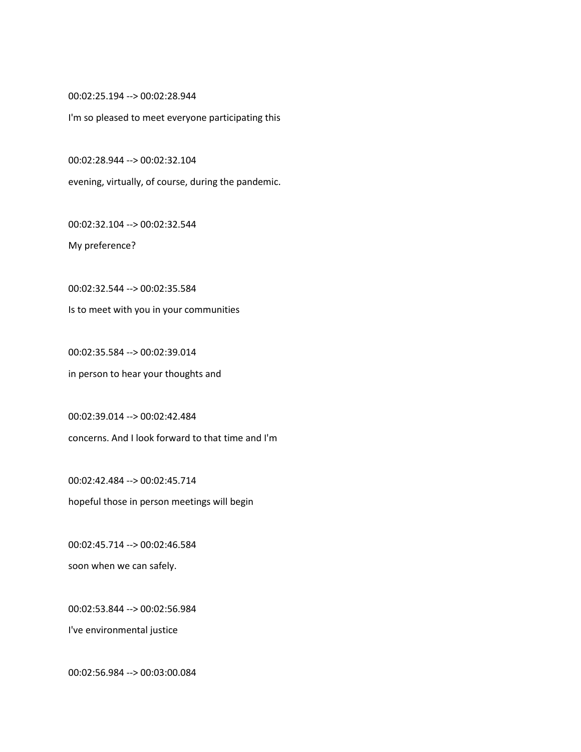00:02:25.194 --> 00:02:28.944

I'm so pleased to meet everyone participating this

00:02:28.944 --> 00:02:32.104

evening, virtually, of course, during the pandemic.

00:02:32.104 --> 00:02:32.544

My preference?

00:02:32.544 --> 00:02:35.584

Is to meet with you in your communities

00:02:35.584 --> 00:02:39.014 in person to hear your thoughts and

00:02:39.014 --> 00:02:42.484 concerns. And I look forward to that time and I'm

00:02:42.484 --> 00:02:45.714 hopeful those in person meetings will begin

00:02:45.714 --> 00:02:46.584 soon when we can safely.

00:02:53.844 --> 00:02:56.984

I've environmental justice

00:02:56.984 --> 00:03:00.084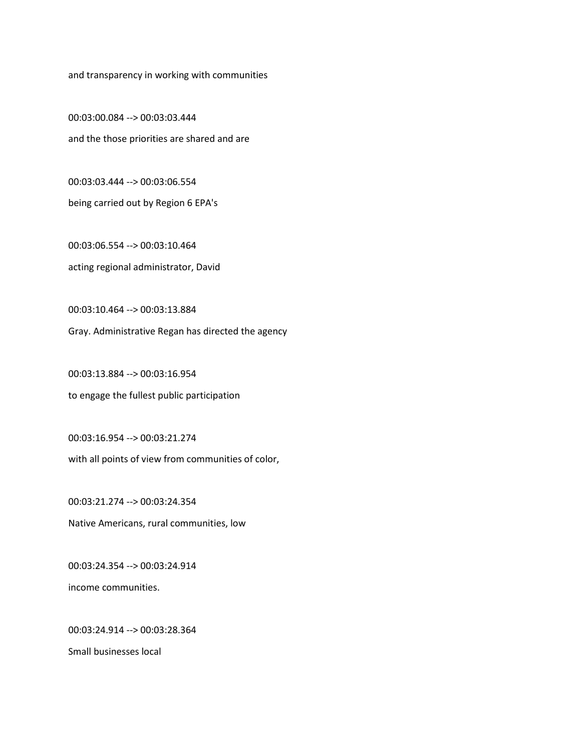and transparency in working with communities

00:03:00.084 --> 00:03:03.444 and the those priorities are shared and are

00:03:03.444 --> 00:03:06.554 being carried out by Region 6 EPA's

00:03:06.554 --> 00:03:10.464 acting regional administrator, David

00:03:10.464 --> 00:03:13.884

Gray. Administrative Regan has directed the agency

00:03:13.884 --> 00:03:16.954 to engage the fullest public participation

00:03:16.954 --> 00:03:21.274 with all points of view from communities of color,

00:03:21.274 --> 00:03:24.354 Native Americans, rural communities, low

00:03:24.354 --> 00:03:24.914 income communities.

00:03:24.914 --> 00:03:28.364

Small businesses local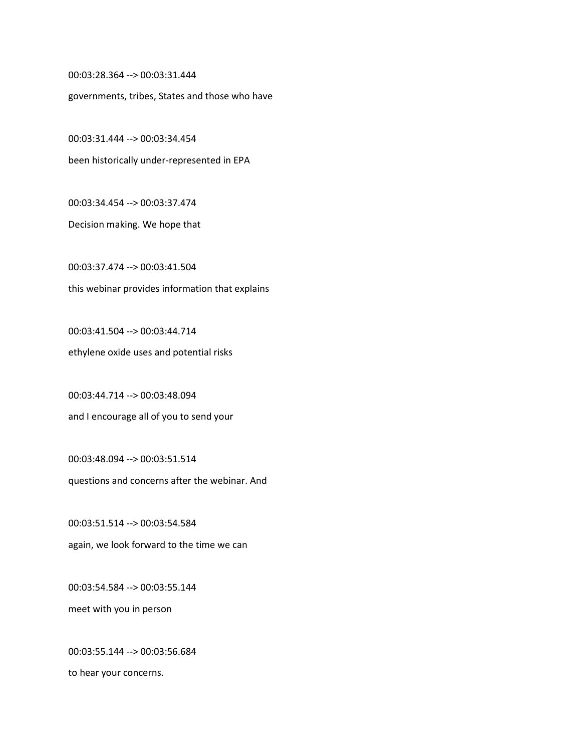00:03:28.364 --> 00:03:31.444

governments, tribes, States and those who have

00:03:31.444 --> 00:03:34.454 been historically under-represented in EPA

00:03:34.454 --> 00:03:37.474

Decision making. We hope that

00:03:37.474 --> 00:03:41.504 this webinar provides information that explains

00:03:41.504 --> 00:03:44.714 ethylene oxide uses and potential risks

00:03:44.714 --> 00:03:48.094 and I encourage all of you to send your

00:03:48.094 --> 00:03:51.514 questions and concerns after the webinar. And

00:03:51.514 --> 00:03:54.584 again, we look forward to the time we can

00:03:54.584 --> 00:03:55.144 meet with you in person

00:03:55.144 --> 00:03:56.684 to hear your concerns.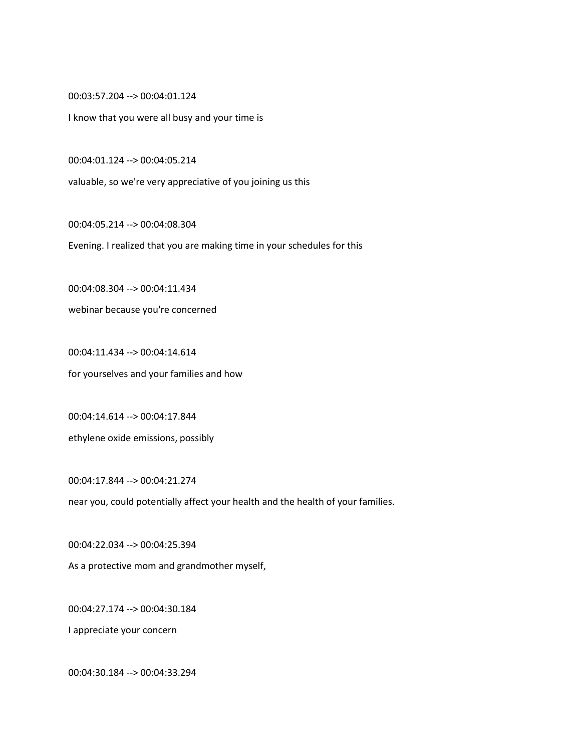00:03:57.204 --> 00:04:01.124

I know that you were all busy and your time is

00:04:01.124 --> 00:04:05.214

valuable, so we're very appreciative of you joining us this

00:04:05.214 --> 00:04:08.304

Evening. I realized that you are making time in your schedules for this

00:04:08.304 --> 00:04:11.434

webinar because you're concerned

00:04:11.434 --> 00:04:14.614 for yourselves and your families and how

00:04:14.614 --> 00:04:17.844 ethylene oxide emissions, possibly

00:04:17.844 --> 00:04:21.274 near you, could potentially affect your health and the health of your families.

00:04:22.034 --> 00:04:25.394 As a protective mom and grandmother myself,

00:04:27.174 --> 00:04:30.184

I appreciate your concern

00:04:30.184 --> 00:04:33.294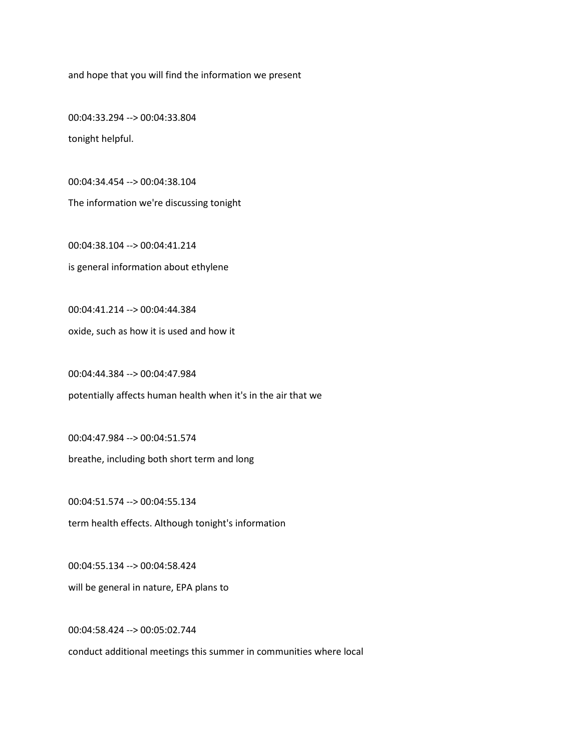and hope that you will find the information we present

00:04:33.294 --> 00:04:33.804 tonight helpful.

00:04:34.454 --> 00:04:38.104 The information we're discussing tonight

00:04:38.104 --> 00:04:41.214 is general information about ethylene

00:04:41.214 --> 00:04:44.384 oxide, such as how it is used and how it

00:04:44.384 --> 00:04:47.984 potentially affects human health when it's in the air that we

00:04:47.984 --> 00:04:51.574 breathe, including both short term and long

00:04:51.574 --> 00:04:55.134 term health effects. Although tonight's information

00:04:55.134 --> 00:04:58.424 will be general in nature, EPA plans to

00:04:58.424 --> 00:05:02.744

conduct additional meetings this summer in communities where local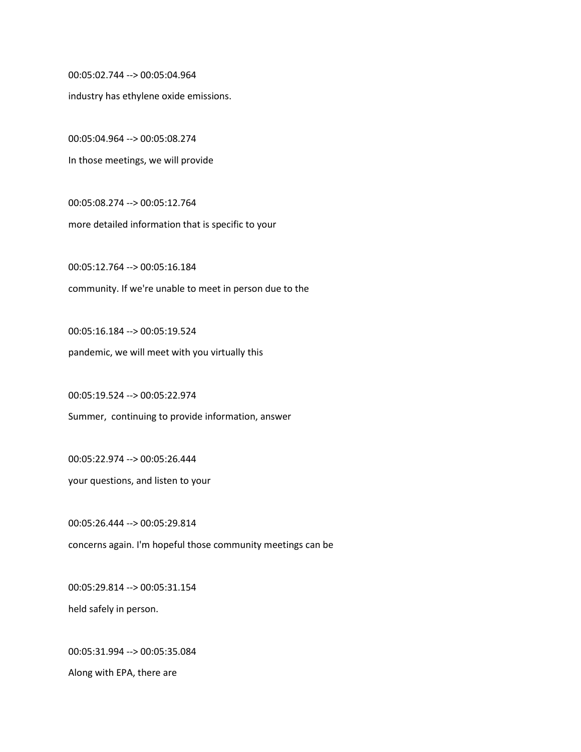00:05:02.744 --> 00:05:04.964

industry has ethylene oxide emissions.

00:05:04.964 --> 00:05:08.274 In those meetings, we will provide

00:05:08.274 --> 00:05:12.764 more detailed information that is specific to your

00:05:12.764 --> 00:05:16.184 community. If we're unable to meet in person due to the

00:05:16.184 --> 00:05:19.524 pandemic, we will meet with you virtually this

00:05:19.524 --> 00:05:22.974

Summer, continuing to provide information, answer

00:05:22.974 --> 00:05:26.444

your questions, and listen to your

00:05:26.444 --> 00:05:29.814 concerns again. I'm hopeful those community meetings can be

00:05:29.814 --> 00:05:31.154 held safely in person.

00:05:31.994 --> 00:05:35.084 Along with EPA, there are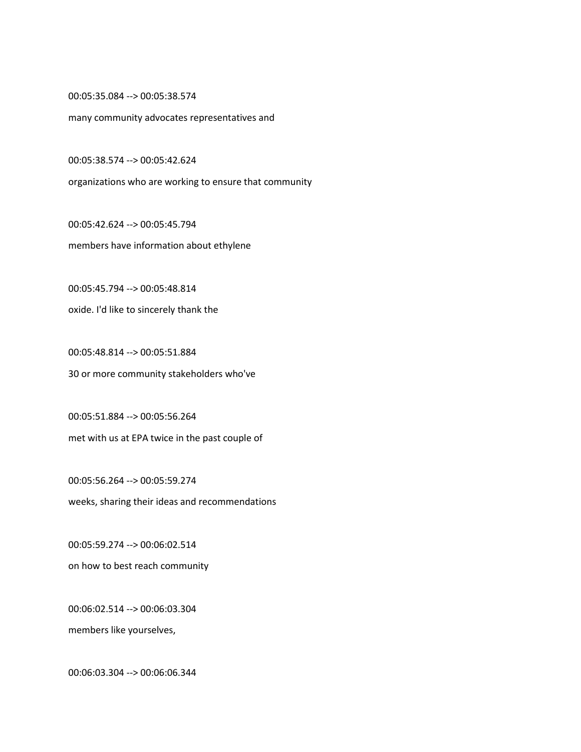00:05:35.084 --> 00:05:38.574

many community advocates representatives and

00:05:38.574 --> 00:05:42.624

organizations who are working to ensure that community

00:05:42.624 --> 00:05:45.794 members have information about ethylene

00:05:45.794 --> 00:05:48.814 oxide. I'd like to sincerely thank the

00:05:48.814 --> 00:05:51.884 30 or more community stakeholders who've

00:05:51.884 --> 00:05:56.264 met with us at EPA twice in the past couple of

00:05:56.264 --> 00:05:59.274 weeks, sharing their ideas and recommendations

00:05:59.274 --> 00:06:02.514 on how to best reach community

00:06:02.514 --> 00:06:03.304 members like yourselves,

00:06:03.304 --> 00:06:06.344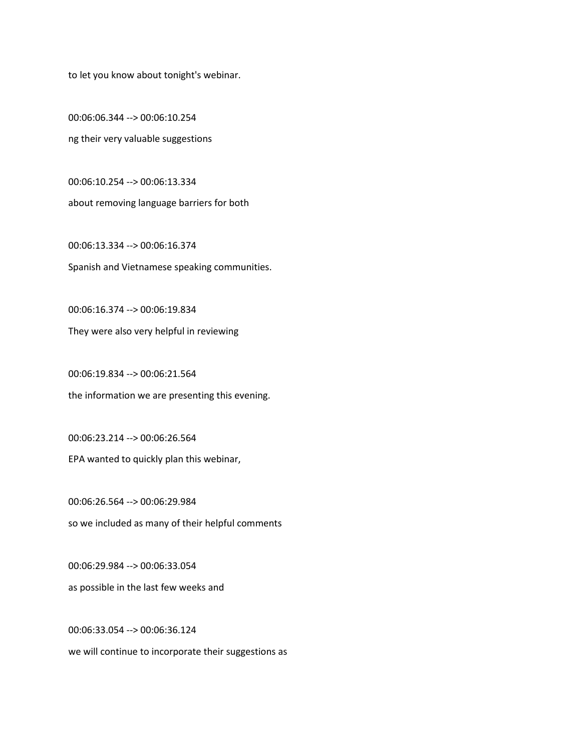to let you know about tonight's webinar.

00:06:06.344 --> 00:06:10.254 ng their very valuable suggestions

00:06:10.254 --> 00:06:13.334 about removing language barriers for both

00:06:13.334 --> 00:06:16.374 Spanish and Vietnamese speaking communities.

00:06:16.374 --> 00:06:19.834

They were also very helpful in reviewing

00:06:19.834 --> 00:06:21.564 the information we are presenting this evening.

00:06:23.214 --> 00:06:26.564 EPA wanted to quickly plan this webinar,

00:06:26.564 --> 00:06:29.984 so we included as many of their helpful comments

00:06:29.984 --> 00:06:33.054 as possible in the last few weeks and

00:06:33.054 --> 00:06:36.124 we will continue to incorporate their suggestions as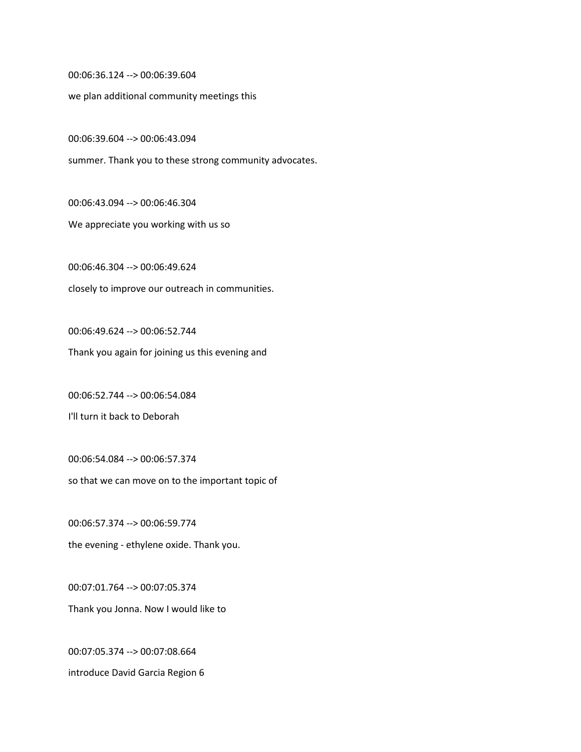00:06:36.124 --> 00:06:39.604

we plan additional community meetings this

00:06:39.604 --> 00:06:43.094

summer. Thank you to these strong community advocates.

00:06:43.094 --> 00:06:46.304

We appreciate you working with us so

00:06:46.304 --> 00:06:49.624 closely to improve our outreach in communities.

00:06:49.624 --> 00:06:52.744 Thank you again for joining us this evening and

00:06:52.744 --> 00:06:54.084

I'll turn it back to Deborah

00:06:54.084 --> 00:06:57.374 so that we can move on to the important topic of

00:06:57.374 --> 00:06:59.774 the evening - ethylene oxide. Thank you.

00:07:01.764 --> 00:07:05.374 Thank you Jonna. Now I would like to

00:07:05.374 --> 00:07:08.664 introduce David Garcia Region 6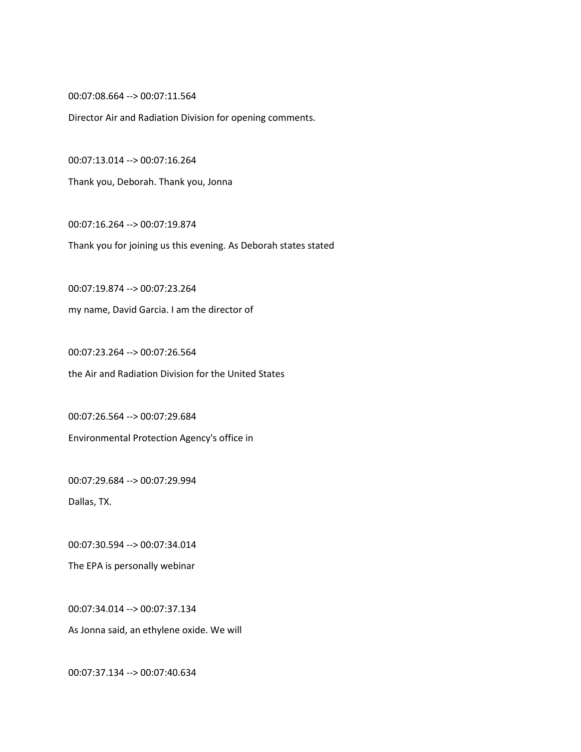00:07:08.664 --> 00:07:11.564

Director Air and Radiation Division for opening comments.

00:07:13.014 --> 00:07:16.264

Thank you, Deborah. Thank you, Jonna

00:07:16.264 --> 00:07:19.874

Thank you for joining us this evening. As Deborah states stated

00:07:19.874 --> 00:07:23.264 my name, David Garcia. I am the director of

00:07:23.264 --> 00:07:26.564 the Air and Radiation Division for the United States

00:07:26.564 --> 00:07:29.684 Environmental Protection Agency's office in

00:07:29.684 --> 00:07:29.994

Dallas, TX.

00:07:30.594 --> 00:07:34.014

The EPA is personally webinar

00:07:34.014 --> 00:07:37.134 As Jonna said, an ethylene oxide. We will

00:07:37.134 --> 00:07:40.634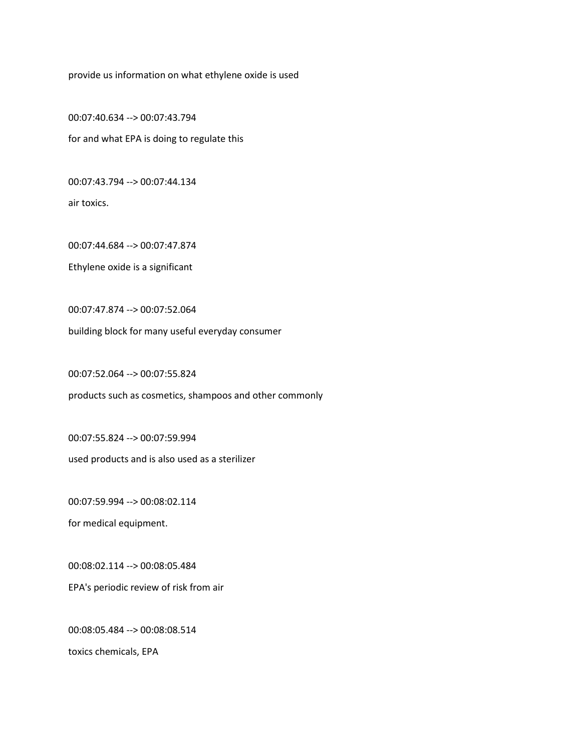provide us information on what ethylene oxide is used

00:07:40.634 --> 00:07:43.794 for and what EPA is doing to regulate this

00:07:43.794 --> 00:07:44.134

air toxics.

00:07:44.684 --> 00:07:47.874

Ethylene oxide is a significant

00:07:47.874 --> 00:07:52.064

building block for many useful everyday consumer

00:07:52.064 --> 00:07:55.824

products such as cosmetics, shampoos and other commonly

00:07:55.824 --> 00:07:59.994

used products and is also used as a sterilizer

00:07:59.994 --> 00:08:02.114

for medical equipment.

00:08:02.114 --> 00:08:05.484

EPA's periodic review of risk from air

00:08:05.484 --> 00:08:08.514

toxics chemicals, EPA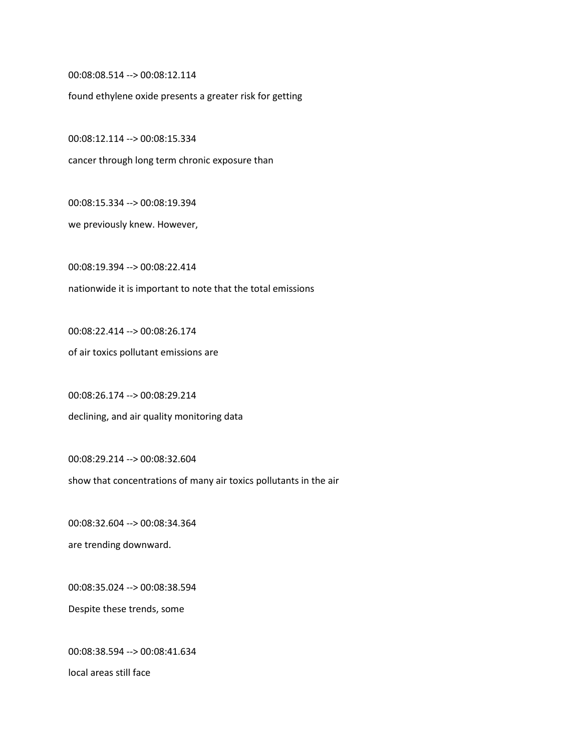00:08:08.514 --> 00:08:12.114

found ethylene oxide presents a greater risk for getting

00:08:12.114 --> 00:08:15.334

cancer through long term chronic exposure than

00:08:15.334 --> 00:08:19.394

we previously knew. However,

00:08:19.394 --> 00:08:22.414 nationwide it is important to note that the total emissions

00:08:22.414 --> 00:08:26.174

of air toxics pollutant emissions are

00:08:26.174 --> 00:08:29.214 declining, and air quality monitoring data

00:08:29.214 --> 00:08:32.604

show that concentrations of many air toxics pollutants in the air

00:08:32.604 --> 00:08:34.364 are trending downward.

00:08:35.024 --> 00:08:38.594 Despite these trends, some

00:08:38.594 --> 00:08:41.634 local areas still face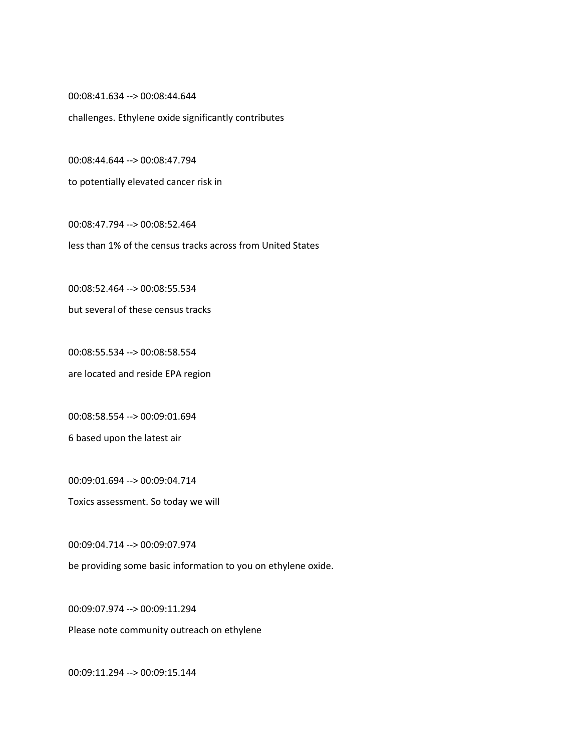00:08:41.634 --> 00:08:44.644

challenges. Ethylene oxide significantly contributes

00:08:44.644 --> 00:08:47.794

to potentially elevated cancer risk in

00:08:47.794 --> 00:08:52.464 less than 1% of the census tracks across from United States

00:08:52.464 --> 00:08:55.534

but several of these census tracks

00:08:55.534 --> 00:08:58.554 are located and reside EPA region

00:08:58.554 --> 00:09:01.694 6 based upon the latest air

00:09:01.694 --> 00:09:04.714

Toxics assessment. So today we will

00:09:04.714 --> 00:09:07.974

be providing some basic information to you on ethylene oxide.

00:09:07.974 --> 00:09:11.294

Please note community outreach on ethylene

00:09:11.294 --> 00:09:15.144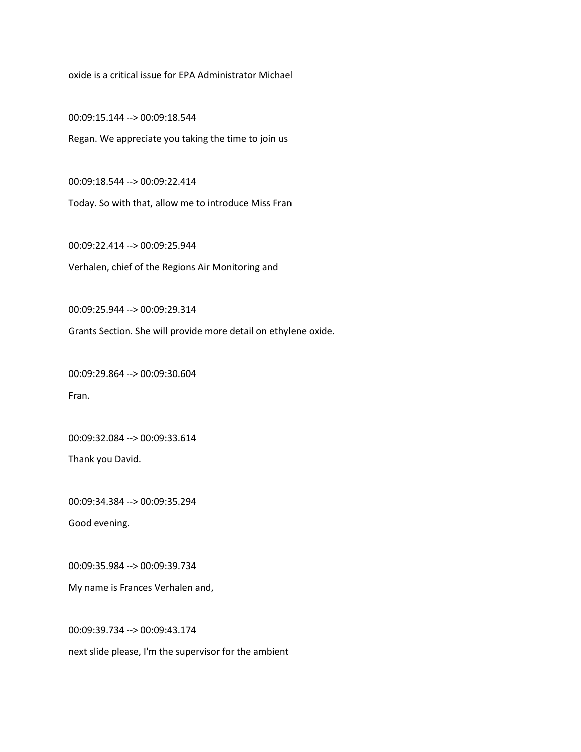oxide is a critical issue for EPA Administrator Michael

00:09:15.144 --> 00:09:18.544 Regan. We appreciate you taking the time to join us

00:09:18.544 --> 00:09:22.414

Today. So with that, allow me to introduce Miss Fran

00:09:22.414 --> 00:09:25.944 Verhalen, chief of the Regions Air Monitoring and

00:09:25.944 --> 00:09:29.314

Grants Section. She will provide more detail on ethylene oxide.

00:09:29.864 --> 00:09:30.604 Fran.

00:09:32.084 --> 00:09:33.614

Thank you David.

00:09:34.384 --> 00:09:35.294

Good evening.

00:09:35.984 --> 00:09:39.734

My name is Frances Verhalen and,

00:09:39.734 --> 00:09:43.174

next slide please, I'm the supervisor for the ambient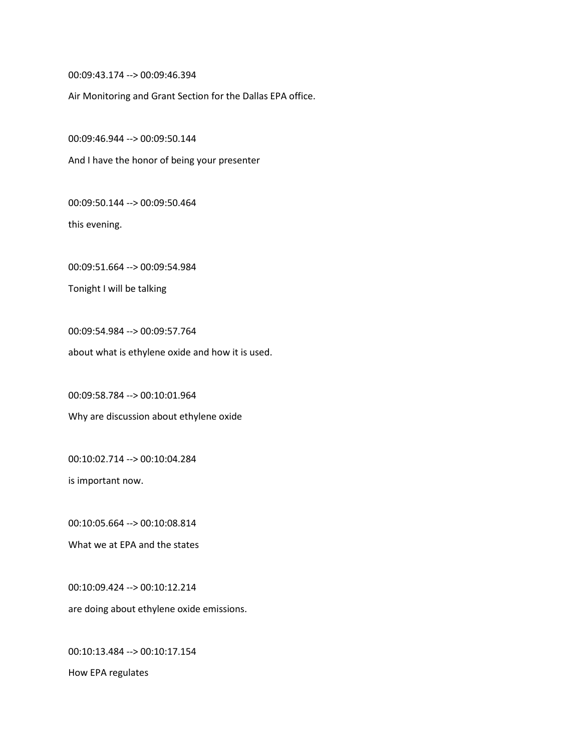00:09:43.174 --> 00:09:46.394

Air Monitoring and Grant Section for the Dallas EPA office.

00:09:46.944 --> 00:09:50.144

And I have the honor of being your presenter

00:09:50.144 --> 00:09:50.464

this evening.

00:09:51.664 --> 00:09:54.984

Tonight I will be talking

00:09:54.984 --> 00:09:57.764 about what is ethylene oxide and how it is used.

00:09:58.784 --> 00:10:01.964 Why are discussion about ethylene oxide

00:10:02.714 --> 00:10:04.284

is important now.

00:10:05.664 --> 00:10:08.814

What we at EPA and the states

00:10:09.424 --> 00:10:12.214 are doing about ethylene oxide emissions.

00:10:13.484 --> 00:10:17.154 How EPA regulates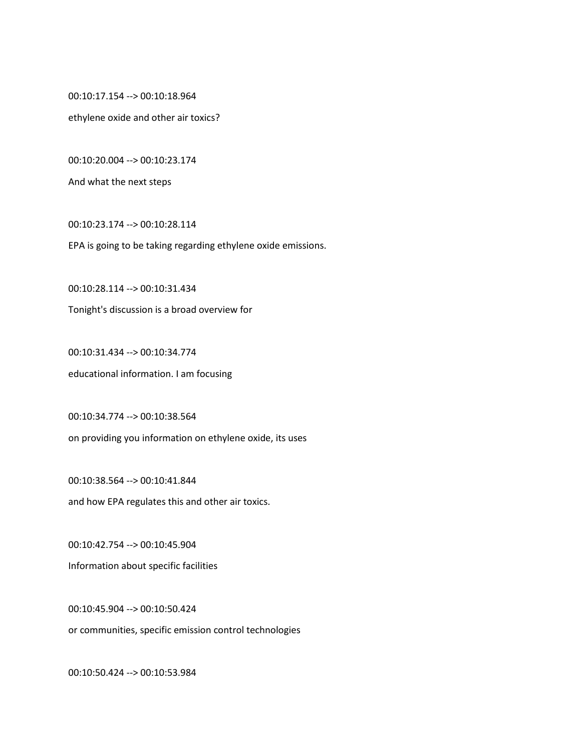00:10:17.154 --> 00:10:18.964

ethylene oxide and other air toxics?

00:10:20.004 --> 00:10:23.174

And what the next steps

00:10:23.174 --> 00:10:28.114

EPA is going to be taking regarding ethylene oxide emissions.

00:10:28.114 --> 00:10:31.434

Tonight's discussion is a broad overview for

00:10:31.434 --> 00:10:34.774 educational information. I am focusing

00:10:34.774 --> 00:10:38.564 on providing you information on ethylene oxide, its uses

00:10:38.564 --> 00:10:41.844 and how EPA regulates this and other air toxics.

00:10:42.754 --> 00:10:45.904 Information about specific facilities

00:10:45.904 --> 00:10:50.424 or communities, specific emission control technologies

00:10:50.424 --> 00:10:53.984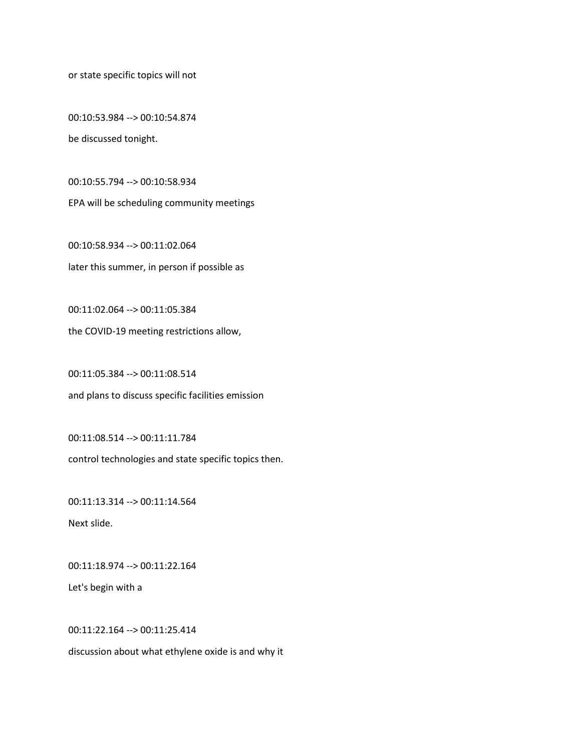or state specific topics will not

00:10:53.984 --> 00:10:54.874 be discussed tonight.

00:10:55.794 --> 00:10:58.934

EPA will be scheduling community meetings

00:10:58.934 --> 00:11:02.064 later this summer, in person if possible as

00:11:02.064 --> 00:11:05.384

the COVID-19 meeting restrictions allow,

00:11:05.384 --> 00:11:08.514 and plans to discuss specific facilities emission

00:11:08.514 --> 00:11:11.784

control technologies and state specific topics then.

00:11:13.314 --> 00:11:14.564 Next slide.

00:11:18.974 --> 00:11:22.164

Let's begin with a

00:11:22.164 --> 00:11:25.414

discussion about what ethylene oxide is and why it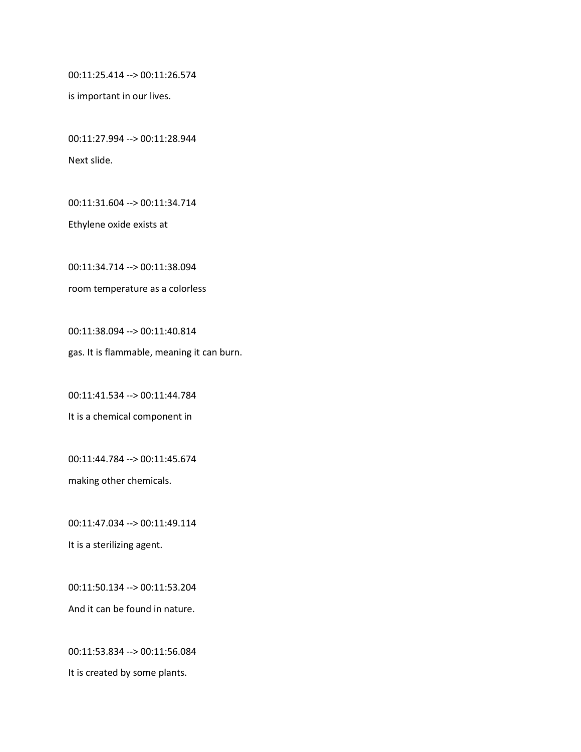00:11:25.414 --> 00:11:26.574

is important in our lives.

00:11:27.994 --> 00:11:28.944 Next slide.

00:11:31.604 --> 00:11:34.714

Ethylene oxide exists at

00:11:34.714 --> 00:11:38.094

room temperature as a colorless

00:11:38.094 --> 00:11:40.814 gas. It is flammable, meaning it can burn.

00:11:41.534 --> 00:11:44.784

It is a chemical component in

00:11:44.784 --> 00:11:45.674 making other chemicals.

00:11:47.034 --> 00:11:49.114 It is a sterilizing agent.

00:11:50.134 --> 00:11:53.204 And it can be found in nature.

00:11:53.834 --> 00:11:56.084 It is created by some plants.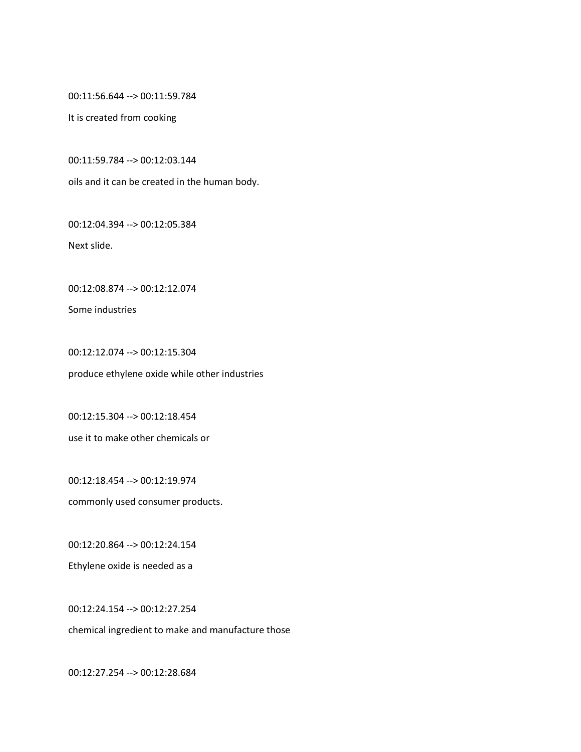00:11:56.644 --> 00:11:59.784

It is created from cooking

00:11:59.784 --> 00:12:03.144

oils and it can be created in the human body.

00:12:04.394 --> 00:12:05.384

Next slide.

00:12:08.874 --> 00:12:12.074

Some industries

00:12:12.074 --> 00:12:15.304 produce ethylene oxide while other industries

00:12:15.304 --> 00:12:18.454 use it to make other chemicals or

00:12:18.454 --> 00:12:19.974 commonly used consumer products.

00:12:20.864 --> 00:12:24.154

Ethylene oxide is needed as a

00:12:24.154 --> 00:12:27.254

chemical ingredient to make and manufacture those

00:12:27.254 --> 00:12:28.684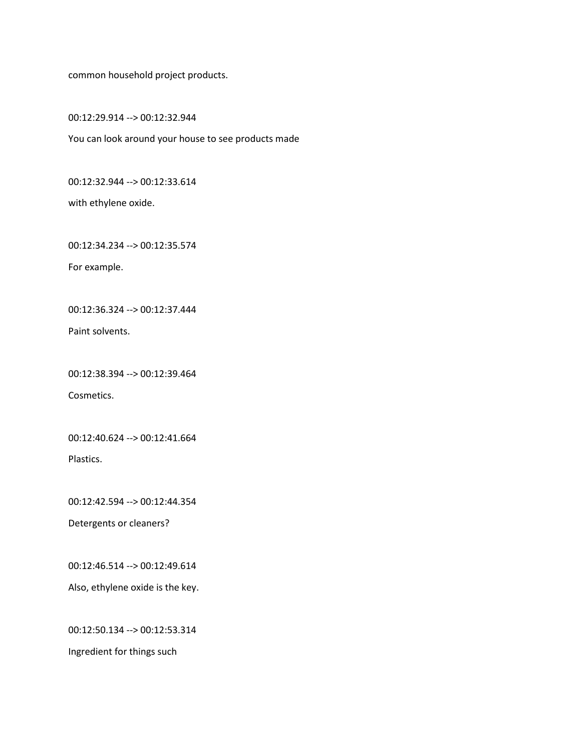common household project products.

00:12:29.914 --> 00:12:32.944

You can look around your house to see products made

00:12:32.944 --> 00:12:33.614

with ethylene oxide.

00:12:34.234 --> 00:12:35.574

For example.

00:12:36.324 --> 00:12:37.444

Paint solvents.

00:12:38.394 --> 00:12:39.464

Cosmetics.

00:12:40.624 --> 00:12:41.664

Plastics.

00:12:42.594 --> 00:12:44.354

Detergents or cleaners?

00:12:46.514 --> 00:12:49.614

Also, ethylene oxide is the key.

00:12:50.134 --> 00:12:53.314

Ingredient for things such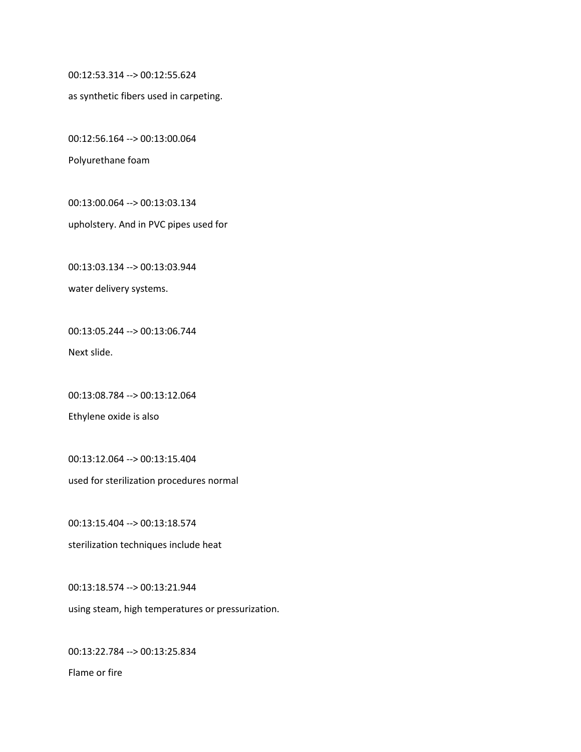00:12:53.314 --> 00:12:55.624

as synthetic fibers used in carpeting.

00:12:56.164 --> 00:13:00.064

Polyurethane foam

00:13:00.064 --> 00:13:03.134

upholstery. And in PVC pipes used for

00:13:03.134 --> 00:13:03.944 water delivery systems.

00:13:05.244 --> 00:13:06.744 Next slide.

00:13:08.784 --> 00:13:12.064

Ethylene oxide is also

00:13:12.064 --> 00:13:15.404 used for sterilization procedures normal

00:13:15.404 --> 00:13:18.574 sterilization techniques include heat

00:13:18.574 --> 00:13:21.944 using steam, high temperatures or pressurization.

00:13:22.784 --> 00:13:25.834 Flame or fire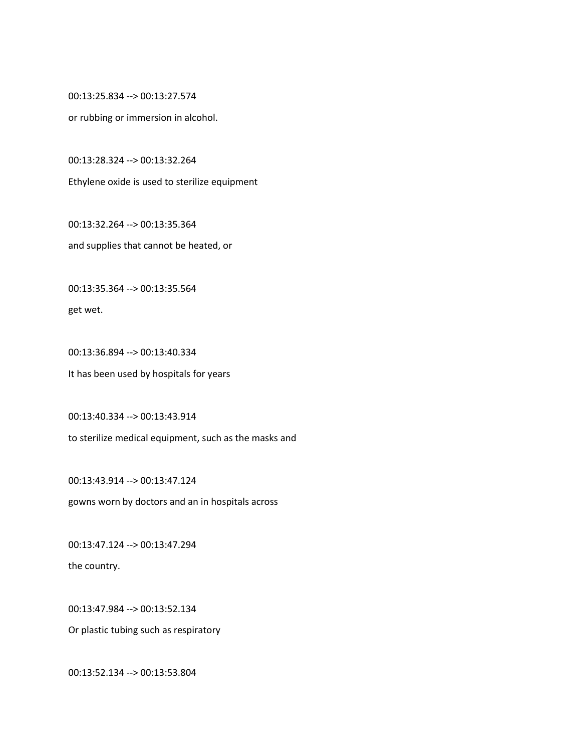00:13:25.834 --> 00:13:27.574

or rubbing or immersion in alcohol.

00:13:28.324 --> 00:13:32.264

Ethylene oxide is used to sterilize equipment

00:13:32.264 --> 00:13:35.364 and supplies that cannot be heated, or

00:13:35.364 --> 00:13:35.564

get wet.

00:13:36.894 --> 00:13:40.334 It has been used by hospitals for years

00:13:40.334 --> 00:13:43.914 to sterilize medical equipment, such as the masks and

00:13:43.914 --> 00:13:47.124 gowns worn by doctors and an in hospitals across

00:13:47.124 --> 00:13:47.294 the country.

00:13:47.984 --> 00:13:52.134

Or plastic tubing such as respiratory

00:13:52.134 --> 00:13:53.804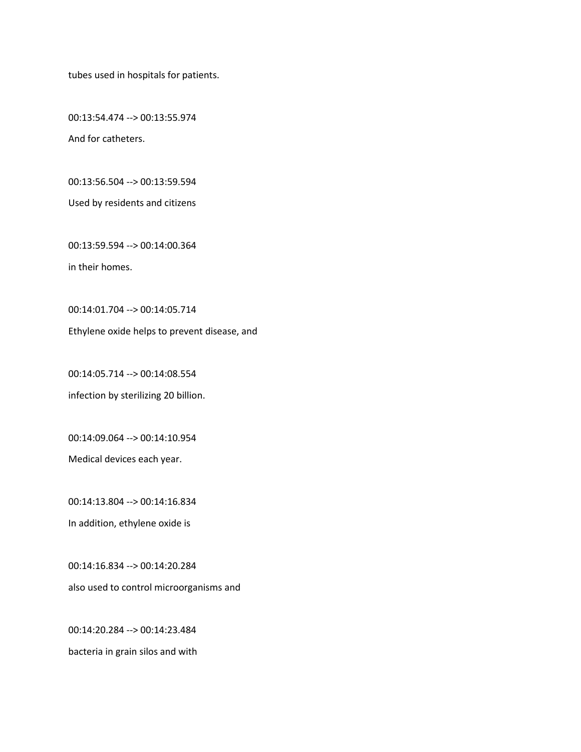tubes used in hospitals for patients.

00:13:54.474 --> 00:13:55.974 And for catheters.

00:13:56.504 --> 00:13:59.594

Used by residents and citizens

00:13:59.594 --> 00:14:00.364 in their homes.

00:14:01.704 --> 00:14:05.714

Ethylene oxide helps to prevent disease, and

00:14:05.714 --> 00:14:08.554 infection by sterilizing 20 billion.

00:14:09.064 --> 00:14:10.954

Medical devices each year.

00:14:13.804 --> 00:14:16.834 In addition, ethylene oxide is

00:14:16.834 --> 00:14:20.284 also used to control microorganisms and

00:14:20.284 --> 00:14:23.484 bacteria in grain silos and with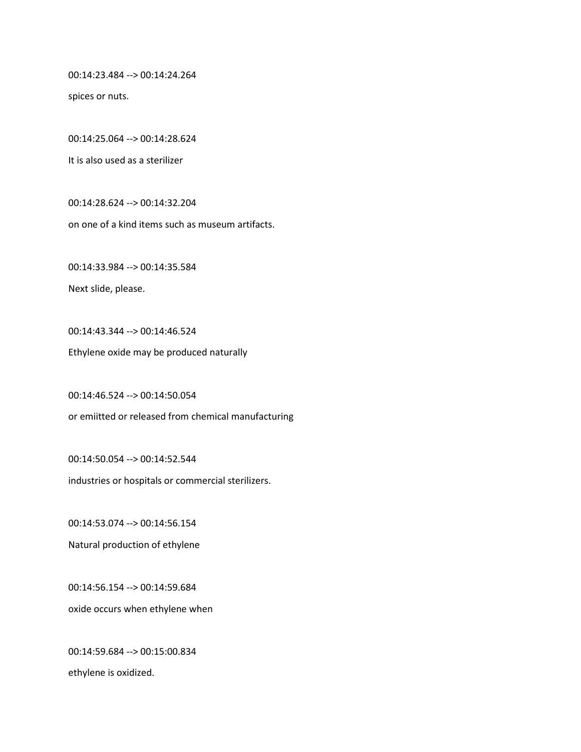00:14:23.484 --> 00:14:24.264

spices or nuts.

00:14:25.064 --> 00:14:28.624

It is also used as a sterilizer

00:14:28.624 --> 00:14:32.204

on one of a kind items such as museum artifacts.

00:14:33.984 --> 00:14:35.584

Next slide, please.

00:14:43.344 --> 00:14:46.524 Ethylene oxide may be produced naturally

00:14:46.524 --> 00:14:50.054 or emiitted or released from chemical manufacturing

00:14:50.054 --> 00:14:52.544 industries or hospitals or commercial sterilizers.

00:14:53.074 --> 00:14:56.154 Natural production of ethylene

00:14:56.154 --> 00:14:59.684 oxide occurs when ethylene when

00:14:59.684 --> 00:15:00.834 ethylene is oxidized.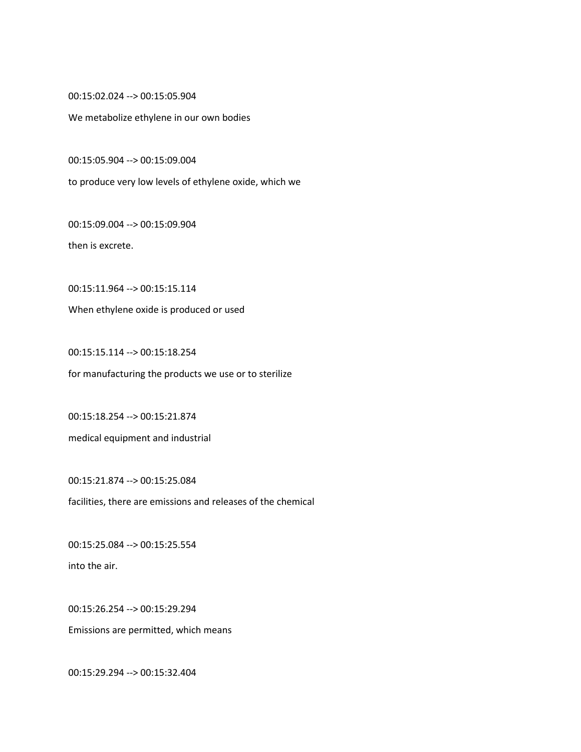00:15:02.024 --> 00:15:05.904

We metabolize ethylene in our own bodies

00:15:05.904 --> 00:15:09.004

to produce very low levels of ethylene oxide, which we

00:15:09.004 --> 00:15:09.904

then is excrete.

00:15:11.964 --> 00:15:15.114

When ethylene oxide is produced or used

00:15:15.114 --> 00:15:18.254 for manufacturing the products we use or to sterilize

00:15:18.254 --> 00:15:21.874 medical equipment and industrial

00:15:21.874 --> 00:15:25.084 facilities, there are emissions and releases of the chemical

00:15:25.084 --> 00:15:25.554 into the air.

00:15:26.254 --> 00:15:29.294 Emissions are permitted, which means

00:15:29.294 --> 00:15:32.404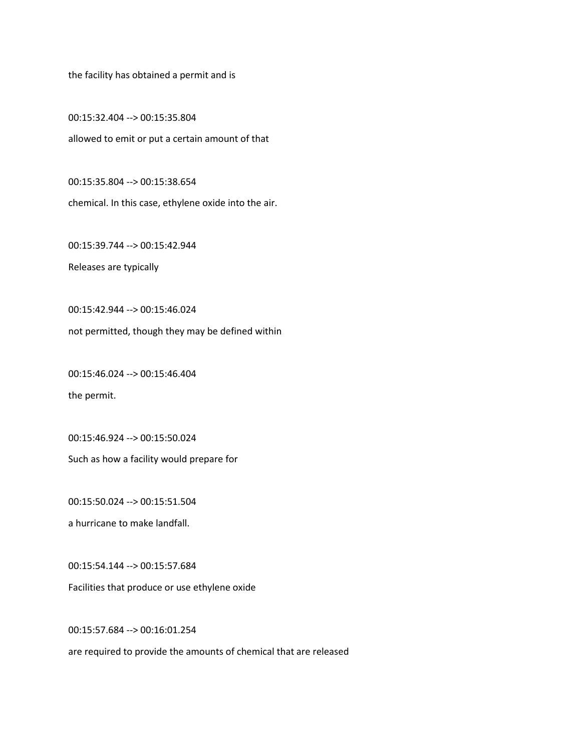the facility has obtained a permit and is

00:15:32.404 --> 00:15:35.804 allowed to emit or put a certain amount of that

00:15:35.804 --> 00:15:38.654 chemical. In this case, ethylene oxide into the air.

00:15:39.744 --> 00:15:42.944

Releases are typically

00:15:42.944 --> 00:15:46.024

not permitted, though they may be defined within

00:15:46.024 --> 00:15:46.404

the permit.

00:15:46.924 --> 00:15:50.024

Such as how a facility would prepare for

00:15:50.024 --> 00:15:51.504

a hurricane to make landfall.

00:15:54.144 --> 00:15:57.684 Facilities that produce or use ethylene oxide

00:15:57.684 --> 00:16:01.254

are required to provide the amounts of chemical that are released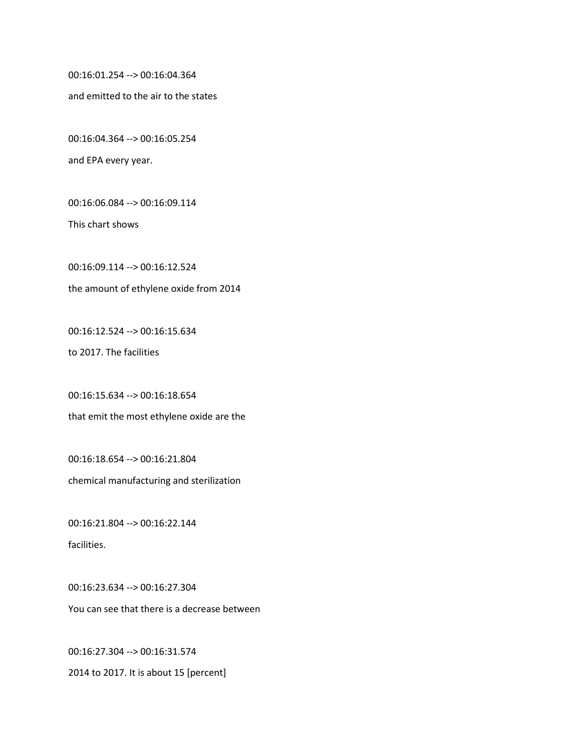00:16:01.254 --> 00:16:04.364

and emitted to the air to the states

00:16:04.364 --> 00:16:05.254

and EPA every year.

00:16:06.084 --> 00:16:09.114

This chart shows

00:16:09.114 --> 00:16:12.524

the amount of ethylene oxide from 2014

00:16:12.524 --> 00:16:15.634

to 2017. The facilities

00:16:15.634 --> 00:16:18.654 that emit the most ethylene oxide are the

00:16:18.654 --> 00:16:21.804 chemical manufacturing and sterilization

00:16:21.804 --> 00:16:22.144 facilities.

00:16:23.634 --> 00:16:27.304 You can see that there is a decrease between

00:16:27.304 --> 00:16:31.574 2014 to 2017. It is about 15 [percent]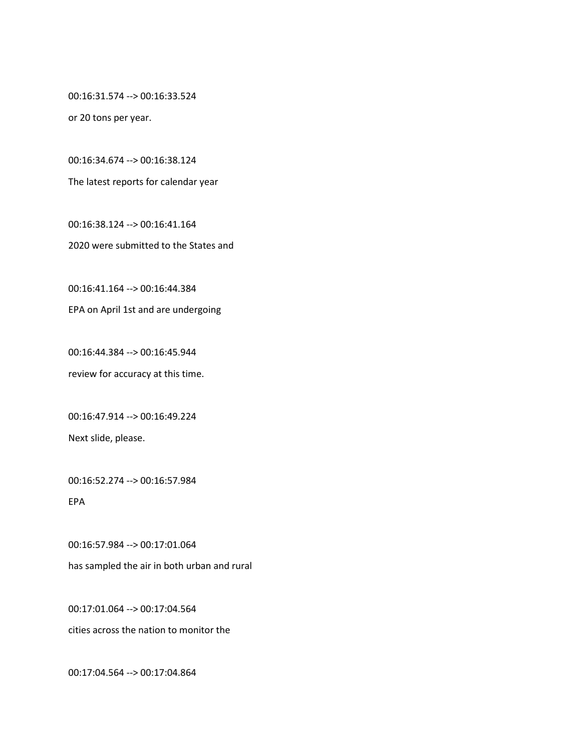00:16:31.574 --> 00:16:33.524

or 20 tons per year.

00:16:34.674 --> 00:16:38.124

The latest reports for calendar year

00:16:38.124 --> 00:16:41.164 2020 were submitted to the States and

00:16:41.164 --> 00:16:44.384

EPA on April 1st and are undergoing

00:16:44.384 --> 00:16:45.944 review for accuracy at this time.

00:16:47.914 --> 00:16:49.224 Next slide, please.

00:16:52.274 --> 00:16:57.984

EPA

00:16:57.984 --> 00:17:01.064 has sampled the air in both urban and rural

00:17:01.064 --> 00:17:04.564 cities across the nation to monitor the

00:17:04.564 --> 00:17:04.864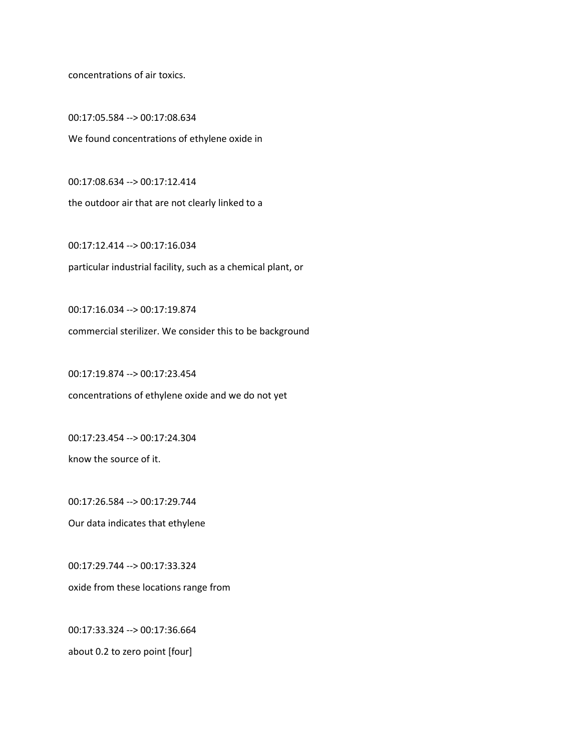concentrations of air toxics.

00:17:05.584 --> 00:17:08.634 We found concentrations of ethylene oxide in

00:17:08.634 --> 00:17:12.414 the outdoor air that are not clearly linked to a

00:17:12.414 --> 00:17:16.034 particular industrial facility, such as a chemical plant, or

00:17:16.034 --> 00:17:19.874 commercial sterilizer. We consider this to be background

00:17:19.874 --> 00:17:23.454 concentrations of ethylene oxide and we do not yet

00:17:23.454 --> 00:17:24.304

know the source of it.

00:17:26.584 --> 00:17:29.744

Our data indicates that ethylene

00:17:29.744 --> 00:17:33.324 oxide from these locations range from

00:17:33.324 --> 00:17:36.664 about 0.2 to zero point [four]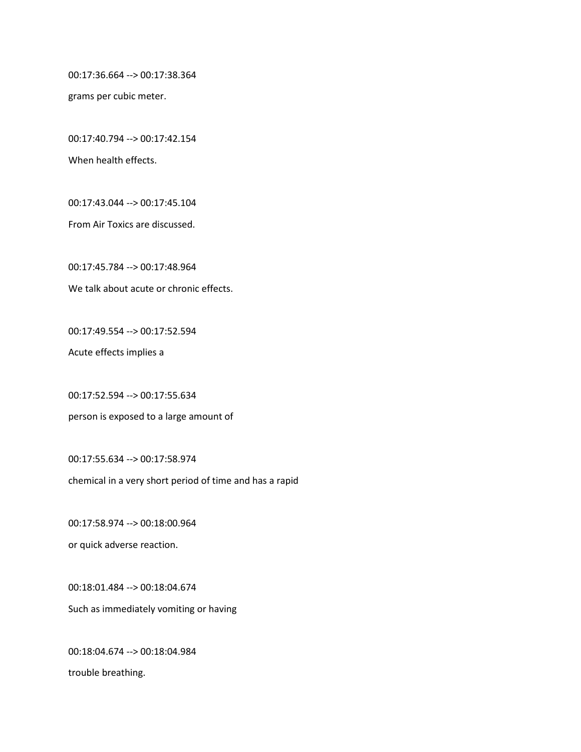00:17:36.664 --> 00:17:38.364

grams per cubic meter.

00:17:40.794 --> 00:17:42.154

When health effects.

00:17:43.044 --> 00:17:45.104

From Air Toxics are discussed.

00:17:45.784 --> 00:17:48.964

We talk about acute or chronic effects.

00:17:49.554 --> 00:17:52.594

Acute effects implies a

00:17:52.594 --> 00:17:55.634

person is exposed to a large amount of

00:17:55.634 --> 00:17:58.974

chemical in a very short period of time and has a rapid

00:17:58.974 --> 00:18:00.964

or quick adverse reaction.

00:18:01.484 --> 00:18:04.674 Such as immediately vomiting or having

00:18:04.674 --> 00:18:04.984 trouble breathing.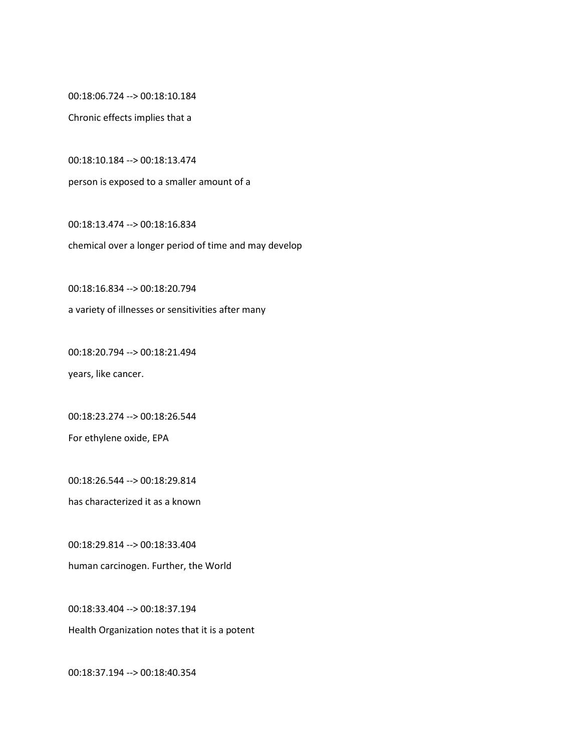00:18:06.724 --> 00:18:10.184

Chronic effects implies that a

00:18:10.184 --> 00:18:13.474

person is exposed to a smaller amount of a

00:18:13.474 --> 00:18:16.834 chemical over a longer period of time and may develop

00:18:16.834 --> 00:18:20.794

a variety of illnesses or sensitivities after many

00:18:20.794 --> 00:18:21.494

years, like cancer.

00:18:23.274 --> 00:18:26.544

For ethylene oxide, EPA

00:18:26.544 --> 00:18:29.814

has characterized it as a known

00:18:29.814 --> 00:18:33.404

human carcinogen. Further, the World

00:18:33.404 --> 00:18:37.194

Health Organization notes that it is a potent

00:18:37.194 --> 00:18:40.354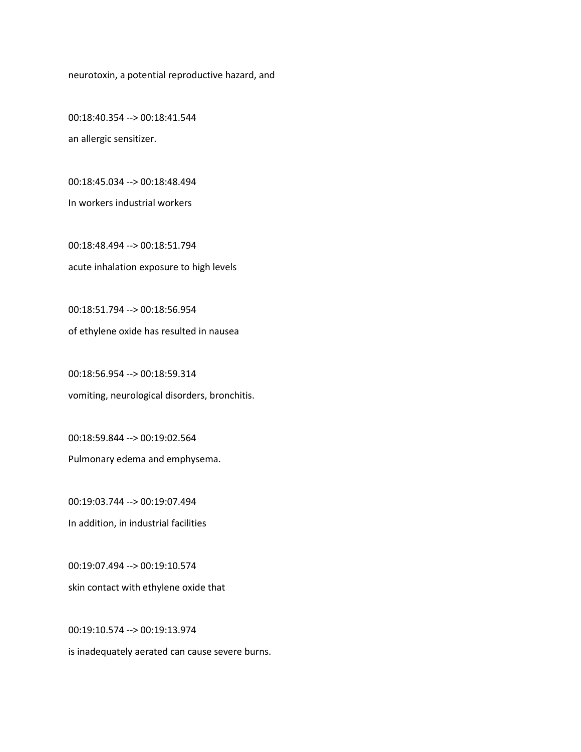neurotoxin, a potential reproductive hazard, and

00:18:40.354 --> 00:18:41.544 an allergic sensitizer.

00:18:45.034 --> 00:18:48.494

In workers industrial workers

00:18:48.494 --> 00:18:51.794 acute inhalation exposure to high levels

00:18:51.794 --> 00:18:56.954

of ethylene oxide has resulted in nausea

00:18:56.954 --> 00:18:59.314 vomiting, neurological disorders, bronchitis.

00:18:59.844 --> 00:19:02.564 Pulmonary edema and emphysema.

00:19:03.744 --> 00:19:07.494 In addition, in industrial facilities

00:19:07.494 --> 00:19:10.574 skin contact with ethylene oxide that

00:19:10.574 --> 00:19:13.974

is inadequately aerated can cause severe burns.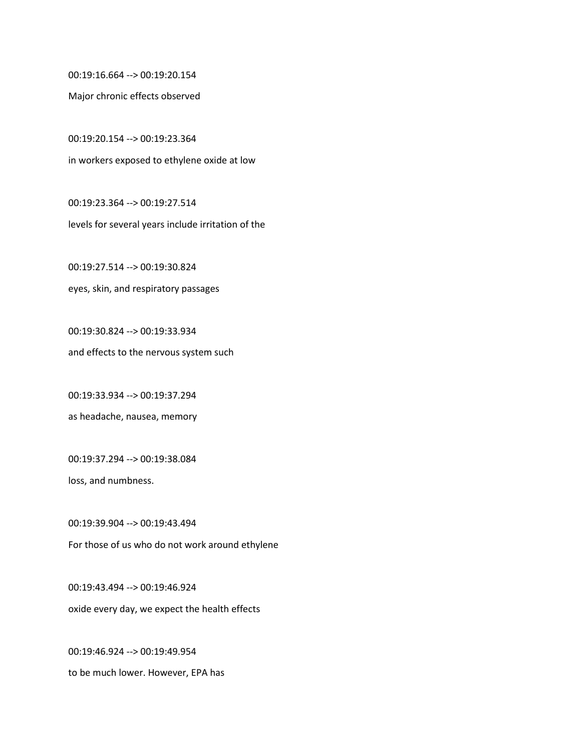00:19:16.664 --> 00:19:20.154

Major chronic effects observed

00:19:20.154 --> 00:19:23.364 in workers exposed to ethylene oxide at low

00:19:23.364 --> 00:19:27.514 levels for several years include irritation of the

00:19:27.514 --> 00:19:30.824 eyes, skin, and respiratory passages

00:19:30.824 --> 00:19:33.934 and effects to the nervous system such

00:19:33.934 --> 00:19:37.294 as headache, nausea, memory

00:19:37.294 --> 00:19:38.084

loss, and numbness.

00:19:39.904 --> 00:19:43.494 For those of us who do not work around ethylene

00:19:43.494 --> 00:19:46.924 oxide every day, we expect the health effects

00:19:46.924 --> 00:19:49.954 to be much lower. However, EPA has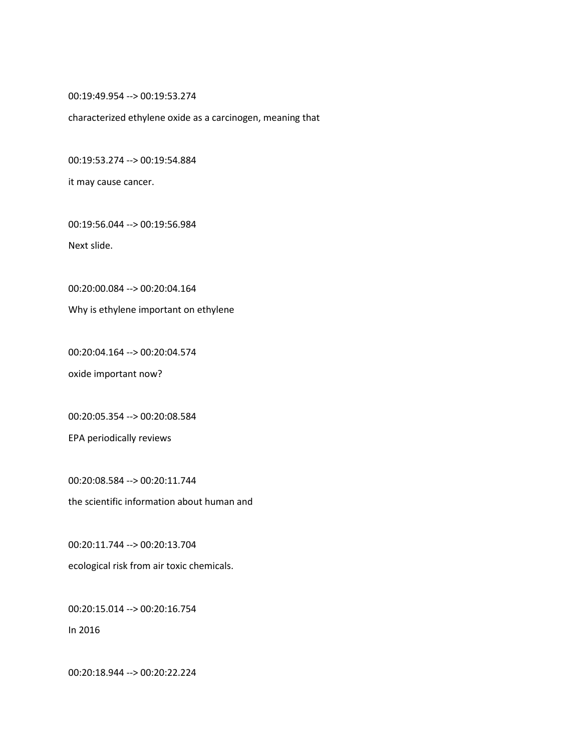00:19:49.954 --> 00:19:53.274

characterized ethylene oxide as a carcinogen, meaning that

00:19:53.274 --> 00:19:54.884

it may cause cancer.

00:19:56.044 --> 00:19:56.984

Next slide.

00:20:00.084 --> 00:20:04.164

Why is ethylene important on ethylene

00:20:04.164 --> 00:20:04.574

oxide important now?

00:20:05.354 --> 00:20:08.584

EPA periodically reviews

00:20:08.584 --> 00:20:11.744 the scientific information about human and

00:20:11.744 --> 00:20:13.704 ecological risk from air toxic chemicals.

00:20:15.014 --> 00:20:16.754

In 2016

00:20:18.944 --> 00:20:22.224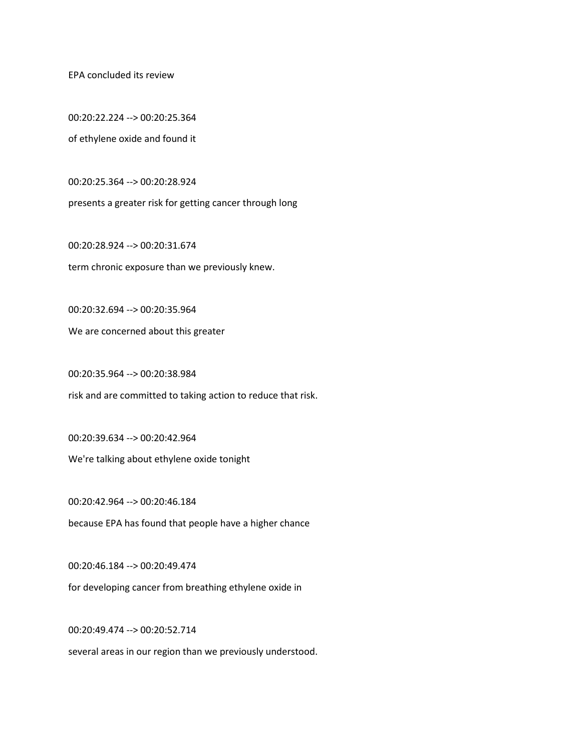EPA concluded its review

00:20:22.224 --> 00:20:25.364 of ethylene oxide and found it

00:20:25.364 --> 00:20:28.924

presents a greater risk for getting cancer through long

00:20:28.924 --> 00:20:31.674 term chronic exposure than we previously knew.

00:20:32.694 --> 00:20:35.964

We are concerned about this greater

00:20:35.964 --> 00:20:38.984

risk and are committed to taking action to reduce that risk.

00:20:39.634 --> 00:20:42.964

We're talking about ethylene oxide tonight

00:20:42.964 --> 00:20:46.184

because EPA has found that people have a higher chance

00:20:46.184 --> 00:20:49.474

for developing cancer from breathing ethylene oxide in

00:20:49.474 --> 00:20:52.714

several areas in our region than we previously understood.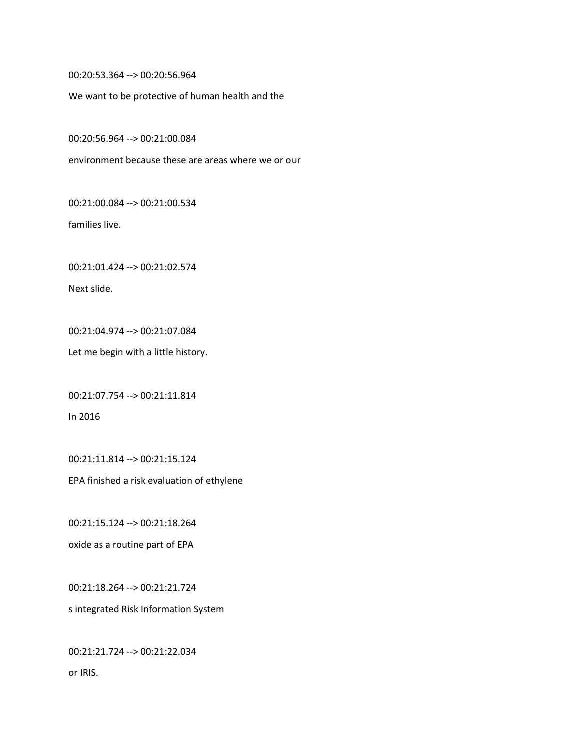00:20:53.364 --> 00:20:56.964

We want to be protective of human health and the

00:20:56.964 --> 00:21:00.084

environment because these are areas where we or our

00:21:00.084 --> 00:21:00.534

families live.

00:21:01.424 --> 00:21:02.574

Next slide.

00:21:04.974 --> 00:21:07.084

Let me begin with a little history.

00:21:07.754 --> 00:21:11.814

In 2016

00:21:11.814 --> 00:21:15.124

EPA finished a risk evaluation of ethylene

00:21:15.124 --> 00:21:18.264

oxide as a routine part of EPA

00:21:18.264 --> 00:21:21.724 s integrated Risk Information System

00:21:21.724 --> 00:21:22.034 or IRIS.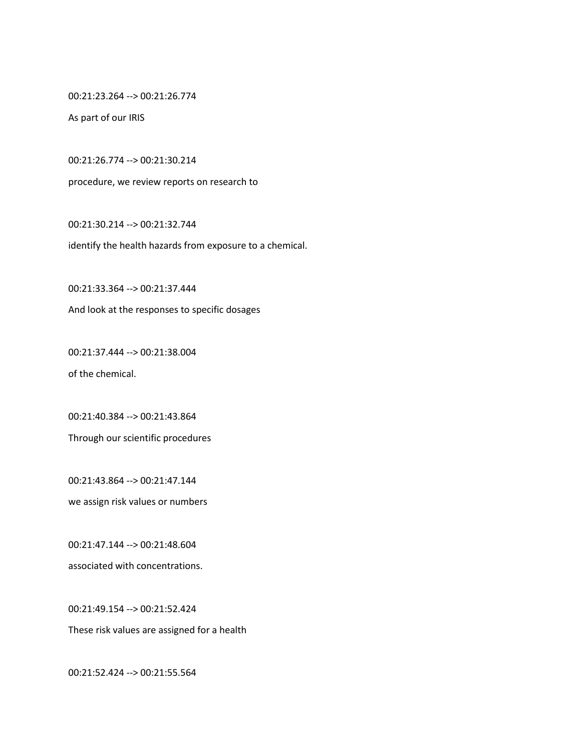00:21:23.264 --> 00:21:26.774

As part of our IRIS

00:21:26.774 --> 00:21:30.214

procedure, we review reports on research to

00:21:30.214 --> 00:21:32.744

identify the health hazards from exposure to a chemical.

00:21:33.364 --> 00:21:37.444

And look at the responses to specific dosages

00:21:37.444 --> 00:21:38.004 of the chemical.

00:21:40.384 --> 00:21:43.864 Through our scientific procedures

00:21:43.864 --> 00:21:47.144 we assign risk values or numbers

00:21:47.144 --> 00:21:48.604 associated with concentrations.

00:21:49.154 --> 00:21:52.424

These risk values are assigned for a health

00:21:52.424 --> 00:21:55.564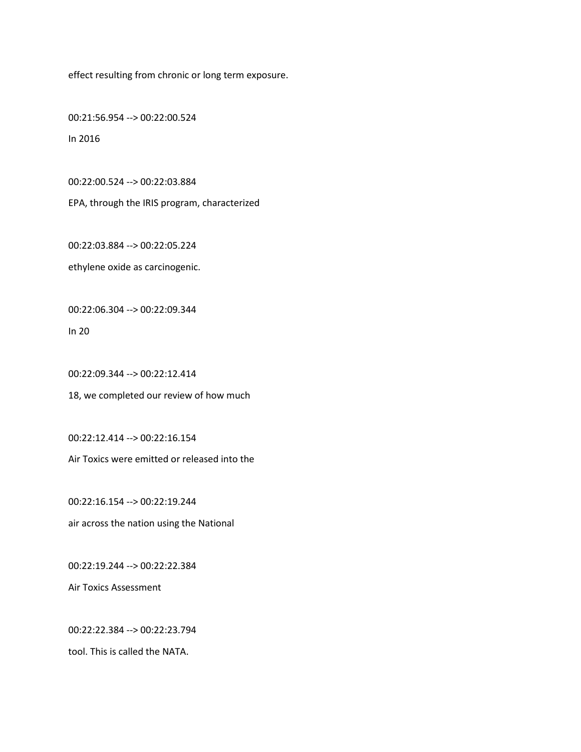effect resulting from chronic or long term exposure.

00:21:56.954 --> 00:22:00.524 In 2016

00:22:00.524 --> 00:22:03.884

EPA, through the IRIS program, characterized

00:22:03.884 --> 00:22:05.224

ethylene oxide as carcinogenic.

00:22:06.304 --> 00:22:09.344

In 20

00:22:09.344 --> 00:22:12.414

18, we completed our review of how much

00:22:12.414 --> 00:22:16.154

Air Toxics were emitted or released into the

00:22:16.154 --> 00:22:19.244 air across the nation using the National

00:22:19.244 --> 00:22:22.384

Air Toxics Assessment

00:22:22.384 --> 00:22:23.794

tool. This is called the NATA.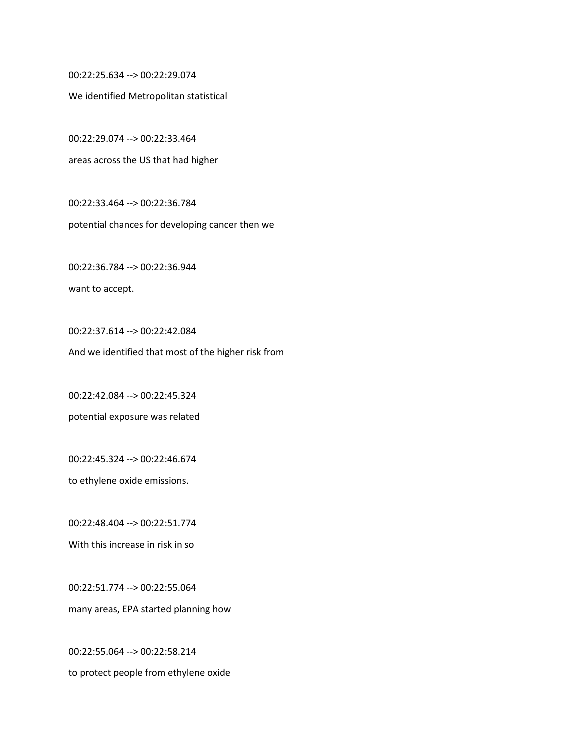00:22:25.634 --> 00:22:29.074

We identified Metropolitan statistical

00:22:29.074 --> 00:22:33.464 areas across the US that had higher

00:22:33.464 --> 00:22:36.784 potential chances for developing cancer then we

00:22:36.784 --> 00:22:36.944 want to accept.

00:22:37.614 --> 00:22:42.084 And we identified that most of the higher risk from

00:22:42.084 --> 00:22:45.324 potential exposure was related

00:22:45.324 --> 00:22:46.674

to ethylene oxide emissions.

00:22:48.404 --> 00:22:51.774 With this increase in risk in so

00:22:51.774 --> 00:22:55.064 many areas, EPA started planning how

00:22:55.064 --> 00:22:58.214 to protect people from ethylene oxide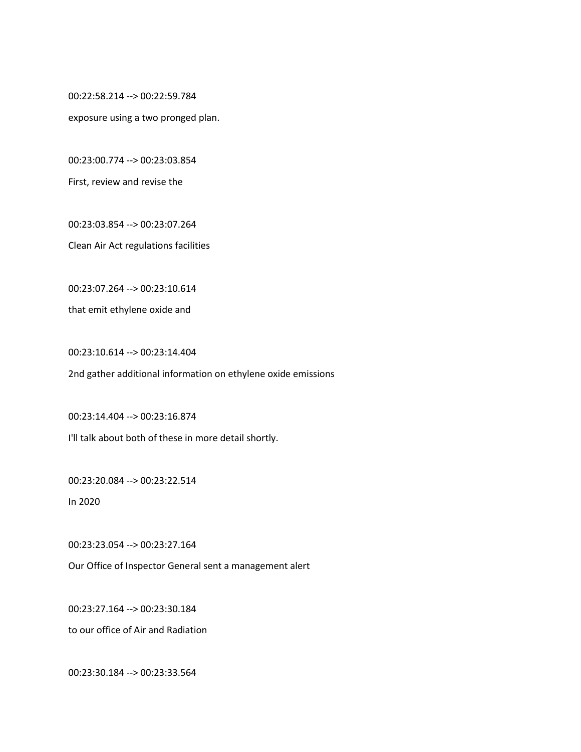00:22:58.214 --> 00:22:59.784

exposure using a two pronged plan.

00:23:00.774 --> 00:23:03.854

First, review and revise the

00:23:03.854 --> 00:23:07.264

Clean Air Act regulations facilities

00:23:07.264 --> 00:23:10.614

that emit ethylene oxide and

00:23:10.614 --> 00:23:14.404

2nd gather additional information on ethylene oxide emissions

00:23:14.404 --> 00:23:16.874 I'll talk about both of these in more detail shortly.

00:23:20.084 --> 00:23:22.514

In 2020

00:23:23.054 --> 00:23:27.164

Our Office of Inspector General sent a management alert

00:23:27.164 --> 00:23:30.184

to our office of Air and Radiation

00:23:30.184 --> 00:23:33.564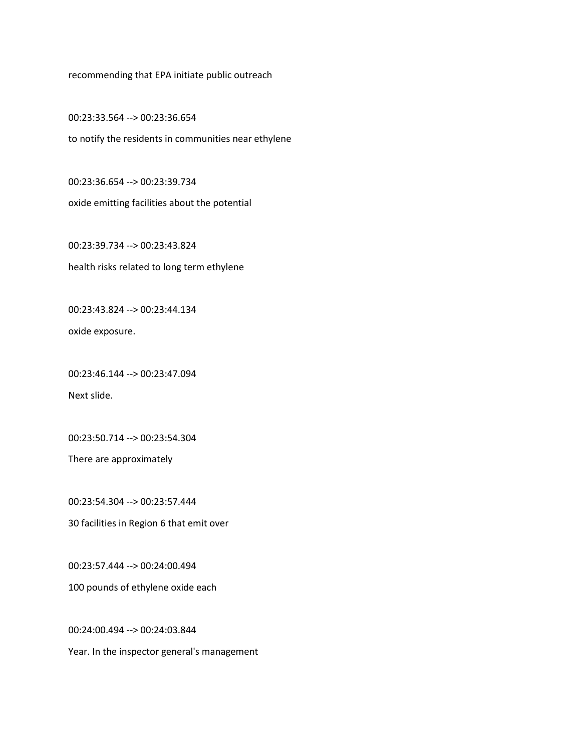recommending that EPA initiate public outreach

00:23:33.564 --> 00:23:36.654 to notify the residents in communities near ethylene

00:23:36.654 --> 00:23:39.734 oxide emitting facilities about the potential

00:23:39.734 --> 00:23:43.824 health risks related to long term ethylene

00:23:43.824 --> 00:23:44.134

oxide exposure.

00:23:46.144 --> 00:23:47.094

Next slide.

00:23:50.714 --> 00:23:54.304

There are approximately

00:23:54.304 --> 00:23:57.444

30 facilities in Region 6 that emit over

00:23:57.444 --> 00:24:00.494

100 pounds of ethylene oxide each

00:24:00.494 --> 00:24:03.844

Year. In the inspector general's management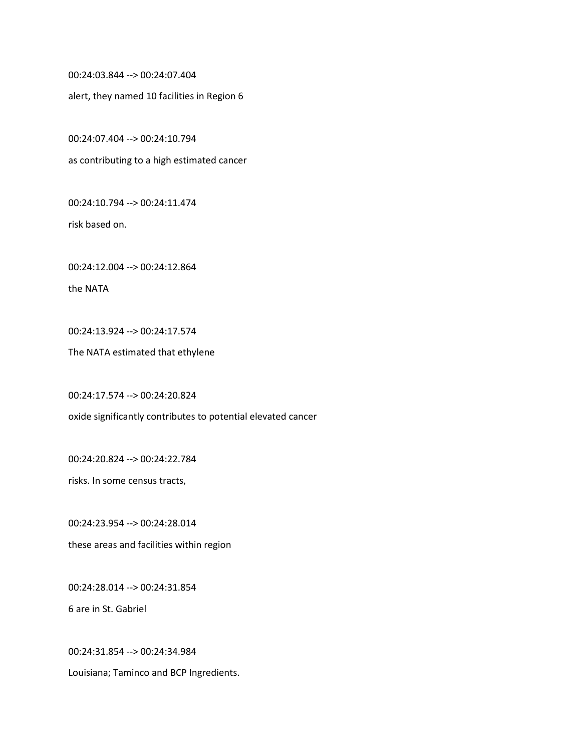00:24:03.844 --> 00:24:07.404

alert, they named 10 facilities in Region 6

00:24:07.404 --> 00:24:10.794

as contributing to a high estimated cancer

00:24:10.794 --> 00:24:11.474

risk based on.

00:24:12.004 --> 00:24:12.864

the NATA

00:24:13.924 --> 00:24:17.574

The NATA estimated that ethylene

00:24:17.574 --> 00:24:20.824

oxide significantly contributes to potential elevated cancer

00:24:20.824 --> 00:24:22.784

risks. In some census tracts,

00:24:23.954 --> 00:24:28.014

these areas and facilities within region

00:24:28.014 --> 00:24:31.854

6 are in St. Gabriel

00:24:31.854 --> 00:24:34.984

Louisiana; Taminco and BCP Ingredients.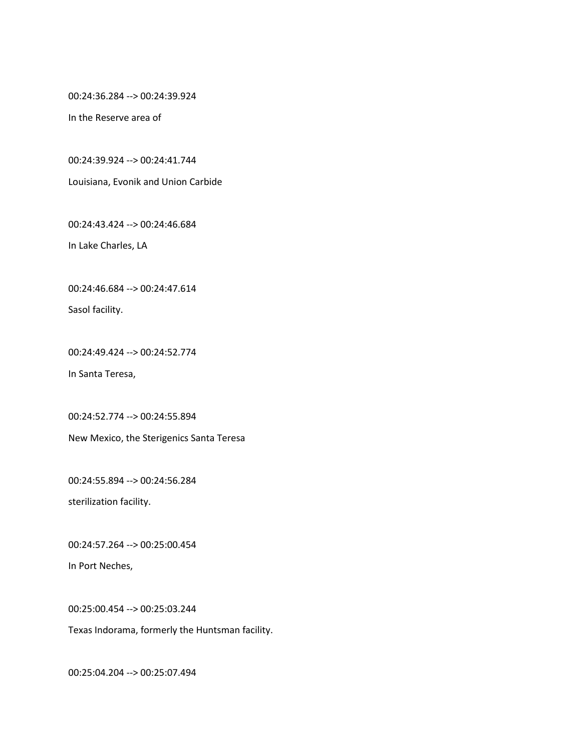00:24:36.284 --> 00:24:39.924

In the Reserve area of

00:24:39.924 --> 00:24:41.744

Louisiana, Evonik and Union Carbide

00:24:43.424 --> 00:24:46.684

In Lake Charles, LA

00:24:46.684 --> 00:24:47.614

Sasol facility.

00:24:49.424 --> 00:24:52.774

In Santa Teresa,

00:24:52.774 --> 00:24:55.894

New Mexico, the Sterigenics Santa Teresa

00:24:55.894 --> 00:24:56.284

sterilization facility.

00:24:57.264 --> 00:25:00.454

In Port Neches,

00:25:00.454 --> 00:25:03.244

Texas Indorama, formerly the Huntsman facility.

00:25:04.204 --> 00:25:07.494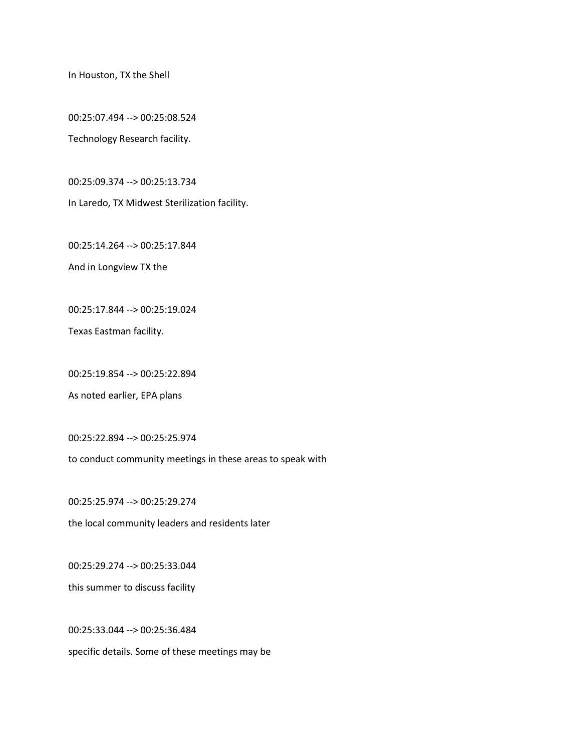In Houston, TX the Shell

00:25:07.494 --> 00:25:08.524

Technology Research facility.

00:25:09.374 --> 00:25:13.734

In Laredo, TX Midwest Sterilization facility.

00:25:14.264 --> 00:25:17.844

And in Longview TX the

00:25:17.844 --> 00:25:19.024

Texas Eastman facility.

00:25:19.854 --> 00:25:22.894

As noted earlier, EPA plans

00:25:22.894 --> 00:25:25.974

to conduct community meetings in these areas to speak with

00:25:25.974 --> 00:25:29.274

the local community leaders and residents later

00:25:29.274 --> 00:25:33.044

this summer to discuss facility

00:25:33.044 --> 00:25:36.484 specific details. Some of these meetings may be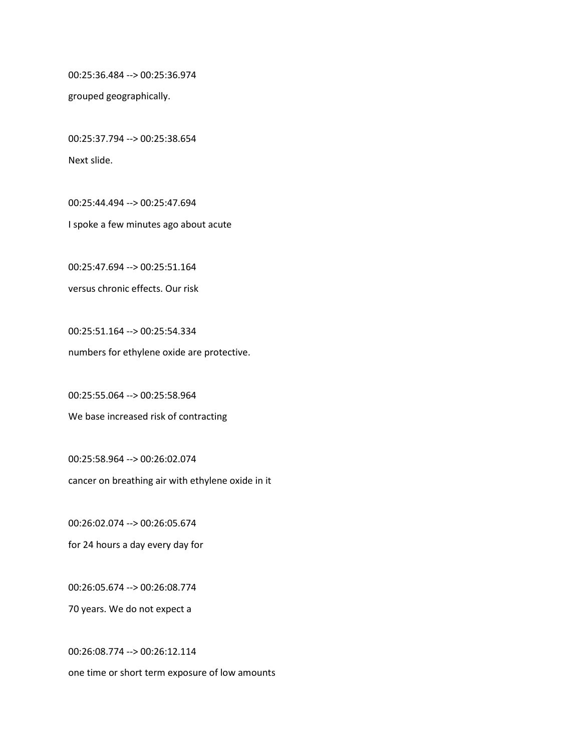00:25:36.484 --> 00:25:36.974

grouped geographically.

00:25:37.794 --> 00:25:38.654 Next slide.

00:25:44.494 --> 00:25:47.694 I spoke a few minutes ago about acute

00:25:47.694 --> 00:25:51.164 versus chronic effects. Our risk

00:25:51.164 --> 00:25:54.334 numbers for ethylene oxide are protective.

00:25:55.064 --> 00:25:58.964 We base increased risk of contracting

00:25:58.964 --> 00:26:02.074 cancer on breathing air with ethylene oxide in it

00:26:02.074 --> 00:26:05.674

for 24 hours a day every day for

00:26:05.674 --> 00:26:08.774

70 years. We do not expect a

00:26:08.774 --> 00:26:12.114 one time or short term exposure of low amounts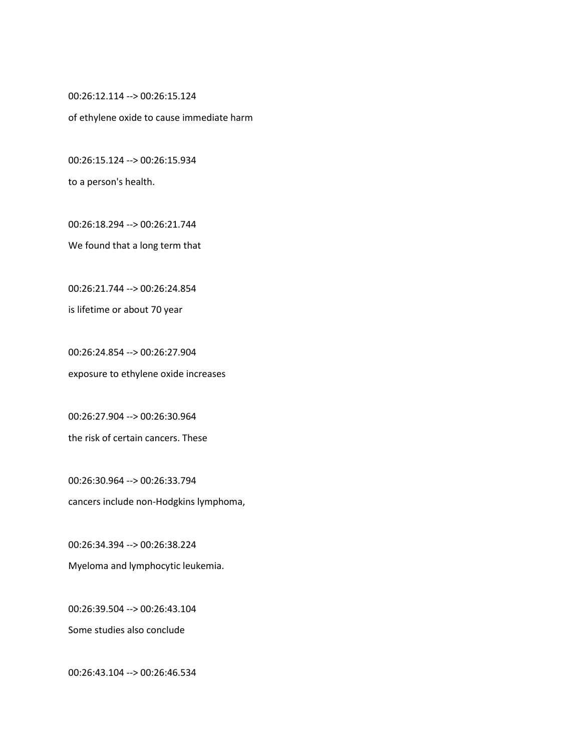00:26:12.114 --> 00:26:15.124

of ethylene oxide to cause immediate harm

00:26:15.124 --> 00:26:15.934

to a person's health.

00:26:18.294 --> 00:26:21.744

We found that a long term that

00:26:21.744 --> 00:26:24.854

is lifetime or about 70 year

00:26:24.854 --> 00:26:27.904 exposure to ethylene oxide increases

00:26:27.904 --> 00:26:30.964 the risk of certain cancers. These

00:26:30.964 --> 00:26:33.794 cancers include non-Hodgkins lymphoma,

00:26:34.394 --> 00:26:38.224 Myeloma and lymphocytic leukemia.

00:26:39.504 --> 00:26:43.104

Some studies also conclude

00:26:43.104 --> 00:26:46.534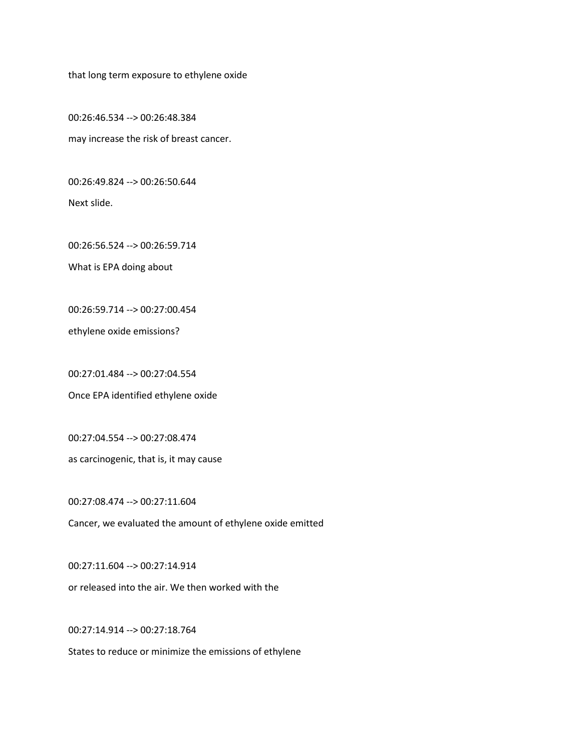that long term exposure to ethylene oxide

00:26:46.534 --> 00:26:48.384 may increase the risk of breast cancer.

00:26:49.824 --> 00:26:50.644

Next slide.

00:26:56.524 --> 00:26:59.714

What is EPA doing about

00:26:59.714 --> 00:27:00.454

ethylene oxide emissions?

00:27:01.484 --> 00:27:04.554

Once EPA identified ethylene oxide

00:27:04.554 --> 00:27:08.474

as carcinogenic, that is, it may cause

00:27:08.474 --> 00:27:11.604

Cancer, we evaluated the amount of ethylene oxide emitted

00:27:11.604 --> 00:27:14.914

or released into the air. We then worked with the

00:27:14.914 --> 00:27:18.764

States to reduce or minimize the emissions of ethylene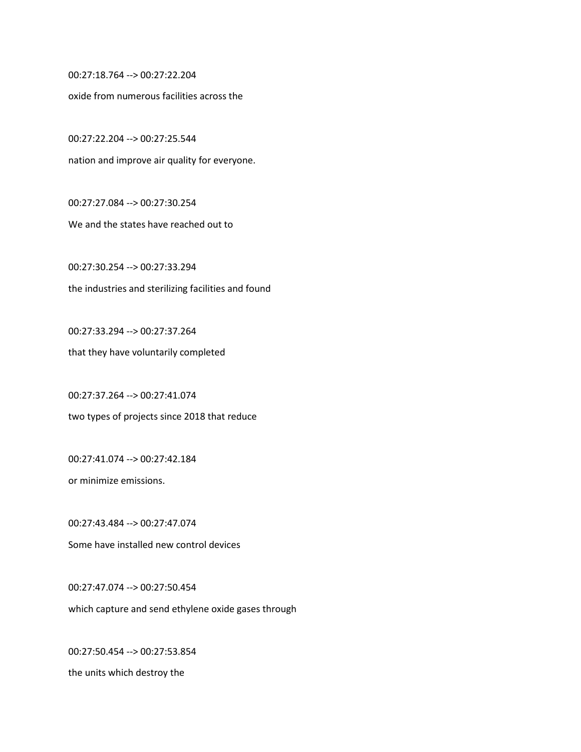00:27:18.764 --> 00:27:22.204

oxide from numerous facilities across the

00:27:22.204 --> 00:27:25.544 nation and improve air quality for everyone.

00:27:27.084 --> 00:27:30.254

We and the states have reached out to

00:27:30.254 --> 00:27:33.294 the industries and sterilizing facilities and found

00:27:33.294 --> 00:27:37.264 that they have voluntarily completed

00:27:37.264 --> 00:27:41.074 two types of projects since 2018 that reduce

00:27:41.074 --> 00:27:42.184

or minimize emissions.

00:27:43.484 --> 00:27:47.074 Some have installed new control devices

00:27:47.074 --> 00:27:50.454 which capture and send ethylene oxide gases through

00:27:50.454 --> 00:27:53.854 the units which destroy the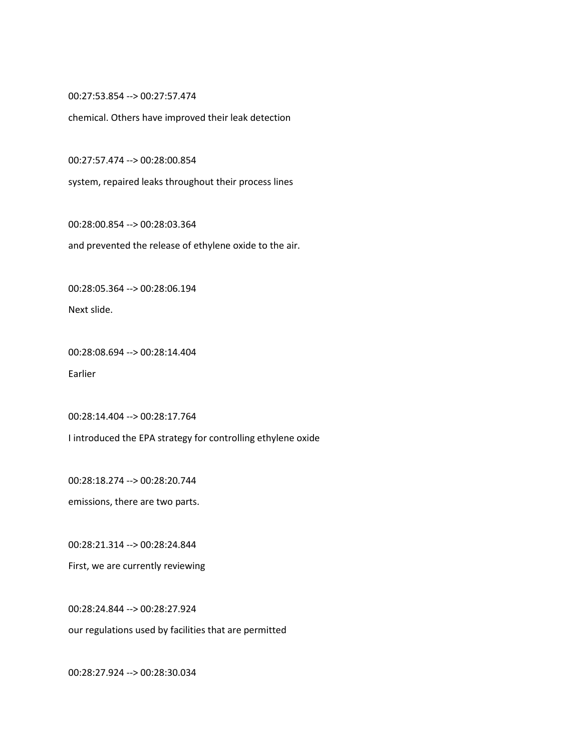00:27:53.854 --> 00:27:57.474

chemical. Others have improved their leak detection

00:27:57.474 --> 00:28:00.854

system, repaired leaks throughout their process lines

00:28:00.854 --> 00:28:03.364

and prevented the release of ethylene oxide to the air.

00:28:05.364 --> 00:28:06.194

Next slide.

00:28:08.694 --> 00:28:14.404 Earlier

00:28:14.404 --> 00:28:17.764

I introduced the EPA strategy for controlling ethylene oxide

00:28:18.274 --> 00:28:20.744

emissions, there are two parts.

00:28:21.314 --> 00:28:24.844

First, we are currently reviewing

00:28:24.844 --> 00:28:27.924

our regulations used by facilities that are permitted

00:28:27.924 --> 00:28:30.034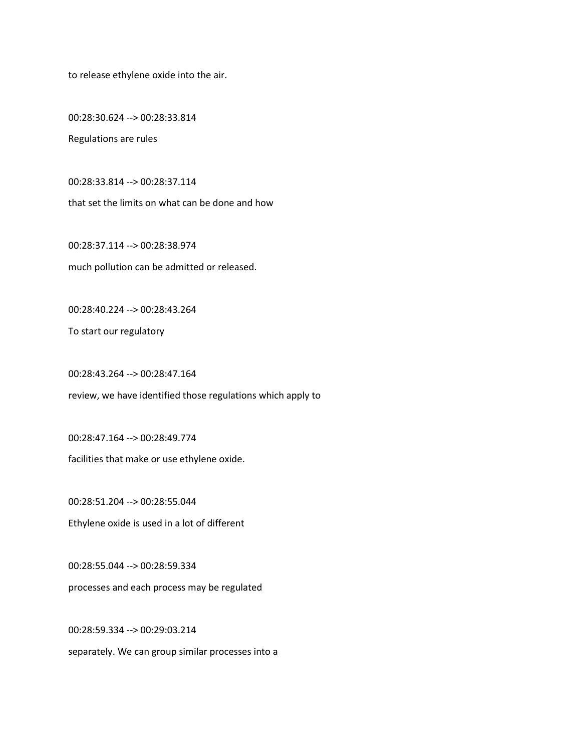to release ethylene oxide into the air.

00:28:30.624 --> 00:28:33.814

Regulations are rules

00:28:33.814 --> 00:28:37.114

that set the limits on what can be done and how

00:28:37.114 --> 00:28:38.974 much pollution can be admitted or released.

00:28:40.224 --> 00:28:43.264

To start our regulatory

00:28:43.264 --> 00:28:47.164

review, we have identified those regulations which apply to

00:28:47.164 --> 00:28:49.774

facilities that make or use ethylene oxide.

00:28:51.204 --> 00:28:55.044 Ethylene oxide is used in a lot of different

00:28:55.044 --> 00:28:59.334 processes and each process may be regulated

00:28:59.334 --> 00:29:03.214 separately. We can group similar processes into a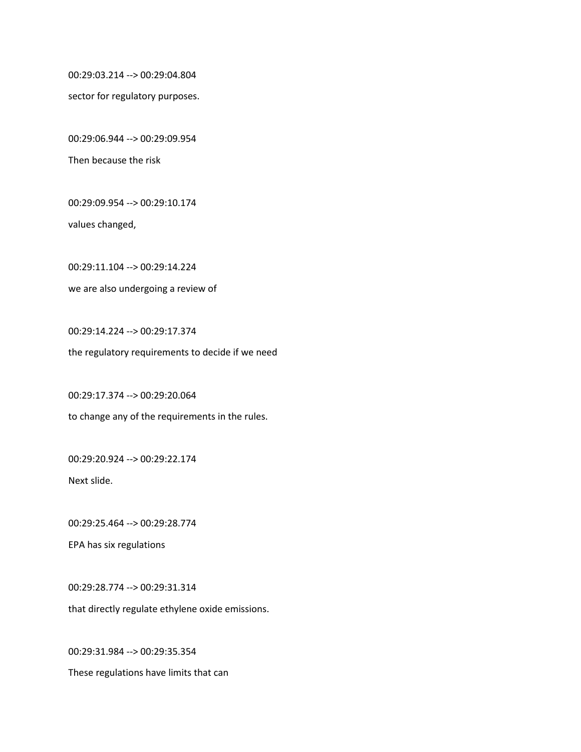00:29:03.214 --> 00:29:04.804

sector for regulatory purposes.

00:29:06.944 --> 00:29:09.954

Then because the risk

00:29:09.954 --> 00:29:10.174

values changed,

00:29:11.104 --> 00:29:14.224 we are also undergoing a review of

00:29:14.224 --> 00:29:17.374 the regulatory requirements to decide if we need

00:29:17.374 --> 00:29:20.064 to change any of the requirements in the rules.

00:29:20.924 --> 00:29:22.174

Next slide.

00:29:25.464 --> 00:29:28.774

EPA has six regulations

00:29:28.774 --> 00:29:31.314 that directly regulate ethylene oxide emissions.

00:29:31.984 --> 00:29:35.354 These regulations have limits that can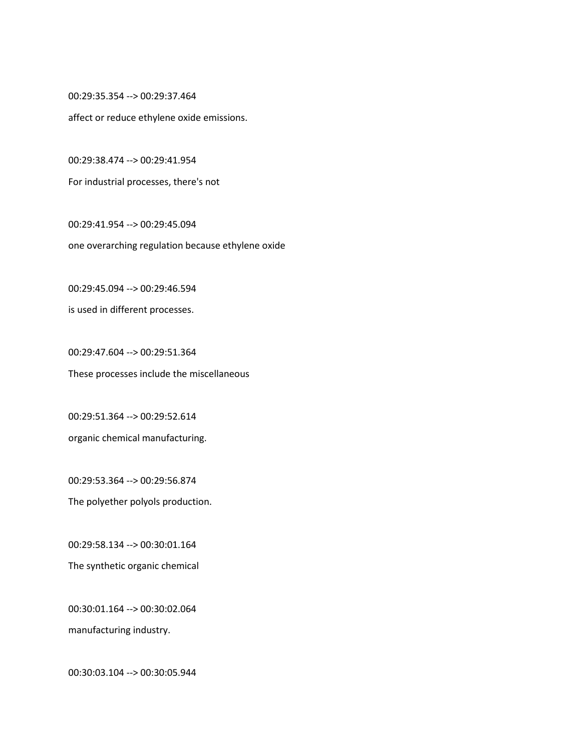00:29:35.354 --> 00:29:37.464

affect or reduce ethylene oxide emissions.

00:29:38.474 --> 00:29:41.954

For industrial processes, there's not

00:29:41.954 --> 00:29:45.094 one overarching regulation because ethylene oxide

00:29:45.094 --> 00:29:46.594 is used in different processes.

00:29:47.604 --> 00:29:51.364 These processes include the miscellaneous

00:29:51.364 --> 00:29:52.614 organic chemical manufacturing.

00:29:53.364 --> 00:29:56.874 The polyether polyols production.

00:29:58.134 --> 00:30:01.164 The synthetic organic chemical

00:30:01.164 --> 00:30:02.064 manufacturing industry.

00:30:03.104 --> 00:30:05.944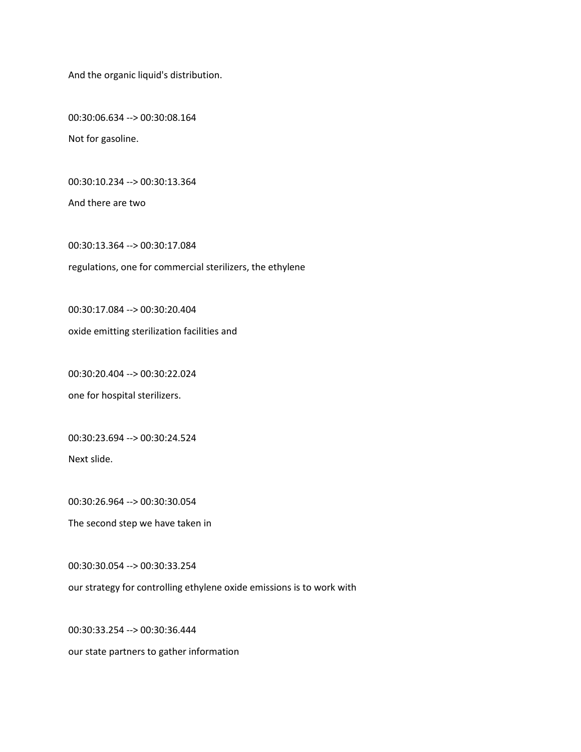And the organic liquid's distribution.

00:30:06.634 --> 00:30:08.164 Not for gasoline.

00:30:10.234 --> 00:30:13.364

And there are two

00:30:13.364 --> 00:30:17.084 regulations, one for commercial sterilizers, the ethylene

00:30:17.084 --> 00:30:20.404

oxide emitting sterilization facilities and

00:30:20.404 --> 00:30:22.024

one for hospital sterilizers.

00:30:23.694 --> 00:30:24.524

Next slide.

00:30:26.964 --> 00:30:30.054

The second step we have taken in

00:30:30.054 --> 00:30:33.254

our strategy for controlling ethylene oxide emissions is to work with

00:30:33.254 --> 00:30:36.444 our state partners to gather information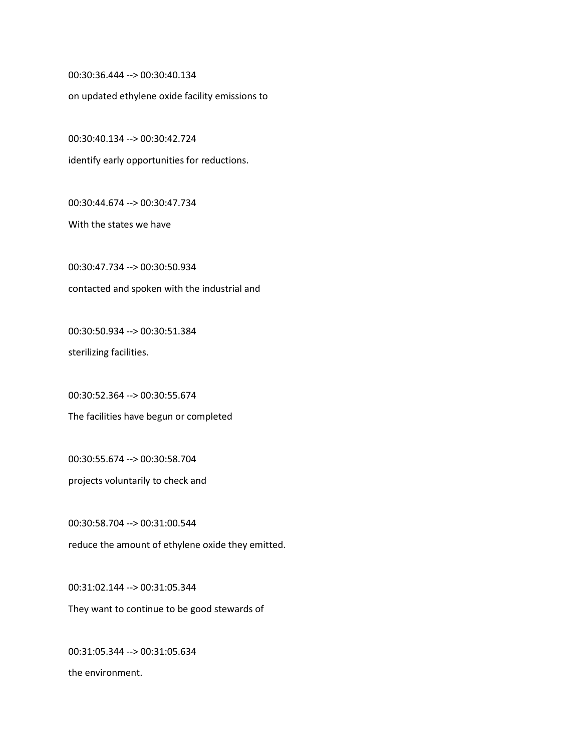00:30:36.444 --> 00:30:40.134

on updated ethylene oxide facility emissions to

00:30:40.134 --> 00:30:42.724

identify early opportunities for reductions.

00:30:44.674 --> 00:30:47.734

With the states we have

00:30:47.734 --> 00:30:50.934 contacted and spoken with the industrial and

00:30:50.934 --> 00:30:51.384

sterilizing facilities.

00:30:52.364 --> 00:30:55.674

The facilities have begun or completed

00:30:55.674 --> 00:30:58.704

projects voluntarily to check and

00:30:58.704 --> 00:31:00.544 reduce the amount of ethylene oxide they emitted.

00:31:02.144 --> 00:31:05.344 They want to continue to be good stewards of

00:31:05.344 --> 00:31:05.634 the environment.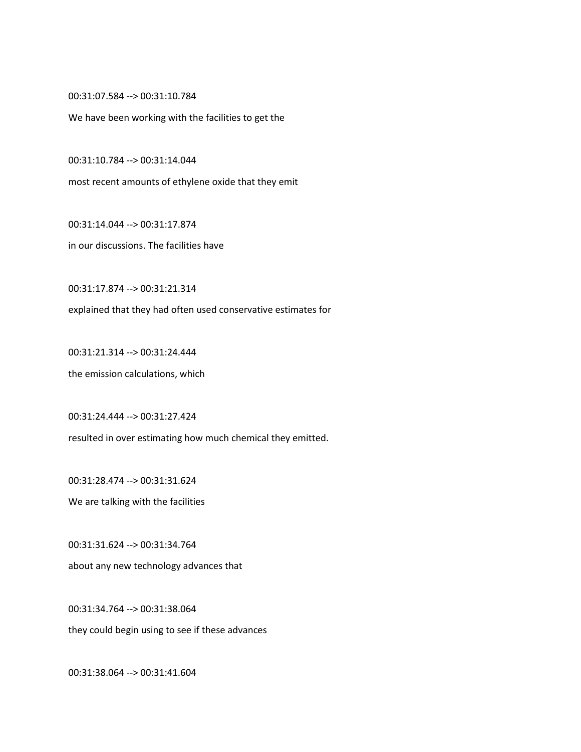00:31:07.584 --> 00:31:10.784

We have been working with the facilities to get the

00:31:10.784 --> 00:31:14.044

most recent amounts of ethylene oxide that they emit

00:31:14.044 --> 00:31:17.874

in our discussions. The facilities have

00:31:17.874 --> 00:31:21.314

explained that they had often used conservative estimates for

00:31:21.314 --> 00:31:24.444 the emission calculations, which

00:31:24.444 --> 00:31:27.424 resulted in over estimating how much chemical they emitted.

00:31:28.474 --> 00:31:31.624 We are talking with the facilities

00:31:31.624 --> 00:31:34.764 about any new technology advances that

00:31:34.764 --> 00:31:38.064

they could begin using to see if these advances

00:31:38.064 --> 00:31:41.604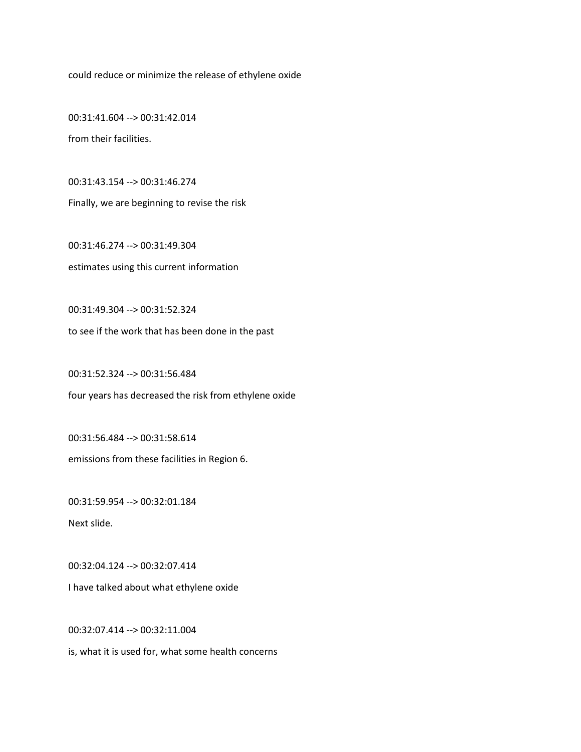could reduce or minimize the release of ethylene oxide

00:31:41.604 --> 00:31:42.014 from their facilities.

00:31:43.154 --> 00:31:46.274 Finally, we are beginning to revise the risk

00:31:46.274 --> 00:31:49.304 estimates using this current information

00:31:49.304 --> 00:31:52.324

to see if the work that has been done in the past

00:31:52.324 --> 00:31:56.484 four years has decreased the risk from ethylene oxide

00:31:56.484 --> 00:31:58.614 emissions from these facilities in Region 6.

00:31:59.954 --> 00:32:01.184

Next slide.

00:32:04.124 --> 00:32:07.414

I have talked about what ethylene oxide

00:32:07.414 --> 00:32:11.004

is, what it is used for, what some health concerns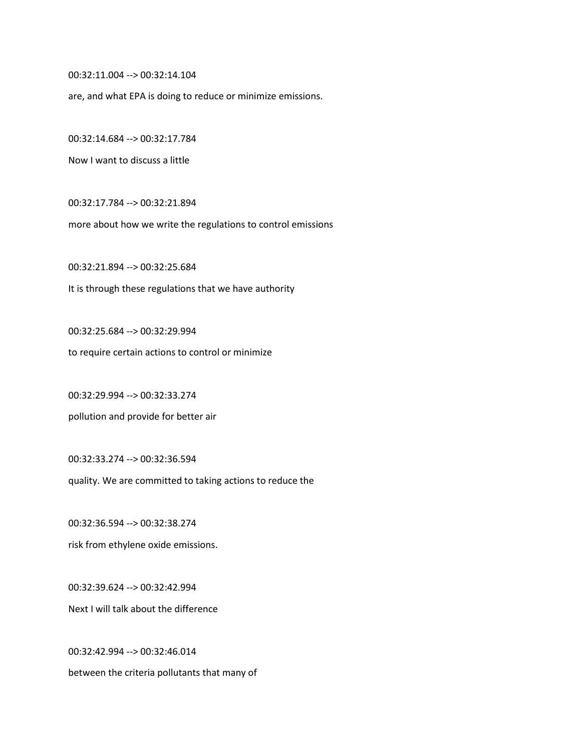00:32:11.004 --> 00:32:14.104

are, and what EPA is doing to reduce or minimize emissions.

00:32:14.684 --> 00:32:17.784

Now I want to discuss a little

00:32:17.784 --> 00:32:21.894

more about how we write the regulations to control emissions

00:32:21.894 --> 00:32:25.684 It is through these regulations that we have authority

00:32:25.684 --> 00:32:29.994

to require certain actions to control or minimize

00:32:29.994 --> 00:32:33.274

pollution and provide for better air

00:32:33.274 --> 00:32:36.594

quality. We are committed to taking actions to reduce the

00:32:36.594 --> 00:32:38.274

risk from ethylene oxide emissions.

00:32:39.624 --> 00:32:42.994 Next I will talk about the difference

00:32:42.994 --> 00:32:46.014 between the criteria pollutants that many of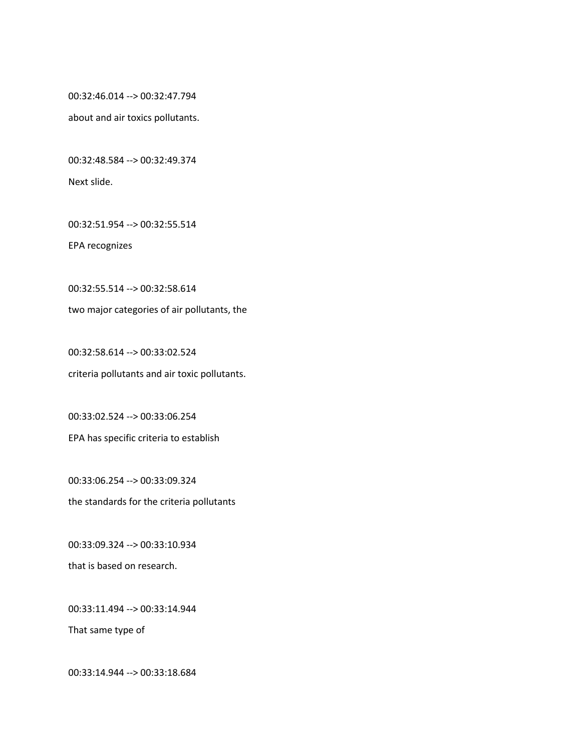00:32:46.014 --> 00:32:47.794

about and air toxics pollutants.

00:32:48.584 --> 00:32:49.374

Next slide.

00:32:51.954 --> 00:32:55.514

EPA recognizes

00:32:55.514 --> 00:32:58.614 two major categories of air pollutants, the

00:32:58.614 --> 00:33:02.524 criteria pollutants and air toxic pollutants.

00:33:02.524 --> 00:33:06.254 EPA has specific criteria to establish

00:33:06.254 --> 00:33:09.324 the standards for the criteria pollutants

00:33:09.324 --> 00:33:10.934 that is based on research.

00:33:11.494 --> 00:33:14.944

That same type of

00:33:14.944 --> 00:33:18.684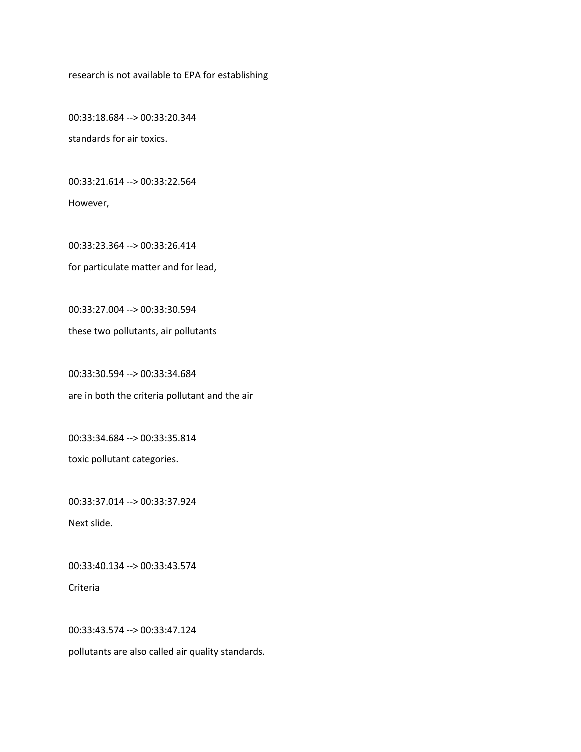research is not available to EPA for establishing

00:33:18.684 --> 00:33:20.344 standards for air toxics.

00:33:21.614 --> 00:33:22.564

However,

00:33:23.364 --> 00:33:26.414 for particulate matter and for lead,

00:33:27.004 --> 00:33:30.594

these two pollutants, air pollutants

00:33:30.594 --> 00:33:34.684 are in both the criteria pollutant and the air

00:33:34.684 --> 00:33:35.814

toxic pollutant categories.

00:33:37.014 --> 00:33:37.924

Next slide.

00:33:40.134 --> 00:33:43.574

Criteria

00:33:43.574 --> 00:33:47.124

pollutants are also called air quality standards.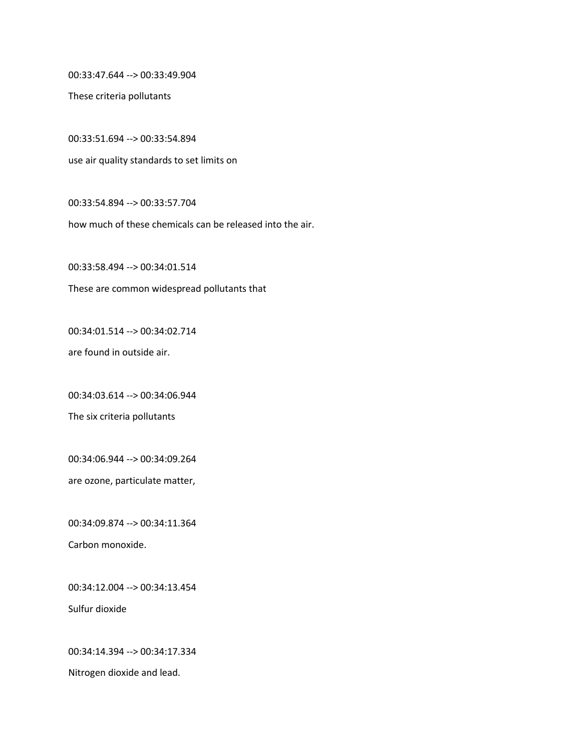00:33:47.644 --> 00:33:49.904

These criteria pollutants

00:33:51.694 --> 00:33:54.894 use air quality standards to set limits on

00:33:54.894 --> 00:33:57.704

how much of these chemicals can be released into the air.

00:33:58.494 --> 00:34:01.514 These are common widespread pollutants that

00:34:01.514 --> 00:34:02.714

are found in outside air.

00:34:03.614 --> 00:34:06.944

The six criteria pollutants

00:34:06.944 --> 00:34:09.264

are ozone, particulate matter,

00:34:09.874 --> 00:34:11.364 Carbon monoxide.

00:34:12.004 --> 00:34:13.454

Sulfur dioxide

00:34:14.394 --> 00:34:17.334

Nitrogen dioxide and lead.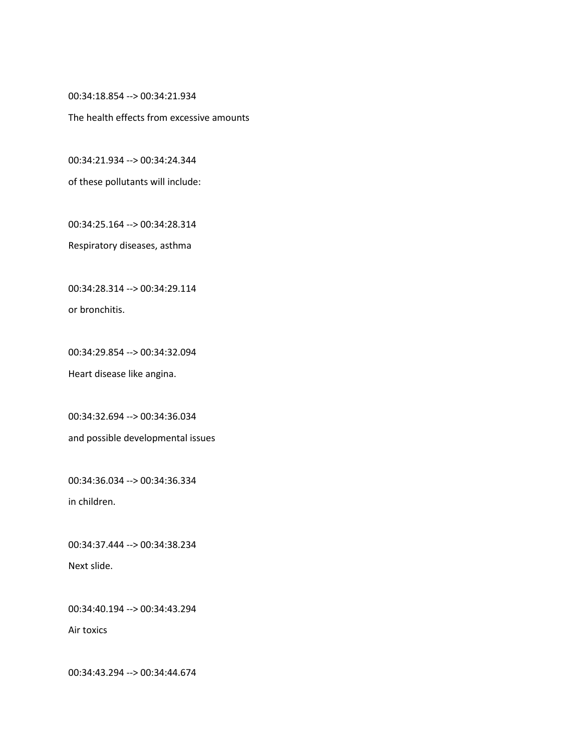00:34:18.854 --> 00:34:21.934

The health effects from excessive amounts

00:34:21.934 --> 00:34:24.344

of these pollutants will include:

00:34:25.164 --> 00:34:28.314

Respiratory diseases, asthma

00:34:28.314 --> 00:34:29.114

or bronchitis.

00:34:29.854 --> 00:34:32.094

Heart disease like angina.

00:34:32.694 --> 00:34:36.034 and possible developmental issues

00:34:36.034 --> 00:34:36.334

in children.

00:34:37.444 --> 00:34:38.234 Next slide.

00:34:40.194 --> 00:34:43.294

Air toxics

00:34:43.294 --> 00:34:44.674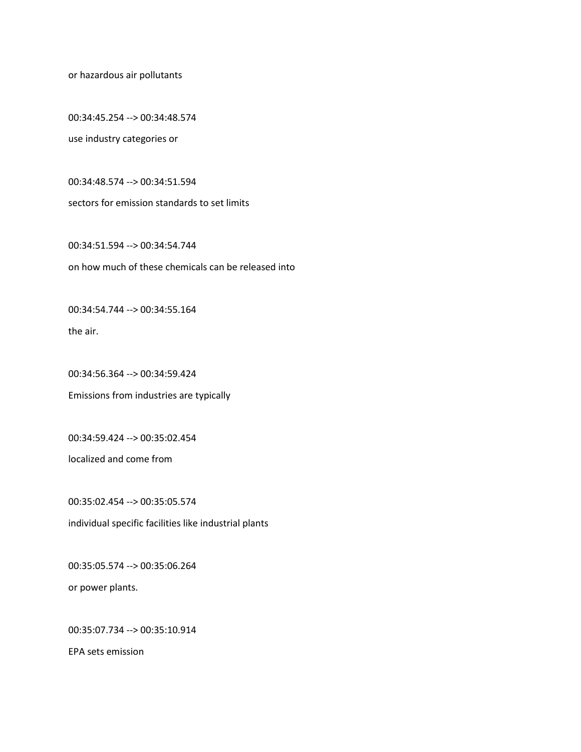or hazardous air pollutants

00:34:45.254 --> 00:34:48.574

use industry categories or

00:34:48.574 --> 00:34:51.594

sectors for emission standards to set limits

00:34:51.594 --> 00:34:54.744 on how much of these chemicals can be released into

00:34:54.744 --> 00:34:55.164

the air.

00:34:56.364 --> 00:34:59.424 Emissions from industries are typically

00:34:59.424 --> 00:35:02.454

localized and come from

00:35:02.454 --> 00:35:05.574 individual specific facilities like industrial plants

00:35:05.574 --> 00:35:06.264 or power plants.

00:35:07.734 --> 00:35:10.914

EPA sets emission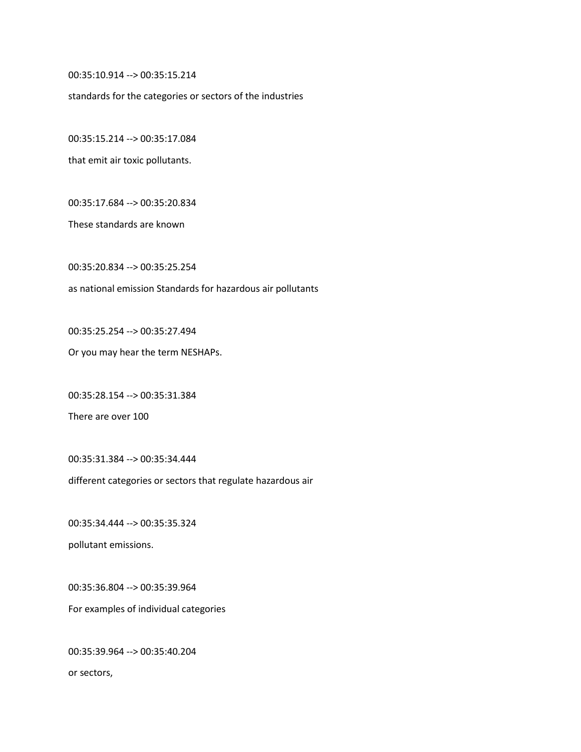00:35:10.914 --> 00:35:15.214

standards for the categories or sectors of the industries

00:35:15.214 --> 00:35:17.084

that emit air toxic pollutants.

00:35:17.684 --> 00:35:20.834

These standards are known

00:35:20.834 --> 00:35:25.254

as national emission Standards for hazardous air pollutants

00:35:25.254 --> 00:35:27.494

Or you may hear the term NESHAPs.

00:35:28.154 --> 00:35:31.384

There are over 100

00:35:31.384 --> 00:35:34.444

different categories or sectors that regulate hazardous air

00:35:34.444 --> 00:35:35.324

pollutant emissions.

00:35:36.804 --> 00:35:39.964 For examples of individual categories

00:35:39.964 --> 00:35:40.204 or sectors,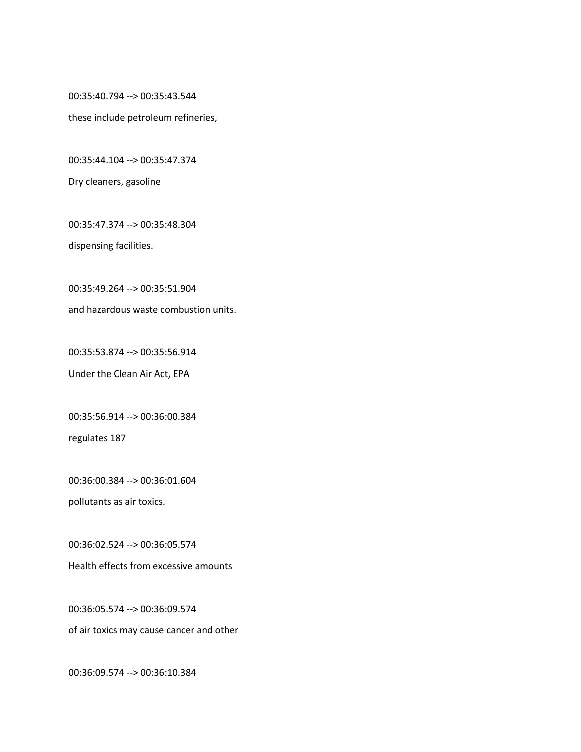00:35:40.794 --> 00:35:43.544

these include petroleum refineries,

00:35:44.104 --> 00:35:47.374

Dry cleaners, gasoline

00:35:47.374 --> 00:35:48.304

dispensing facilities.

00:35:49.264 --> 00:35:51.904

and hazardous waste combustion units.

00:35:53.874 --> 00:35:56.914

Under the Clean Air Act, EPA

00:35:56.914 --> 00:36:00.384

regulates 187

00:36:00.384 --> 00:36:01.604

pollutants as air toxics.

00:36:02.524 --> 00:36:05.574

Health effects from excessive amounts

00:36:05.574 --> 00:36:09.574

of air toxics may cause cancer and other

00:36:09.574 --> 00:36:10.384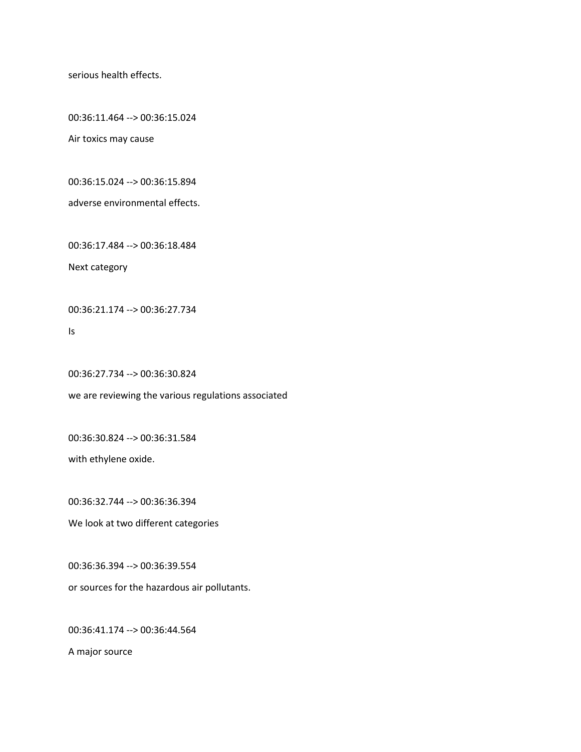serious health effects.

00:36:11.464 --> 00:36:15.024

Air toxics may cause

00:36:15.024 --> 00:36:15.894

adverse environmental effects.

00:36:17.484 --> 00:36:18.484

Next category

00:36:21.174 --> 00:36:27.734

Is

00:36:27.734 --> 00:36:30.824

we are reviewing the various regulations associated

00:36:30.824 --> 00:36:31.584

with ethylene oxide.

00:36:32.744 --> 00:36:36.394

We look at two different categories

00:36:36.394 --> 00:36:39.554

or sources for the hazardous air pollutants.

00:36:41.174 --> 00:36:44.564

A major source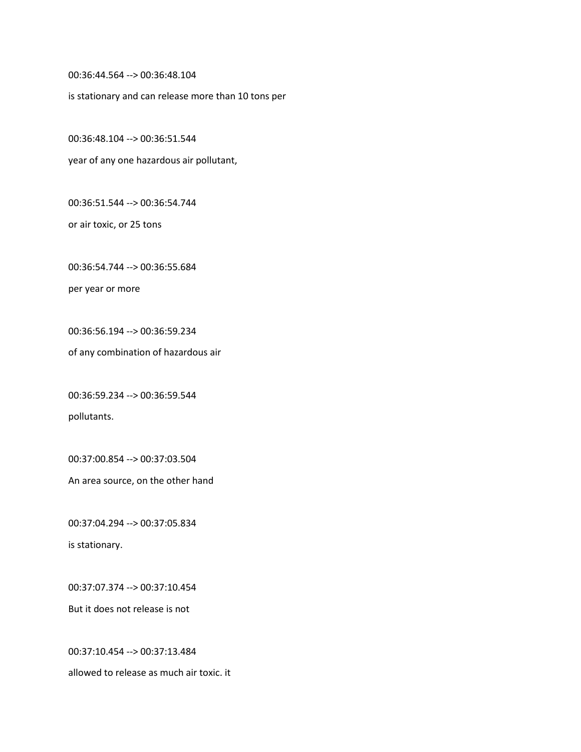00:36:44.564 --> 00:36:48.104

is stationary and can release more than 10 tons per

00:36:48.104 --> 00:36:51.544

year of any one hazardous air pollutant,

00:36:51.544 --> 00:36:54.744

or air toxic, or 25 tons

00:36:54.744 --> 00:36:55.684

per year or more

00:36:56.194 --> 00:36:59.234

of any combination of hazardous air

00:36:59.234 --> 00:36:59.544 pollutants.

00:37:00.854 --> 00:37:03.504

An area source, on the other hand

00:37:04.294 --> 00:37:05.834 is stationary.

00:37:07.374 --> 00:37:10.454 But it does not release is not

00:37:10.454 --> 00:37:13.484 allowed to release as much air toxic. it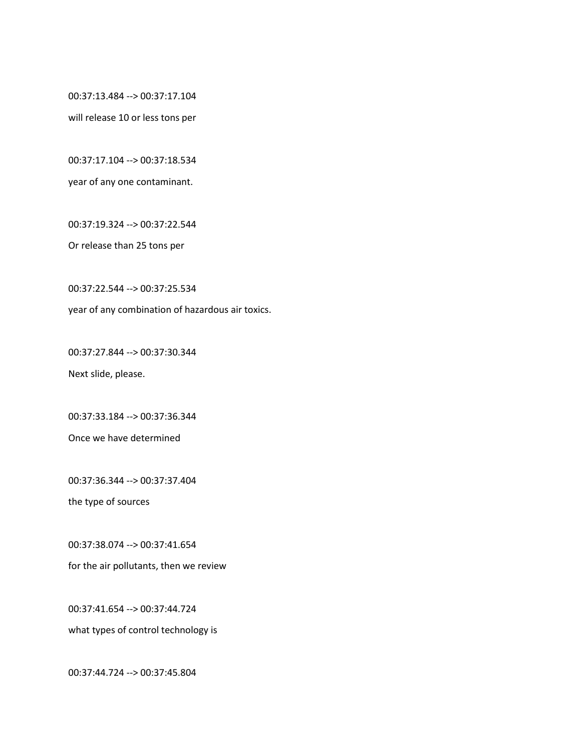00:37:13.484 --> 00:37:17.104

will release 10 or less tons per

00:37:17.104 --> 00:37:18.534

year of any one contaminant.

00:37:19.324 --> 00:37:22.544

Or release than 25 tons per

00:37:22.544 --> 00:37:25.534

year of any combination of hazardous air toxics.

00:37:27.844 --> 00:37:30.344

Next slide, please.

00:37:33.184 --> 00:37:36.344

Once we have determined

00:37:36.344 --> 00:37:37.404

the type of sources

00:37:38.074 --> 00:37:41.654

for the air pollutants, then we review

00:37:41.654 --> 00:37:44.724

what types of control technology is

00:37:44.724 --> 00:37:45.804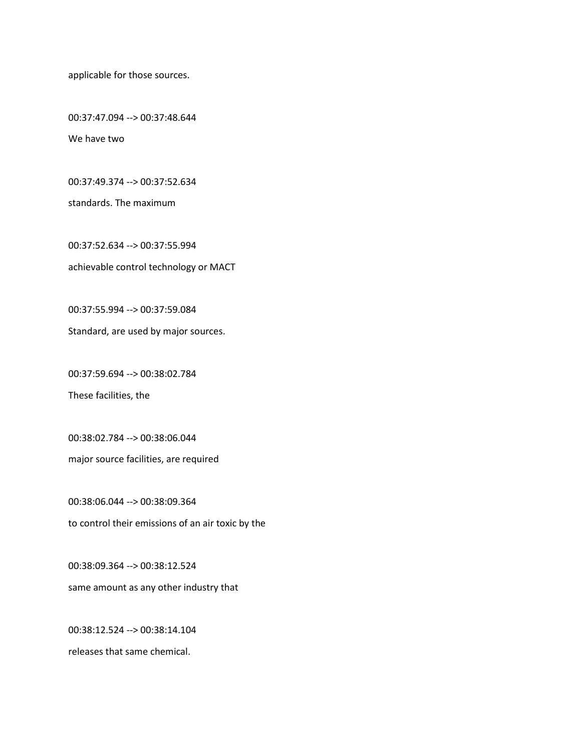applicable for those sources.

00:37:47.094 --> 00:37:48.644 We have two

00:37:49.374 --> 00:37:52.634

standards. The maximum

00:37:52.634 --> 00:37:55.994 achievable control technology or MACT

00:37:55.994 --> 00:37:59.084

Standard, are used by major sources.

00:37:59.694 --> 00:38:02.784

These facilities, the

00:38:02.784 --> 00:38:06.044

major source facilities, are required

00:38:06.044 --> 00:38:09.364 to control their emissions of an air toxic by the

00:38:09.364 --> 00:38:12.524 same amount as any other industry that

00:38:12.524 --> 00:38:14.104 releases that same chemical.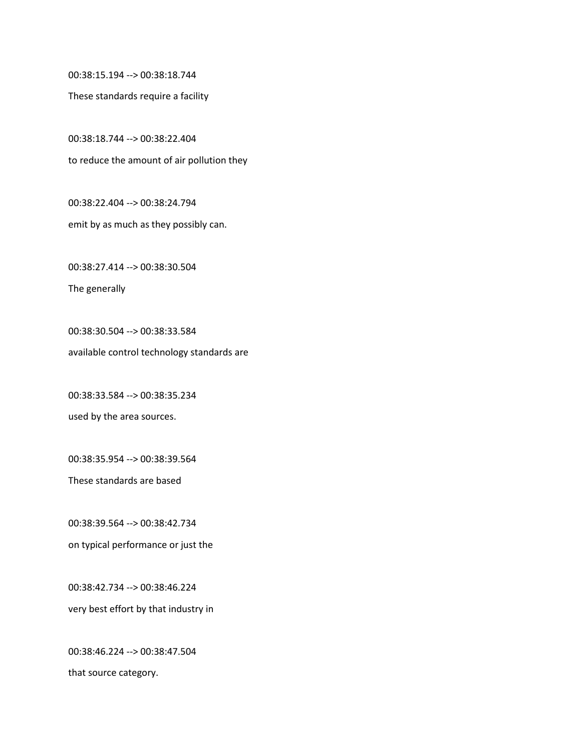00:38:15.194 --> 00:38:18.744

These standards require a facility

00:38:18.744 --> 00:38:22.404 to reduce the amount of air pollution they

00:38:22.404 --> 00:38:24.794 emit by as much as they possibly can.

00:38:27.414 --> 00:38:30.504

The generally

00:38:30.504 --> 00:38:33.584 available control technology standards are

00:38:33.584 --> 00:38:35.234

used by the area sources.

00:38:35.954 --> 00:38:39.564

These standards are based

00:38:39.564 --> 00:38:42.734 on typical performance or just the

00:38:42.734 --> 00:38:46.224 very best effort by that industry in

00:38:46.224 --> 00:38:47.504 that source category.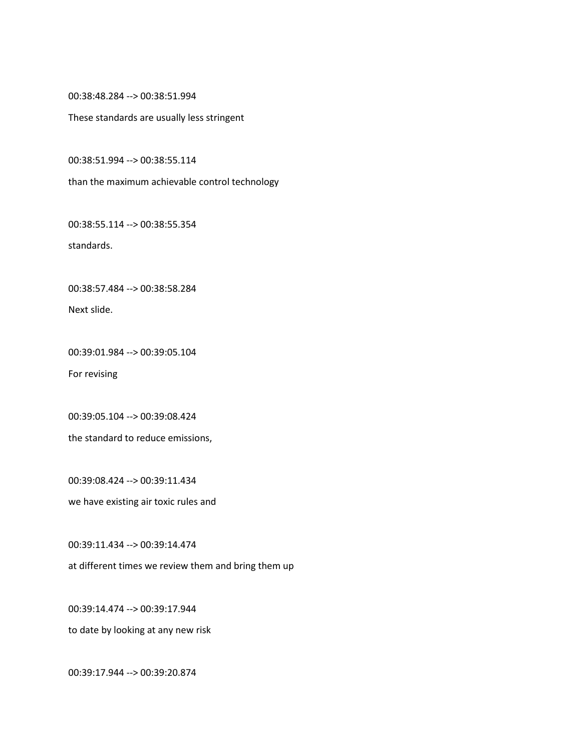00:38:48.284 --> 00:38:51.994

These standards are usually less stringent

00:38:51.994 --> 00:38:55.114

than the maximum achievable control technology

00:38:55.114 --> 00:38:55.354

standards.

00:38:57.484 --> 00:38:58.284

Next slide.

00:39:01.984 --> 00:39:05.104

For revising

00:39:05.104 --> 00:39:08.424 the standard to reduce emissions,

00:39:08.424 --> 00:39:11.434

we have existing air toxic rules and

00:39:11.434 --> 00:39:14.474

at different times we review them and bring them up

00:39:14.474 --> 00:39:17.944

to date by looking at any new risk

00:39:17.944 --> 00:39:20.874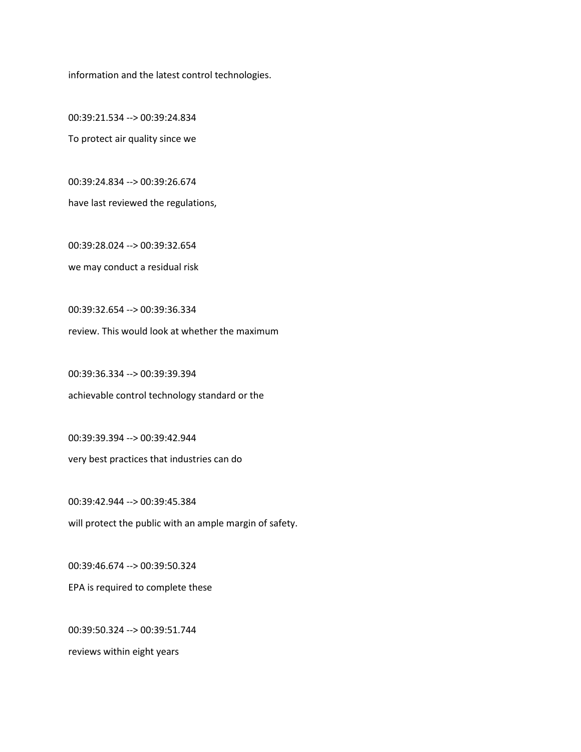information and the latest control technologies.

00:39:21.534 --> 00:39:24.834 To protect air quality since we

00:39:24.834 --> 00:39:26.674

have last reviewed the regulations,

00:39:28.024 --> 00:39:32.654 we may conduct a residual risk

00:39:32.654 --> 00:39:36.334

review. This would look at whether the maximum

00:39:36.334 --> 00:39:39.394 achievable control technology standard or the

00:39:39.394 --> 00:39:42.944 very best practices that industries can do

00:39:42.944 --> 00:39:45.384 will protect the public with an ample margin of safety.

00:39:46.674 --> 00:39:50.324 EPA is required to complete these

00:39:50.324 --> 00:39:51.744 reviews within eight years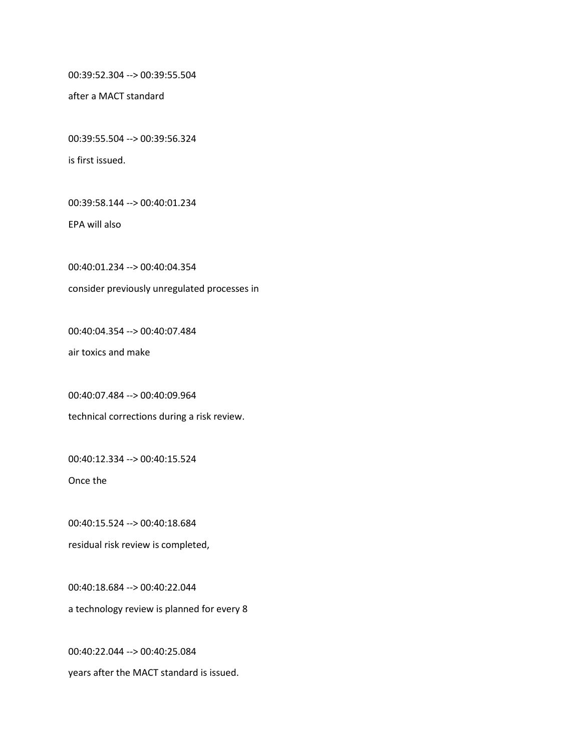00:39:52.304 --> 00:39:55.504

after a MACT standard

00:39:55.504 --> 00:39:56.324

is first issued.

00:39:58.144 --> 00:40:01.234

EPA will also

00:40:01.234 --> 00:40:04.354

consider previously unregulated processes in

00:40:04.354 --> 00:40:07.484

air toxics and make

00:40:07.484 --> 00:40:09.964

technical corrections during a risk review.

00:40:12.334 --> 00:40:15.524

Once the

00:40:15.524 --> 00:40:18.684

residual risk review is completed,

00:40:18.684 --> 00:40:22.044 a technology review is planned for every 8

00:40:22.044 --> 00:40:25.084 years after the MACT standard is issued.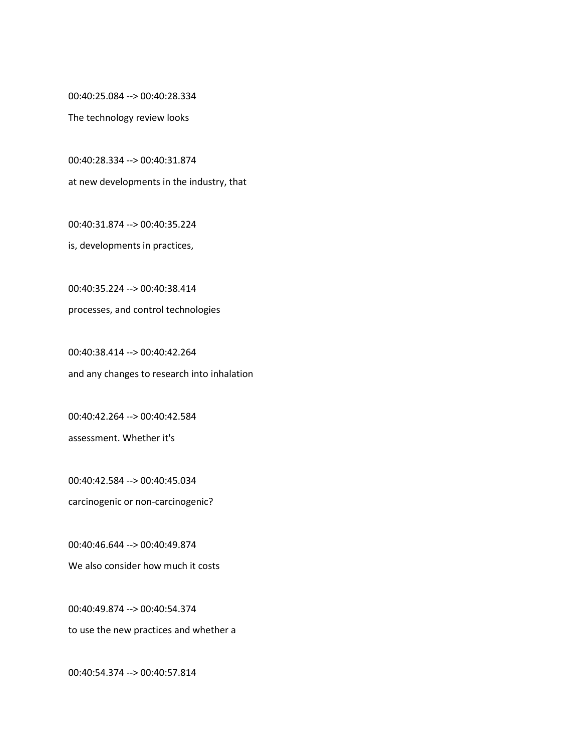00:40:25.084 --> 00:40:28.334

The technology review looks

00:40:28.334 --> 00:40:31.874

at new developments in the industry, that

00:40:31.874 --> 00:40:35.224

is, developments in practices,

00:40:35.224 --> 00:40:38.414 processes, and control technologies

00:40:38.414 --> 00:40:42.264 and any changes to research into inhalation

00:40:42.264 --> 00:40:42.584 assessment. Whether it's

00:40:42.584 --> 00:40:45.034 carcinogenic or non-carcinogenic?

00:40:46.644 --> 00:40:49.874 We also consider how much it costs

00:40:49.874 --> 00:40:54.374 to use the new practices and whether a

00:40:54.374 --> 00:40:57.814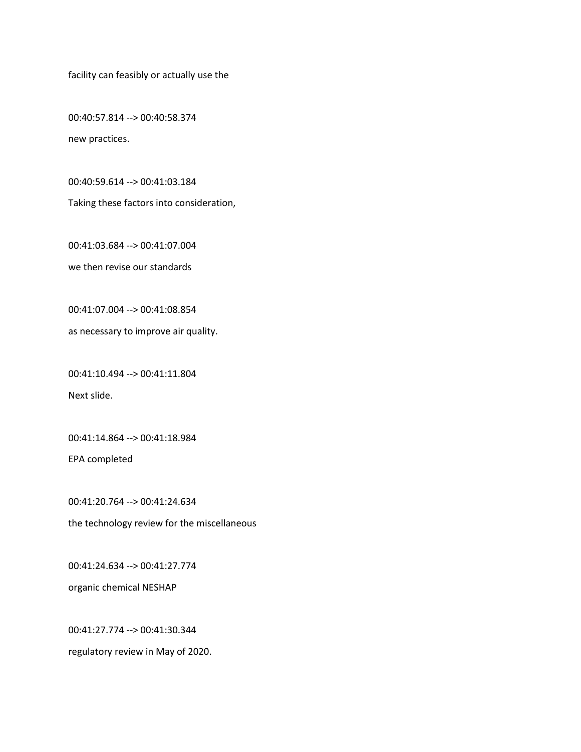facility can feasibly or actually use the

00:40:57.814 --> 00:40:58.374 new practices.

00:40:59.614 --> 00:41:03.184

Taking these factors into consideration,

00:41:03.684 --> 00:41:07.004

we then revise our standards

00:41:07.004 --> 00:41:08.854

as necessary to improve air quality.

00:41:10.494 --> 00:41:11.804

Next slide.

00:41:14.864 --> 00:41:18.984

EPA completed

00:41:20.764 --> 00:41:24.634 the technology review for the miscellaneous

00:41:24.634 --> 00:41:27.774

organic chemical NESHAP

00:41:27.774 --> 00:41:30.344

regulatory review in May of 2020.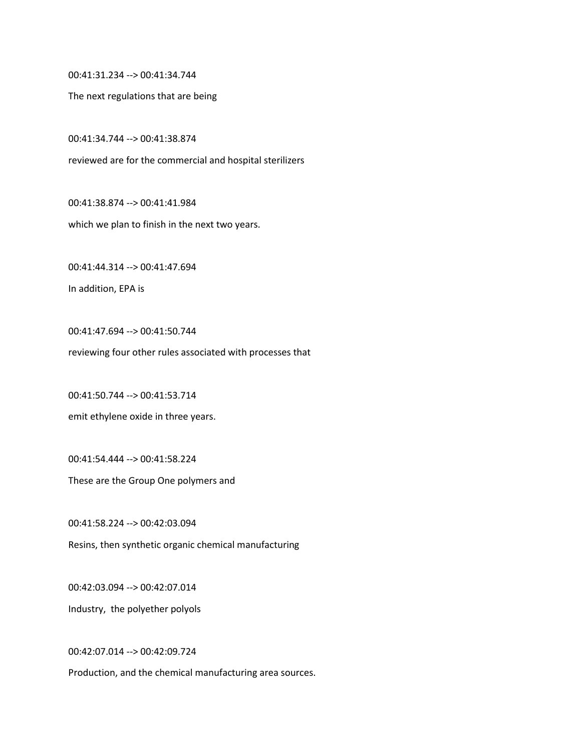00:41:31.234 --> 00:41:34.744

The next regulations that are being

00:41:34.744 --> 00:41:38.874

reviewed are for the commercial and hospital sterilizers

00:41:38.874 --> 00:41:41.984

which we plan to finish in the next two years.

00:41:44.314 --> 00:41:47.694

In addition, EPA is

00:41:47.694 --> 00:41:50.744 reviewing four other rules associated with processes that

00:41:50.744 --> 00:41:53.714

emit ethylene oxide in three years.

00:41:54.444 --> 00:41:58.224

These are the Group One polymers and

00:41:58.224 --> 00:42:03.094 Resins, then synthetic organic chemical manufacturing

00:42:03.094 --> 00:42:07.014 Industry, the polyether polyols

00:42:07.014 --> 00:42:09.724

Production, and the chemical manufacturing area sources.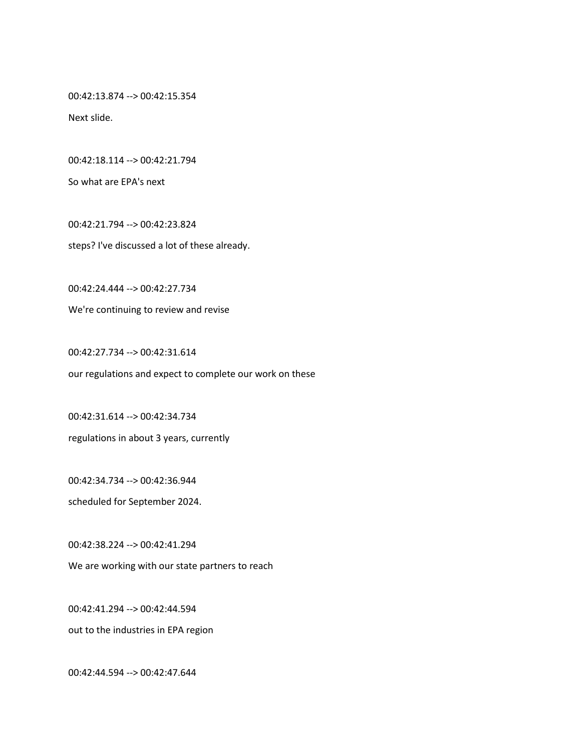00:42:13.874 --> 00:42:15.354

Next slide.

00:42:18.114 --> 00:42:21.794

So what are EPA's next

00:42:21.794 --> 00:42:23.824 steps? I've discussed a lot of these already.

00:42:24.444 --> 00:42:27.734

We're continuing to review and revise

00:42:27.734 --> 00:42:31.614 our regulations and expect to complete our work on these

00:42:31.614 --> 00:42:34.734 regulations in about 3 years, currently

00:42:34.734 --> 00:42:36.944

scheduled for September 2024.

00:42:38.224 --> 00:42:41.294

We are working with our state partners to reach

00:42:41.294 --> 00:42:44.594

out to the industries in EPA region

00:42:44.594 --> 00:42:47.644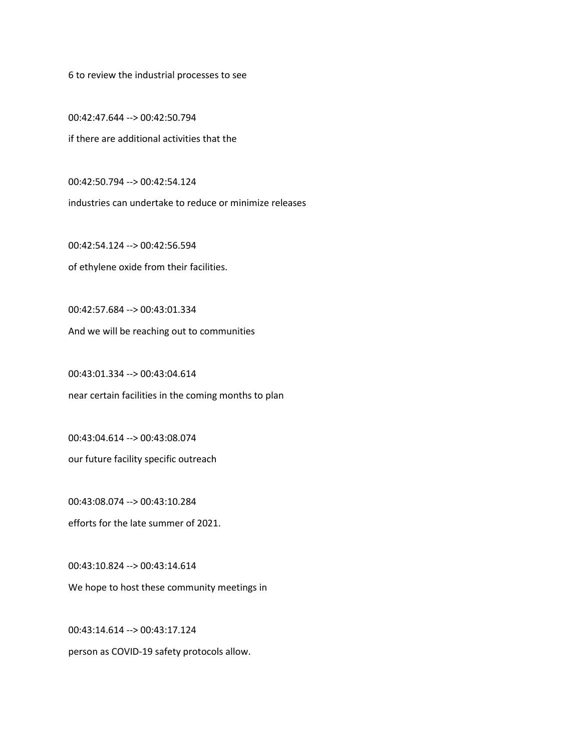6 to review the industrial processes to see

00:42:47.644 --> 00:42:50.794 if there are additional activities that the

00:42:50.794 --> 00:42:54.124 industries can undertake to reduce or minimize releases

00:42:54.124 --> 00:42:56.594 of ethylene oxide from their facilities.

00:42:57.684 --> 00:43:01.334 And we will be reaching out to communities

00:43:01.334 --> 00:43:04.614 near certain facilities in the coming months to plan

00:43:04.614 --> 00:43:08.074

our future facility specific outreach

00:43:08.074 --> 00:43:10.284 efforts for the late summer of 2021.

00:43:10.824 --> 00:43:14.614 We hope to host these community meetings in

00:43:14.614 --> 00:43:17.124 person as COVID-19 safety protocols allow.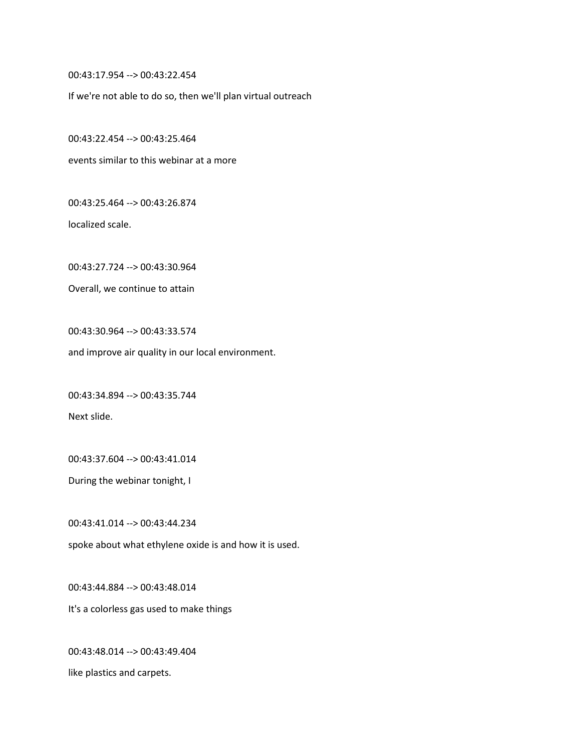00:43:17.954 --> 00:43:22.454

If we're not able to do so, then we'll plan virtual outreach

00:43:22.454 --> 00:43:25.464

events similar to this webinar at a more

00:43:25.464 --> 00:43:26.874

localized scale.

00:43:27.724 --> 00:43:30.964

Overall, we continue to attain

00:43:30.964 --> 00:43:33.574

and improve air quality in our local environment.

00:43:34.894 --> 00:43:35.744

Next slide.

00:43:37.604 --> 00:43:41.014

During the webinar tonight, I

00:43:41.014 --> 00:43:44.234

spoke about what ethylene oxide is and how it is used.

00:43:44.884 --> 00:43:48.014

It's a colorless gas used to make things

00:43:48.014 --> 00:43:49.404 like plastics and carpets.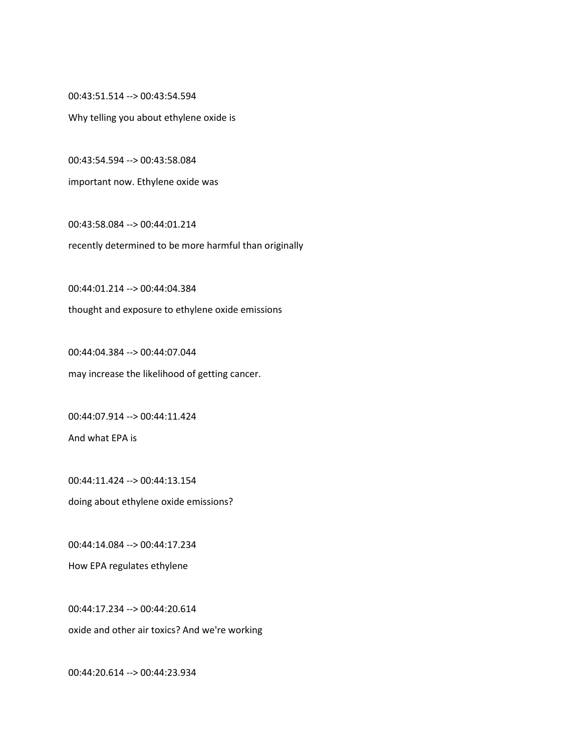00:43:51.514 --> 00:43:54.594

Why telling you about ethylene oxide is

00:43:54.594 --> 00:43:58.084

important now. Ethylene oxide was

00:43:58.084 --> 00:44:01.214 recently determined to be more harmful than originally

00:44:01.214 --> 00:44:04.384

thought and exposure to ethylene oxide emissions

00:44:04.384 --> 00:44:07.044 may increase the likelihood of getting cancer.

00:44:07.914 --> 00:44:11.424 And what EPA is

00:44:11.424 --> 00:44:13.154 doing about ethylene oxide emissions?

00:44:14.084 --> 00:44:17.234

How EPA regulates ethylene

00:44:17.234 --> 00:44:20.614 oxide and other air toxics? And we're working

00:44:20.614 --> 00:44:23.934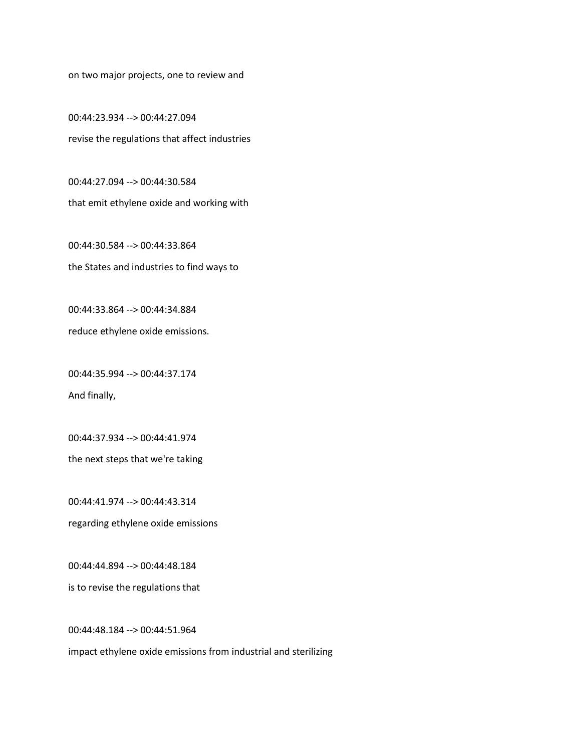on two major projects, one to review and

00:44:23.934 --> 00:44:27.094 revise the regulations that affect industries

00:44:27.094 --> 00:44:30.584 that emit ethylene oxide and working with

00:44:30.584 --> 00:44:33.864 the States and industries to find ways to

00:44:33.864 --> 00:44:34.884

reduce ethylene oxide emissions.

00:44:35.994 --> 00:44:37.174 And finally,

00:44:37.934 --> 00:44:41.974

the next steps that we're taking

00:44:41.974 --> 00:44:43.314 regarding ethylene oxide emissions

00:44:44.894 --> 00:44:48.184

is to revise the regulations that

00:44:48.184 --> 00:44:51.964

impact ethylene oxide emissions from industrial and sterilizing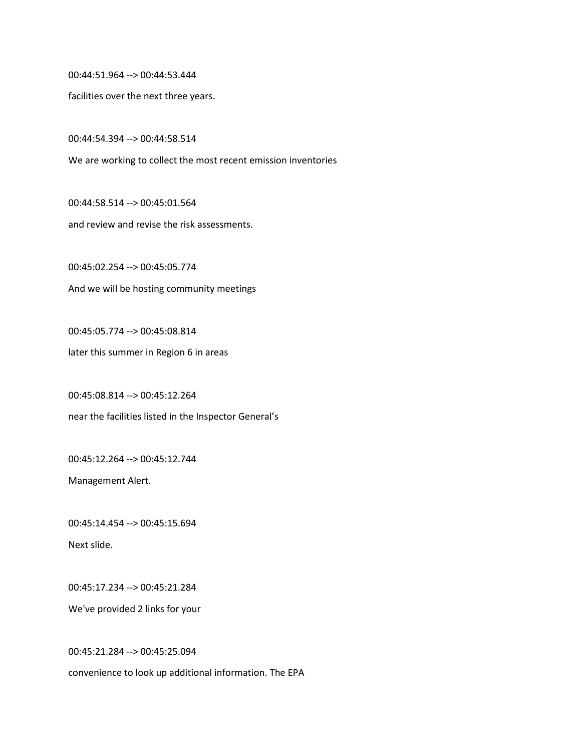00:44:51.964 --> 00:44:53.444

facilities over the next three years.

00:44:54.394 --> 00:44:58.514

We are working to collect the most recent emission inventories

00:44:58.514 --> 00:45:01.564 and review and revise the risk assessments.

00:45:02.254 --> 00:45:05.774 And we will be hosting community meetings

00:45:05.774 --> 00:45:08.814 later this summer in Region 6 in areas

00:45:08.814 --> 00:45:12.264

near the facilities listed in the Inspector General's

00:45:12.264 --> 00:45:12.744

Management Alert.

00:45:14.454 --> 00:45:15.694 Next slide.

00:45:17.234 --> 00:45:21.284

We've provided 2 links for your

00:45:21.284 --> 00:45:25.094 convenience to look up additional information. The EPA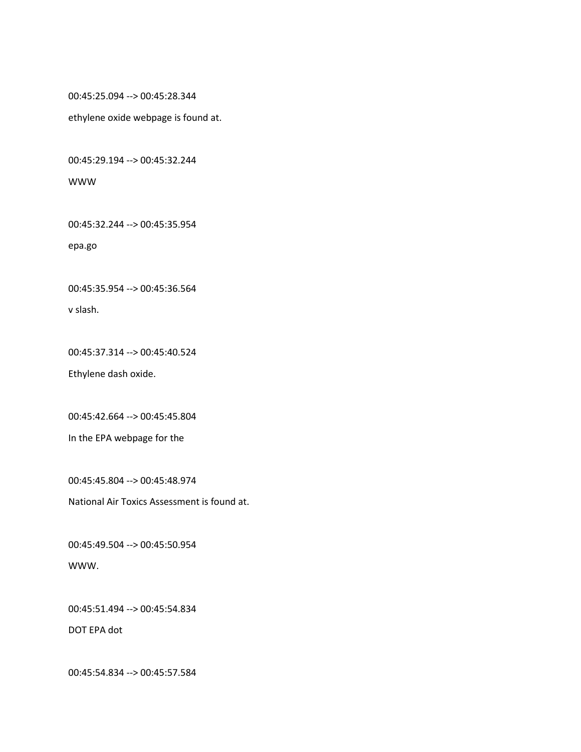00:45:25.094 --> 00:45:28.344

ethylene oxide webpage is found at.

00:45:29.194 --> 00:45:32.244

## WWW

00:45:32.244 --> 00:45:35.954

epa.go

00:45:35.954 --> 00:45:36.564

v slash.

00:45:37.314 --> 00:45:40.524

Ethylene dash oxide.

00:45:42.664 --> 00:45:45.804

In the EPA webpage for the

00:45:45.804 --> 00:45:48.974

National Air Toxics Assessment is found at.

00:45:49.504 --> 00:45:50.954 WWW.

00:45:51.494 --> 00:45:54.834

DOT EPA dot

00:45:54.834 --> 00:45:57.584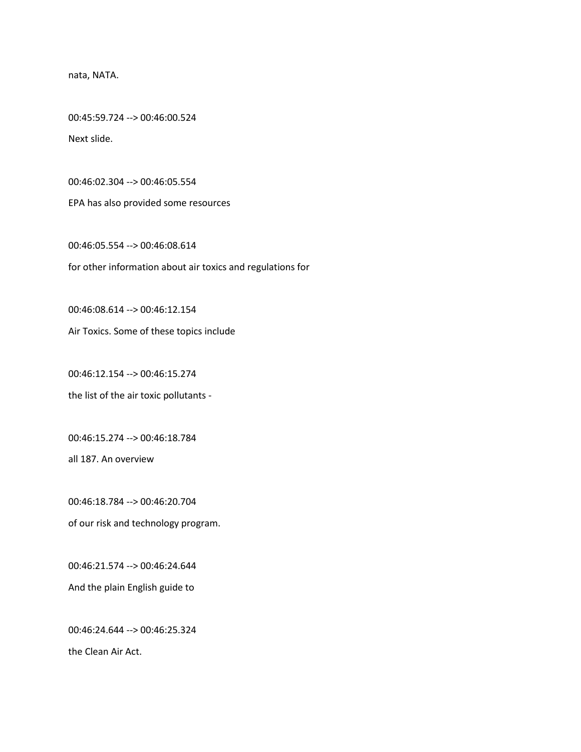nata, NATA.

00:45:59.724 --> 00:46:00.524 Next slide.

00:46:02.304 --> 00:46:05.554

EPA has also provided some resources

00:46:05.554 --> 00:46:08.614 for other information about air toxics and regulations for

00:46:08.614 --> 00:46:12.154

Air Toxics. Some of these topics include

00:46:12.154 --> 00:46:15.274

the list of the air toxic pollutants -

00:46:15.274 --> 00:46:18.784

all 187. An overview

00:46:18.784 --> 00:46:20.704

of our risk and technology program.

00:46:21.574 --> 00:46:24.644

And the plain English guide to

00:46:24.644 --> 00:46:25.324

the Clean Air Act.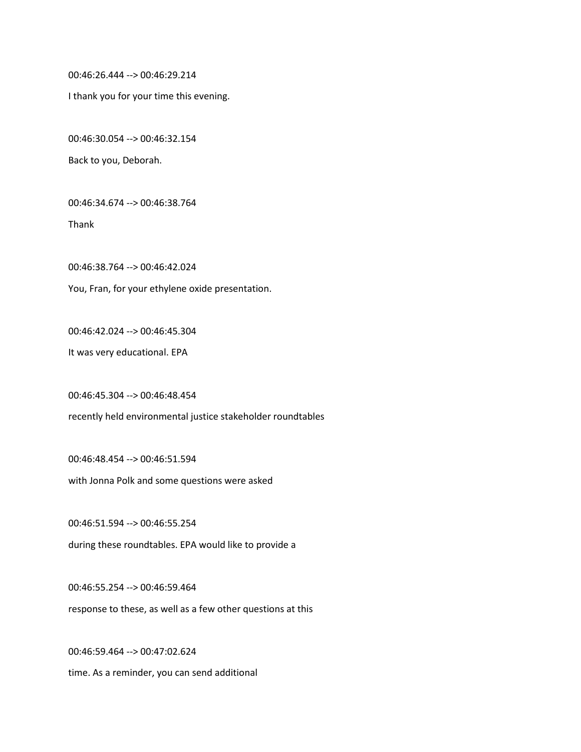00:46:26.444 --> 00:46:29.214

I thank you for your time this evening.

00:46:30.054 --> 00:46:32.154

Back to you, Deborah.

00:46:34.674 --> 00:46:38.764

Thank

00:46:38.764 --> 00:46:42.024

You, Fran, for your ethylene oxide presentation.

00:46:42.024 --> 00:46:45.304

It was very educational. EPA

00:46:45.304 --> 00:46:48.454

recently held environmental justice stakeholder roundtables

00:46:48.454 --> 00:46:51.594 with Jonna Polk and some questions were asked

00:46:51.594 --> 00:46:55.254 during these roundtables. EPA would like to provide a

00:46:55.254 --> 00:46:59.464 response to these, as well as a few other questions at this

00:46:59.464 --> 00:47:02.624 time. As a reminder, you can send additional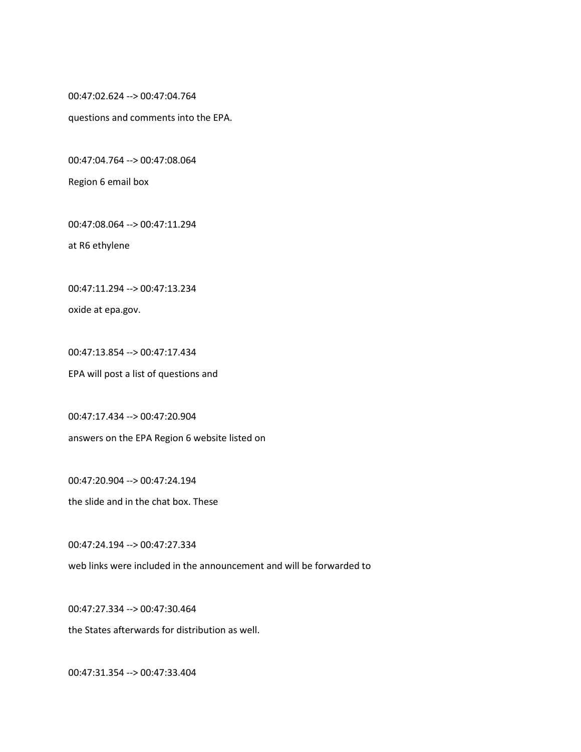00:47:02.624 --> 00:47:04.764

questions and comments into the EPA.

00:47:04.764 --> 00:47:08.064

Region 6 email box

00:47:08.064 --> 00:47:11.294

at R6 ethylene

00:47:11.294 --> 00:47:13.234

oxide at epa.gov.

00:47:13.854 --> 00:47:17.434 EPA will post a list of questions and

00:47:17.434 --> 00:47:20.904 answers on the EPA Region 6 website listed on

00:47:20.904 --> 00:47:24.194

the slide and in the chat box. These

00:47:24.194 --> 00:47:27.334

web links were included in the announcement and will be forwarded to

00:47:27.334 --> 00:47:30.464

the States afterwards for distribution as well.

00:47:31.354 --> 00:47:33.404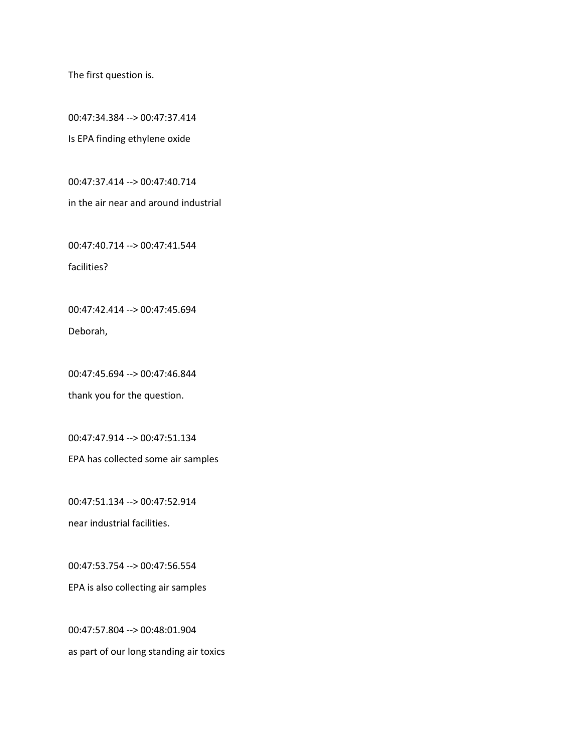The first question is.

00:47:34.384 --> 00:47:37.414 Is EPA finding ethylene oxide

00:47:37.414 --> 00:47:40.714

in the air near and around industrial

00:47:40.714 --> 00:47:41.544 facilities?

00:47:42.414 --> 00:47:45.694 Deborah,

00:47:45.694 --> 00:47:46.844

thank you for the question.

00:47:47.914 --> 00:47:51.134

EPA has collected some air samples

00:47:51.134 --> 00:47:52.914 near industrial facilities.

00:47:53.754 --> 00:47:56.554

EPA is also collecting air samples

00:47:57.804 --> 00:48:01.904 as part of our long standing air toxics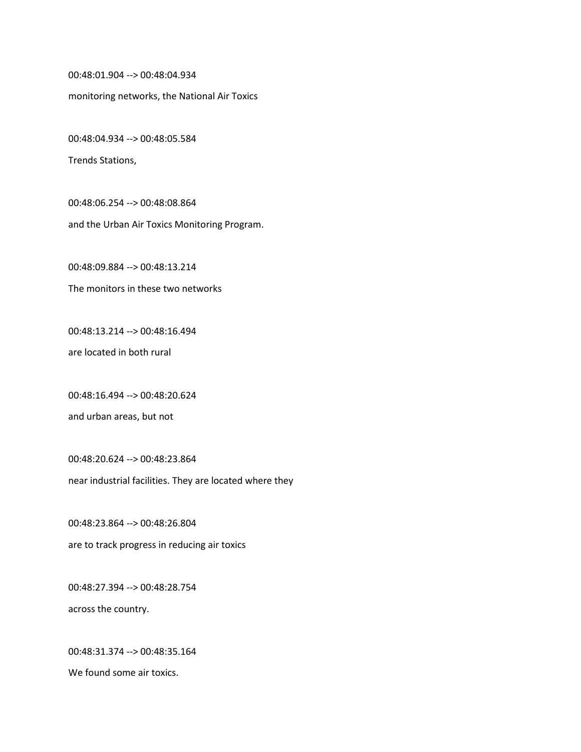00:48:01.904 --> 00:48:04.934

monitoring networks, the National Air Toxics

00:48:04.934 --> 00:48:05.584

Trends Stations,

00:48:06.254 --> 00:48:08.864 and the Urban Air Toxics Monitoring Program.

00:48:09.884 --> 00:48:13.214

The monitors in these two networks

00:48:13.214 --> 00:48:16.494

are located in both rural

00:48:16.494 --> 00:48:20.624

and urban areas, but not

00:48:20.624 --> 00:48:23.864 near industrial facilities. They are located where they

00:48:23.864 --> 00:48:26.804 are to track progress in reducing air toxics

00:48:27.394 --> 00:48:28.754 across the country.

00:48:31.374 --> 00:48:35.164 We found some air toxics.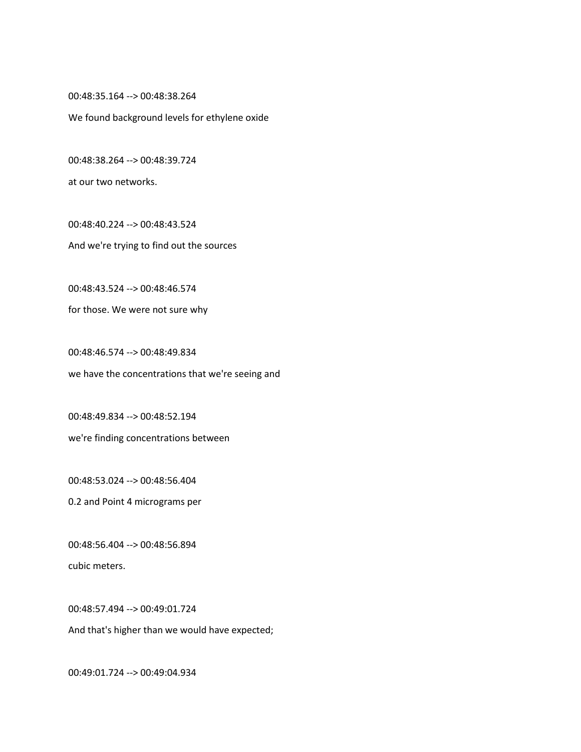00:48:35.164 --> 00:48:38.264

We found background levels for ethylene oxide

00:48:38.264 --> 00:48:39.724

at our two networks.

00:48:40.224 --> 00:48:43.524 And we're trying to find out the sources

00:48:43.524 --> 00:48:46.574

for those. We were not sure why

00:48:46.574 --> 00:48:49.834 we have the concentrations that we're seeing and

00:48:49.834 --> 00:48:52.194 we're finding concentrations between

00:48:53.024 --> 00:48:56.404

0.2 and Point 4 micrograms per

00:48:56.404 --> 00:48:56.894

cubic meters.

00:48:57.494 --> 00:49:01.724

And that's higher than we would have expected;

00:49:01.724 --> 00:49:04.934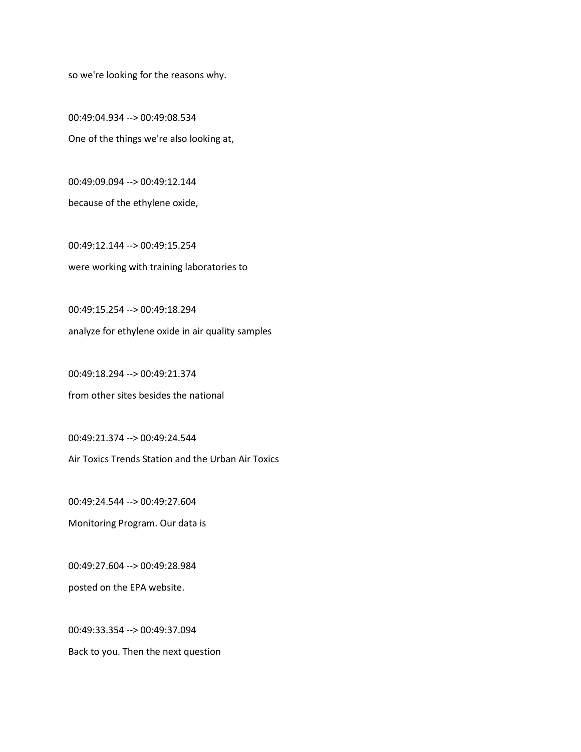so we're looking for the reasons why.

00:49:04.934 --> 00:49:08.534 One of the things we're also looking at,

00:49:09.094 --> 00:49:12.144 because of the ethylene oxide,

00:49:12.144 --> 00:49:15.254 were working with training laboratories to

00:49:15.254 --> 00:49:18.294 analyze for ethylene oxide in air quality samples

00:49:18.294 --> 00:49:21.374 from other sites besides the national

00:49:21.374 --> 00:49:24.544

Air Toxics Trends Station and the Urban Air Toxics

00:49:24.544 --> 00:49:27.604 Monitoring Program. Our data is

00:49:27.604 --> 00:49:28.984

posted on the EPA website.

00:49:33.354 --> 00:49:37.094 Back to you. Then the next question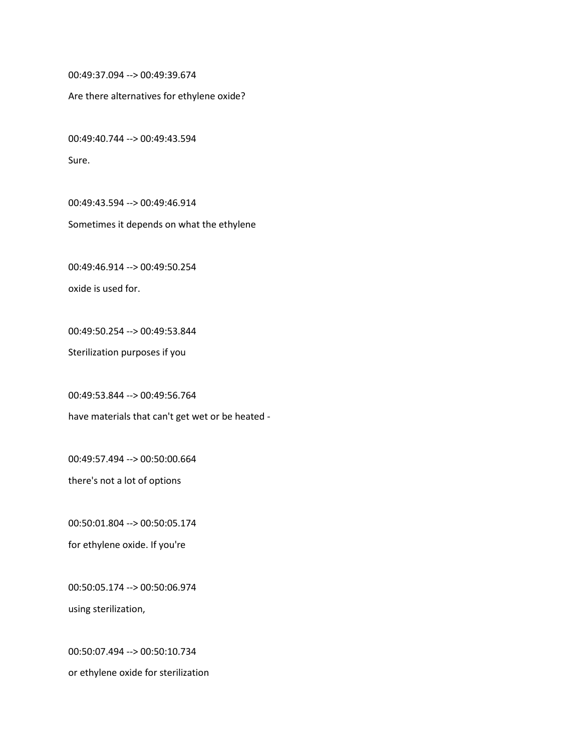00:49:37.094 --> 00:49:39.674

Are there alternatives for ethylene oxide?

00:49:40.744 --> 00:49:43.594

Sure.

00:49:43.594 --> 00:49:46.914

Sometimes it depends on what the ethylene

00:49:46.914 --> 00:49:50.254 oxide is used for.

00:49:50.254 --> 00:49:53.844 Sterilization purposes if you

00:49:53.844 --> 00:49:56.764

have materials that can't get wet or be heated -

00:49:57.494 --> 00:50:00.664

there's not a lot of options

00:50:01.804 --> 00:50:05.174

for ethylene oxide. If you're

00:50:05.174 --> 00:50:06.974 using sterilization,

00:50:07.494 --> 00:50:10.734 or ethylene oxide for sterilization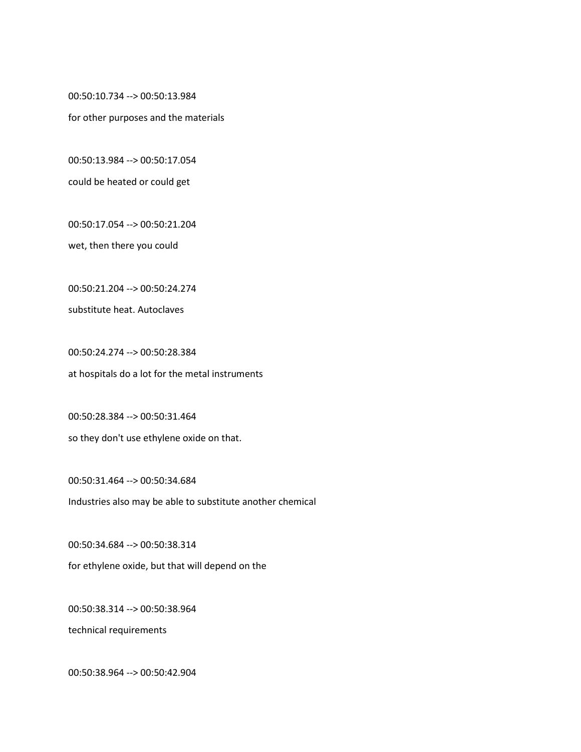00:50:10.734 --> 00:50:13.984

for other purposes and the materials

00:50:13.984 --> 00:50:17.054

could be heated or could get

00:50:17.054 --> 00:50:21.204

wet, then there you could

00:50:21.204 --> 00:50:24.274

substitute heat. Autoclaves

00:50:24.274 --> 00:50:28.384 at hospitals do a lot for the metal instruments

00:50:28.384 --> 00:50:31.464 so they don't use ethylene oxide on that.

00:50:31.464 --> 00:50:34.684 Industries also may be able to substitute another chemical

00:50:34.684 --> 00:50:38.314 for ethylene oxide, but that will depend on the

00:50:38.314 --> 00:50:38.964

technical requirements

00:50:38.964 --> 00:50:42.904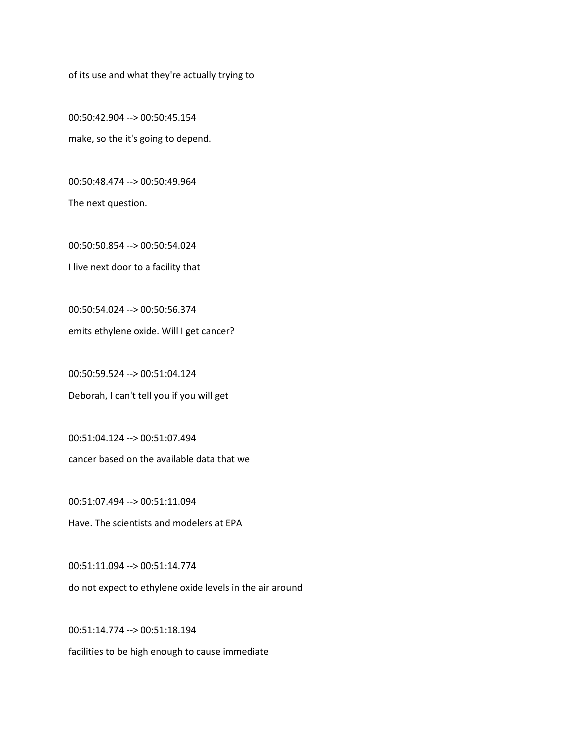of its use and what they're actually trying to

00:50:42.904 --> 00:50:45.154 make, so the it's going to depend.

00:50:48.474 --> 00:50:49.964 The next question.

00:50:50.854 --> 00:50:54.024 I live next door to a facility that

00:50:54.024 --> 00:50:56.374 emits ethylene oxide. Will I get cancer?

00:50:59.524 --> 00:51:04.124 Deborah, I can't tell you if you will get

00:51:04.124 --> 00:51:07.494 cancer based on the available data that we

00:51:07.494 --> 00:51:11.094 Have. The scientists and modelers at EPA

00:51:11.094 --> 00:51:14.774 do not expect to ethylene oxide levels in the air around

00:51:14.774 --> 00:51:18.194

facilities to be high enough to cause immediate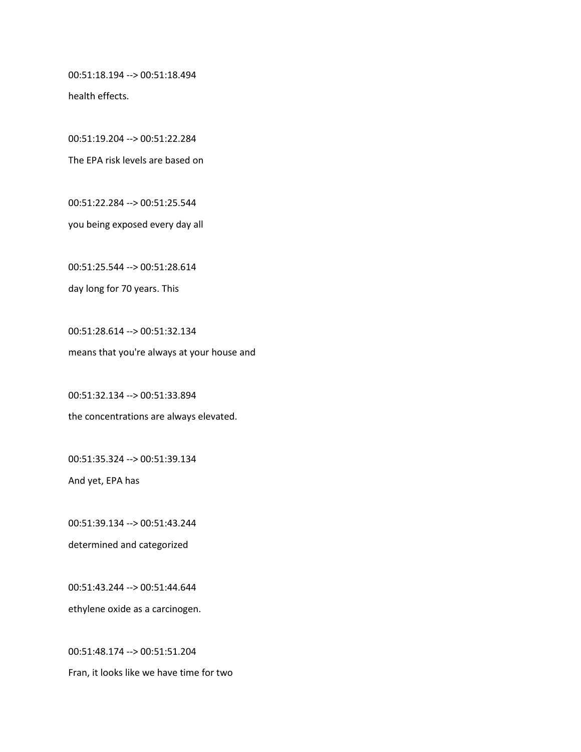00:51:18.194 --> 00:51:18.494

health effects.

00:51:19.204 --> 00:51:22.284

The EPA risk levels are based on

00:51:22.284 --> 00:51:25.544

you being exposed every day all

00:51:25.544 --> 00:51:28.614

day long for 70 years. This

00:51:28.614 --> 00:51:32.134 means that you're always at your house and

00:51:32.134 --> 00:51:33.894 the concentrations are always elevated.

00:51:35.324 --> 00:51:39.134

And yet, EPA has

00:51:39.134 --> 00:51:43.244 determined and categorized

00:51:43.244 --> 00:51:44.644 ethylene oxide as a carcinogen.

00:51:48.174 --> 00:51:51.204 Fran, it looks like we have time for two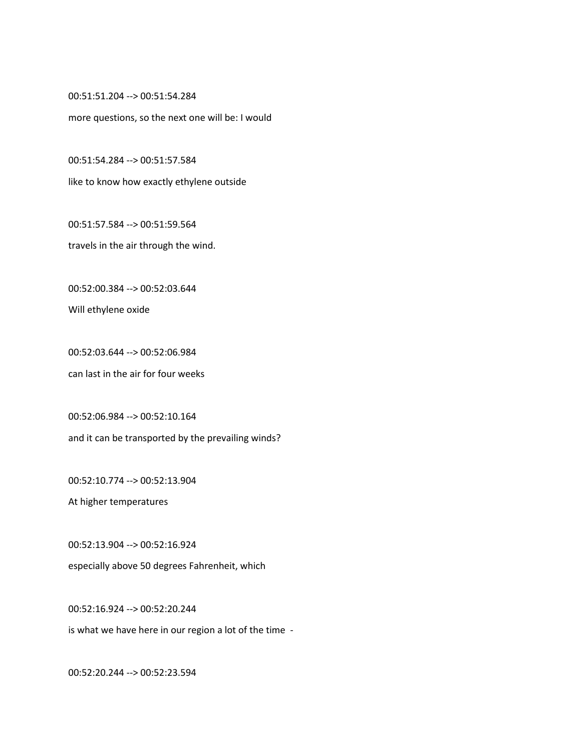00:51:51.204 --> 00:51:54.284

more questions, so the next one will be: I would

00:51:54.284 --> 00:51:57.584

like to know how exactly ethylene outside

00:51:57.584 --> 00:51:59.564

travels in the air through the wind.

00:52:00.384 --> 00:52:03.644

Will ethylene oxide

00:52:03.644 --> 00:52:06.984 can last in the air for four weeks

00:52:06.984 --> 00:52:10.164 and it can be transported by the prevailing winds?

00:52:10.774 --> 00:52:13.904

At higher temperatures

00:52:13.904 --> 00:52:16.924 especially above 50 degrees Fahrenheit, which

00:52:16.924 --> 00:52:20.244

is what we have here in our region a lot of the time -

00:52:20.244 --> 00:52:23.594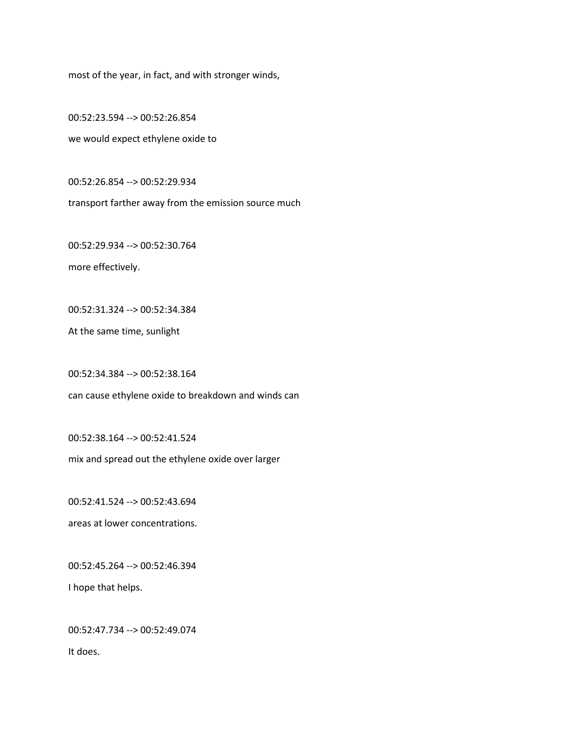most of the year, in fact, and with stronger winds,

00:52:23.594 --> 00:52:26.854 we would expect ethylene oxide to

00:52:26.854 --> 00:52:29.934

transport farther away from the emission source much

00:52:29.934 --> 00:52:30.764 more effectively.

00:52:31.324 --> 00:52:34.384

At the same time, sunlight

00:52:34.384 --> 00:52:38.164

can cause ethylene oxide to breakdown and winds can

00:52:38.164 --> 00:52:41.524

mix and spread out the ethylene oxide over larger

00:52:41.524 --> 00:52:43.694

areas at lower concentrations.

00:52:45.264 --> 00:52:46.394

I hope that helps.

00:52:47.734 --> 00:52:49.074

It does.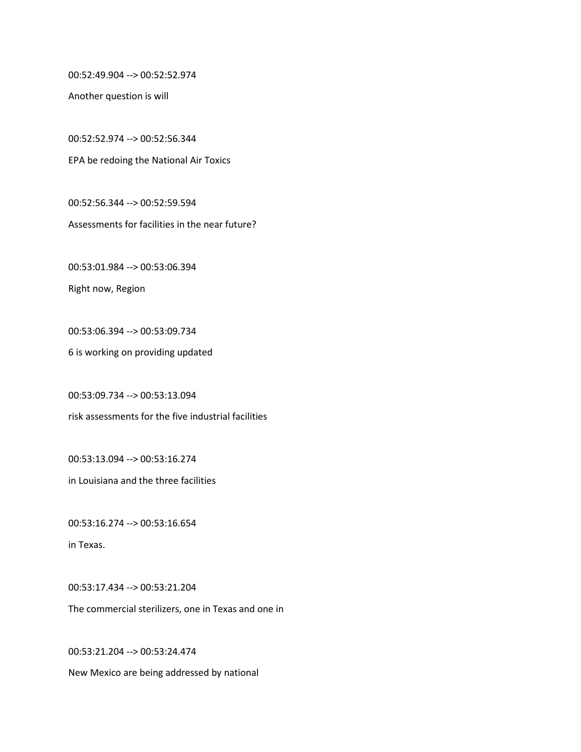00:52:49.904 --> 00:52:52.974

Another question is will

00:52:52.974 --> 00:52:56.344 EPA be redoing the National Air Toxics

00:52:56.344 --> 00:52:59.594

Assessments for facilities in the near future?

00:53:01.984 --> 00:53:06.394

Right now, Region

00:53:06.394 --> 00:53:09.734

6 is working on providing updated

00:53:09.734 --> 00:53:13.094

risk assessments for the five industrial facilities

00:53:13.094 --> 00:53:16.274

in Louisiana and the three facilities

00:53:16.274 --> 00:53:16.654

in Texas.

00:53:17.434 --> 00:53:21.204 The commercial sterilizers, one in Texas and one in

00:53:21.204 --> 00:53:24.474 New Mexico are being addressed by national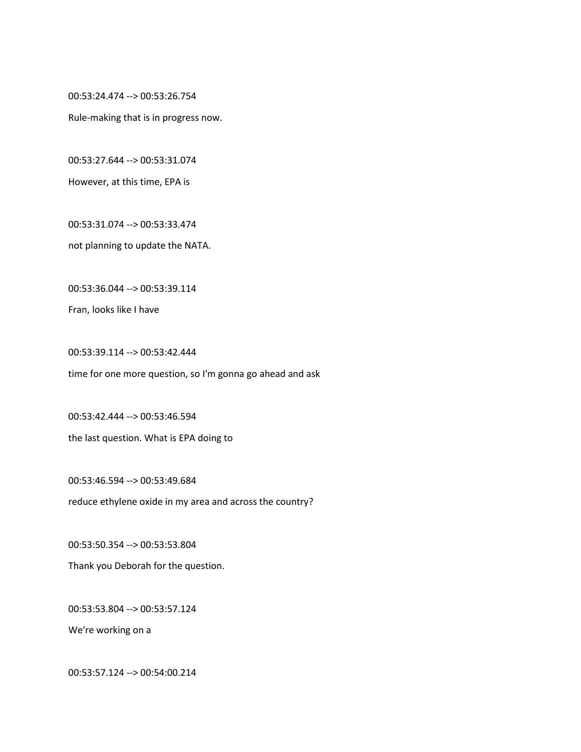00:53:24.474 --> 00:53:26.754

Rule-making that is in progress now.

00:53:27.644 --> 00:53:31.074

However, at this time, EPA is

00:53:31.074 --> 00:53:33.474

not planning to update the NATA.

00:53:36.044 --> 00:53:39.114

Fran, looks like I have

00:53:39.114 --> 00:53:42.444 time for one more question, so I'm gonna go ahead and ask

00:53:42.444 --> 00:53:46.594 the last question. What is EPA doing to

00:53:46.594 --> 00:53:49.684

reduce ethylene oxide in my area and across the country?

00:53:50.354 --> 00:53:53.804 Thank you Deborah for the question.

00:53:53.804 --> 00:53:57.124

We're working on a

00:53:57.124 --> 00:54:00.214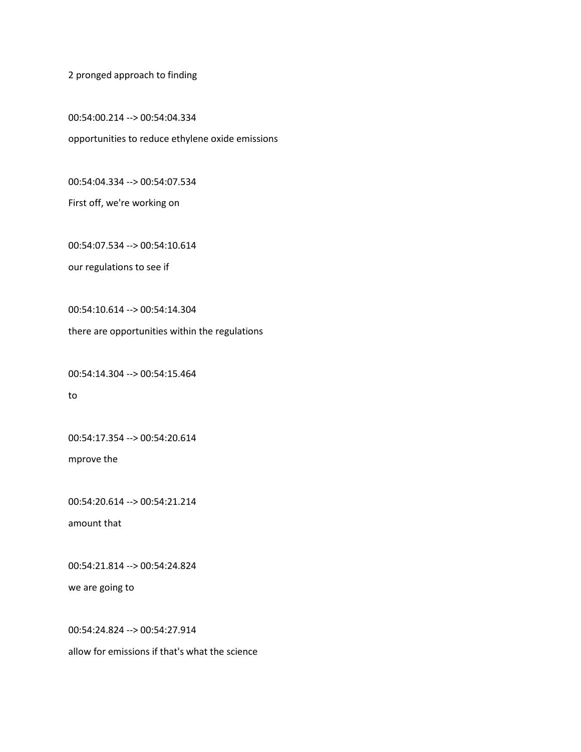2 pronged approach to finding

00:54:00.214 --> 00:54:04.334 opportunities to reduce ethylene oxide emissions

00:54:04.334 --> 00:54:07.534

First off, we're working on

00:54:07.534 --> 00:54:10.614

our regulations to see if

00:54:10.614 --> 00:54:14.304

there are opportunities within the regulations

00:54:14.304 --> 00:54:15.464

to

00:54:17.354 --> 00:54:20.614

mprove the

00:54:20.614 --> 00:54:21.214

amount that

00:54:21.814 --> 00:54:24.824

we are going to

00:54:24.824 --> 00:54:27.914

allow for emissions if that's what the science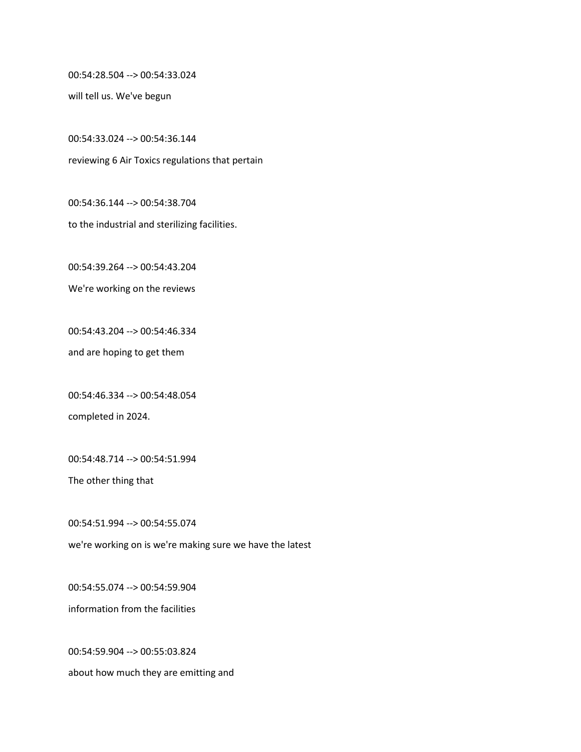00:54:28.504 --> 00:54:33.024

will tell us. We've begun

00:54:33.024 --> 00:54:36.144 reviewing 6 Air Toxics regulations that pertain

00:54:36.144 --> 00:54:38.704 to the industrial and sterilizing facilities.

00:54:39.264 --> 00:54:43.204

We're working on the reviews

00:54:43.204 --> 00:54:46.334

and are hoping to get them

00:54:46.334 --> 00:54:48.054 completed in 2024.

00:54:48.714 --> 00:54:51.994

The other thing that

00:54:51.994 --> 00:54:55.074 we're working on is we're making sure we have the latest

00:54:55.074 --> 00:54:59.904 information from the facilities

00:54:59.904 --> 00:55:03.824 about how much they are emitting and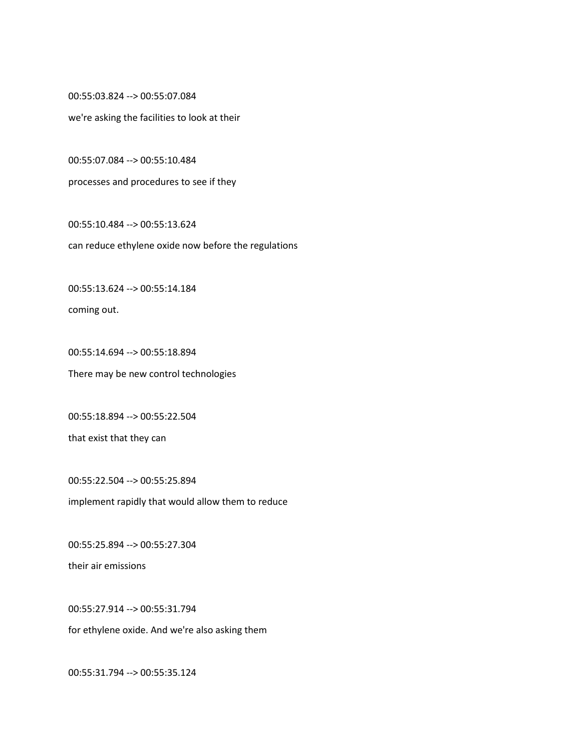00:55:03.824 --> 00:55:07.084

we're asking the facilities to look at their

00:55:07.084 --> 00:55:10.484

processes and procedures to see if they

00:55:10.484 --> 00:55:13.624 can reduce ethylene oxide now before the regulations

00:55:13.624 --> 00:55:14.184

coming out.

00:55:14.694 --> 00:55:18.894 There may be new control technologies

00:55:18.894 --> 00:55:22.504

that exist that they can

00:55:22.504 --> 00:55:25.894 implement rapidly that would allow them to reduce

00:55:25.894 --> 00:55:27.304

their air emissions

00:55:27.914 --> 00:55:31.794

for ethylene oxide. And we're also asking them

00:55:31.794 --> 00:55:35.124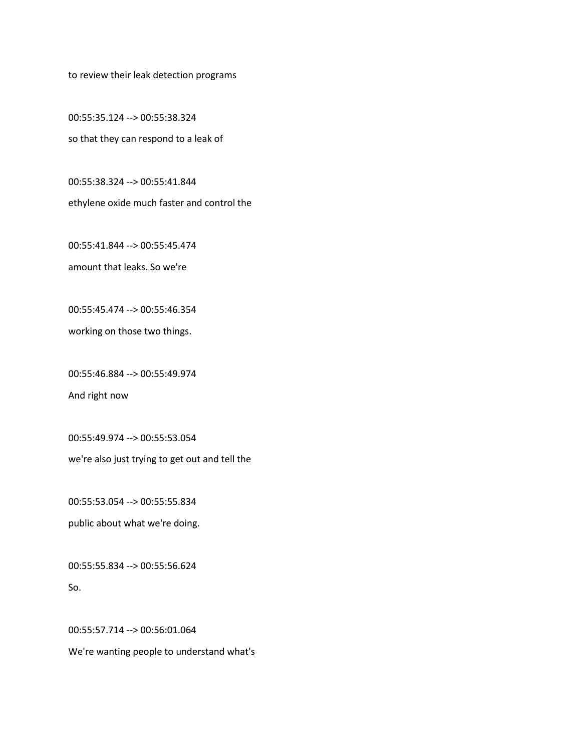to review their leak detection programs

00:55:35.124 --> 00:55:38.324 so that they can respond to a leak of

00:55:38.324 --> 00:55:41.844 ethylene oxide much faster and control the

00:55:41.844 --> 00:55:45.474

amount that leaks. So we're

00:55:45.474 --> 00:55:46.354

working on those two things.

00:55:46.884 --> 00:55:49.974

And right now

00:55:49.974 --> 00:55:53.054

we're also just trying to get out and tell the

00:55:53.054 --> 00:55:55.834 public about what we're doing.

00:55:55.834 --> 00:55:56.624

So.

00:55:57.714 --> 00:56:01.064

We're wanting people to understand what's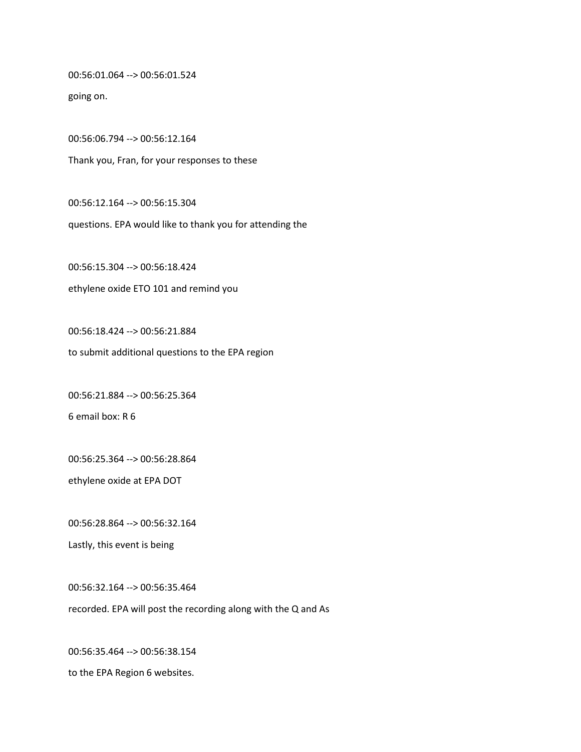00:56:01.064 --> 00:56:01.524

going on.

00:56:06.794 --> 00:56:12.164 Thank you, Fran, for your responses to these

00:56:12.164 --> 00:56:15.304 questions. EPA would like to thank you for attending the

00:56:15.304 --> 00:56:18.424 ethylene oxide ETO 101 and remind you

00:56:18.424 --> 00:56:21.884 to submit additional questions to the EPA region

00:56:21.884 --> 00:56:25.364

6 email box: R 6

00:56:25.364 --> 00:56:28.864

ethylene oxide at EPA DOT

00:56:28.864 --> 00:56:32.164

Lastly, this event is being

00:56:32.164 --> 00:56:35.464 recorded. EPA will post the recording along with the Q and As

00:56:35.464 --> 00:56:38.154 to the EPA Region 6 websites.